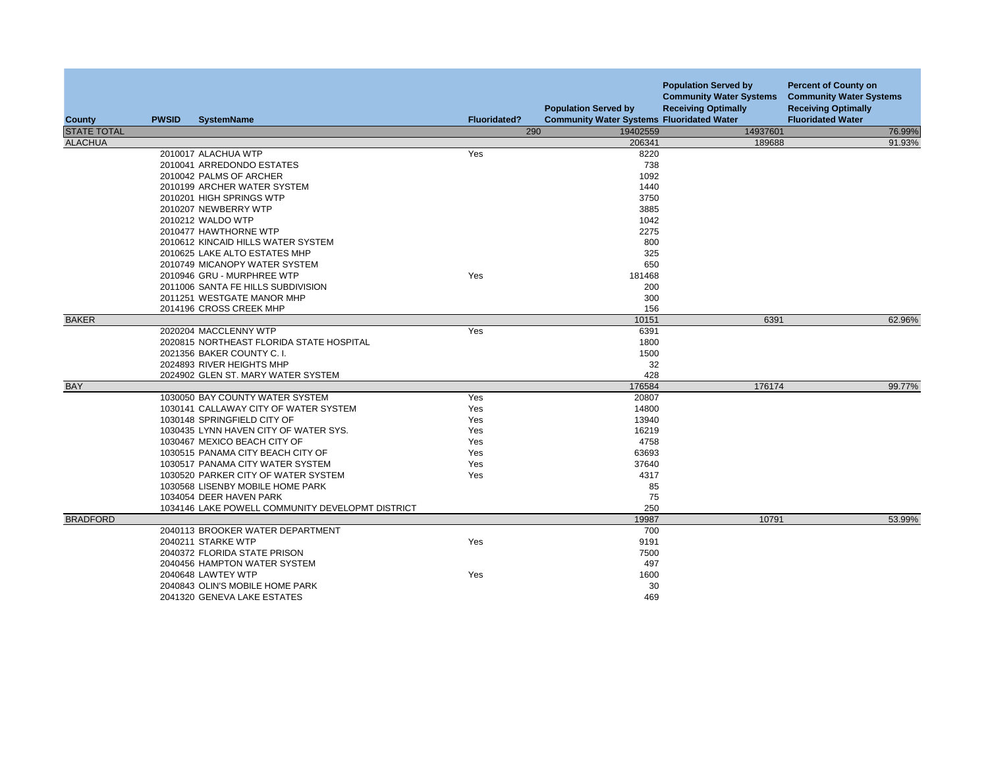| County             | <b>PWSID</b> | <b>SystemName</b>                                                           | <b>Fluoridated?</b> | <b>Population Served by</b><br><b>Community Water Systems Fluoridated Water</b> | <b>Population Served by</b><br><b>Community Water Systems</b><br><b>Receiving Optimally</b> | <b>Percent of County on</b><br><b>Community Water Systems</b><br><b>Receiving Optimally</b><br><b>Fluoridated Water</b> |
|--------------------|--------------|-----------------------------------------------------------------------------|---------------------|---------------------------------------------------------------------------------|---------------------------------------------------------------------------------------------|-------------------------------------------------------------------------------------------------------------------------|
| <b>STATE TOTAL</b> |              |                                                                             | 290                 | 19402559                                                                        | 14937601                                                                                    | 76.99%                                                                                                                  |
| <b>ALACHUA</b>     |              |                                                                             |                     | 206341                                                                          | 189688                                                                                      | 91.93%                                                                                                                  |
|                    |              | 2010017 ALACHUA WTP                                                         | Yes                 | 8220                                                                            |                                                                                             |                                                                                                                         |
|                    |              | 2010041 ARREDONDO ESTATES                                                   |                     | 738                                                                             |                                                                                             |                                                                                                                         |
|                    |              | 2010042 PALMS OF ARCHER                                                     |                     | 1092                                                                            |                                                                                             |                                                                                                                         |
|                    |              | 2010199 ARCHER WATER SYSTEM                                                 |                     | 1440                                                                            |                                                                                             |                                                                                                                         |
|                    |              | 2010201 HIGH SPRINGS WTP                                                    |                     | 3750                                                                            |                                                                                             |                                                                                                                         |
|                    |              | 2010207 NEWBERRY WTP                                                        |                     | 3885                                                                            |                                                                                             |                                                                                                                         |
|                    |              | 2010212 WALDO WTP                                                           |                     | 1042                                                                            |                                                                                             |                                                                                                                         |
|                    |              | 2010477 HAWTHORNE WTP                                                       |                     | 2275                                                                            |                                                                                             |                                                                                                                         |
|                    |              | 2010612 KINCAID HILLS WATER SYSTEM                                          |                     | 800                                                                             |                                                                                             |                                                                                                                         |
|                    |              | 2010625 LAKE ALTO ESTATES MHP                                               |                     | 325                                                                             |                                                                                             |                                                                                                                         |
|                    |              | 2010749 MICANOPY WATER SYSTEM                                               |                     | 650                                                                             |                                                                                             |                                                                                                                         |
|                    |              | 2010946 GRU - MURPHREE WTP                                                  | Yes                 | 181468                                                                          |                                                                                             |                                                                                                                         |
|                    |              | 2011006 SANTA FE HILLS SUBDIVISION                                          |                     | 200                                                                             |                                                                                             |                                                                                                                         |
|                    |              | 2011251 WESTGATE MANOR MHP                                                  |                     | 300                                                                             |                                                                                             |                                                                                                                         |
|                    |              | 2014196 CROSS CREEK MHP                                                     |                     | 156                                                                             |                                                                                             |                                                                                                                         |
| <b>BAKER</b>       |              |                                                                             |                     | 10151                                                                           | 6391                                                                                        | 62.96%                                                                                                                  |
|                    |              | 2020204 MACCLENNY WTP                                                       | Yes                 | 6391                                                                            |                                                                                             |                                                                                                                         |
|                    |              | 2020815 NORTHEAST FLORIDA STATE HOSPITAL                                    |                     | 1800                                                                            |                                                                                             |                                                                                                                         |
|                    |              | 2021356 BAKER COUNTY C. I.                                                  |                     | 1500                                                                            |                                                                                             |                                                                                                                         |
|                    |              | 2024893 RIVER HEIGHTS MHP                                                   |                     | 32                                                                              |                                                                                             |                                                                                                                         |
|                    |              | 2024902 GLEN ST. MARY WATER SYSTEM                                          |                     | 428                                                                             |                                                                                             |                                                                                                                         |
| <b>BAY</b>         |              |                                                                             |                     | 176584                                                                          | 176174                                                                                      | 99.77%                                                                                                                  |
|                    |              | 1030050 BAY COUNTY WATER SYSTEM                                             | Yes                 | 20807                                                                           |                                                                                             |                                                                                                                         |
|                    |              | 1030141 CALLAWAY CITY OF WATER SYSTEM                                       | Yes                 | 14800                                                                           |                                                                                             |                                                                                                                         |
|                    |              | 1030148 SPRINGFIELD CITY OF                                                 | Yes                 | 13940                                                                           |                                                                                             |                                                                                                                         |
|                    |              | 1030435 LYNN HAVEN CITY OF WATER SYS.                                       | Yes                 | 16219                                                                           |                                                                                             |                                                                                                                         |
|                    |              | 1030467 MEXICO BEACH CITY OF                                                | Yes                 | 4758                                                                            |                                                                                             |                                                                                                                         |
|                    |              | 1030515 PANAMA CITY BEACH CITY OF                                           | Yes                 | 63693                                                                           |                                                                                             |                                                                                                                         |
|                    |              | 1030517 PANAMA CITY WATER SYSTEM                                            | Yes                 | 37640                                                                           |                                                                                             |                                                                                                                         |
|                    |              | 1030520 PARKER CITY OF WATER SYSTEM                                         | Yes                 | 4317                                                                            |                                                                                             |                                                                                                                         |
|                    |              | 1030568 LISENBY MOBILE HOME PARK                                            |                     | 85                                                                              |                                                                                             |                                                                                                                         |
|                    |              | 1034054 DEER HAVEN PARK<br>1034146 LAKE POWELL COMMUNITY DEVELOPMT DISTRICT |                     | 75<br>250                                                                       |                                                                                             |                                                                                                                         |
| <b>BRADFORD</b>    |              |                                                                             |                     | 19987                                                                           | 10791                                                                                       | 53.99%                                                                                                                  |
|                    |              | 2040113 BROOKER WATER DEPARTMENT                                            |                     | 700                                                                             |                                                                                             |                                                                                                                         |
|                    |              | 2040211 STARKE WTP                                                          | Yes                 | 9191                                                                            |                                                                                             |                                                                                                                         |
|                    |              | 2040372 FLORIDA STATE PRISON                                                |                     | 7500                                                                            |                                                                                             |                                                                                                                         |
|                    |              | 2040456 HAMPTON WATER SYSTEM                                                |                     | 497                                                                             |                                                                                             |                                                                                                                         |
|                    |              | 2040648 LAWTEY WTP                                                          | Yes                 | 1600                                                                            |                                                                                             |                                                                                                                         |
|                    |              | 2040843 OLIN'S MOBILE HOME PARK                                             |                     | 30                                                                              |                                                                                             |                                                                                                                         |
|                    |              | 2041320 GENEVA LAKE ESTATES                                                 |                     | 469                                                                             |                                                                                             |                                                                                                                         |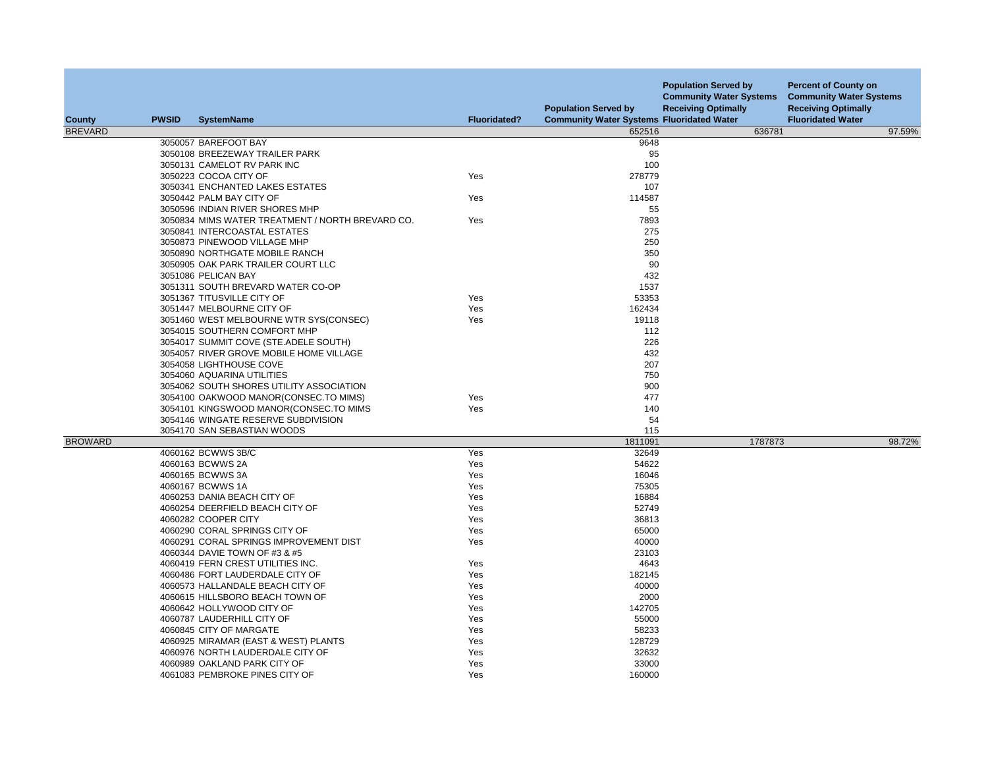| County         | <b>PWSID</b> | <b>SystemName</b>                                                  | <b>Fluoridated?</b> | <b>Population Served by</b><br><b>Community Water Systems Fluoridated Water</b> | <b>Population Served by</b><br><b>Community Water Systems</b><br><b>Receiving Optimally</b> | <b>Percent of County on</b><br><b>Community Water Systems</b><br><b>Receiving Optimally</b><br><b>Fluoridated Water</b> |
|----------------|--------------|--------------------------------------------------------------------|---------------------|---------------------------------------------------------------------------------|---------------------------------------------------------------------------------------------|-------------------------------------------------------------------------------------------------------------------------|
| <b>BREVARD</b> |              |                                                                    |                     | 652516                                                                          | 636781                                                                                      | 97.59%                                                                                                                  |
|                |              | 3050057 BAREFOOT BAY                                               |                     | 9648                                                                            |                                                                                             |                                                                                                                         |
|                |              | 3050108 BREEZEWAY TRAILER PARK                                     |                     | 95                                                                              |                                                                                             |                                                                                                                         |
|                |              | 3050131 CAMELOT RV PARK INC                                        |                     | 100                                                                             |                                                                                             |                                                                                                                         |
|                |              | 3050223 COCOA CITY OF                                              | Yes                 | 278779                                                                          |                                                                                             |                                                                                                                         |
|                |              | 3050341 ENCHANTED LAKES ESTATES                                    |                     | 107                                                                             |                                                                                             |                                                                                                                         |
|                |              | 3050442 PALM BAY CITY OF                                           | Yes                 | 114587                                                                          |                                                                                             |                                                                                                                         |
|                |              | 3050596 INDIAN RIVER SHORES MHP                                    |                     | 55                                                                              |                                                                                             |                                                                                                                         |
|                |              | 3050834 MIMS WATER TREATMENT / NORTH BREVARD CO.                   | Yes                 | 7893                                                                            |                                                                                             |                                                                                                                         |
|                |              | 3050841 INTERCOASTAL ESTATES                                       |                     | 275                                                                             |                                                                                             |                                                                                                                         |
|                |              | 3050873 PINEWOOD VILLAGE MHP                                       |                     | 250                                                                             |                                                                                             |                                                                                                                         |
|                |              | 3050890 NORTHGATE MOBILE RANCH                                     |                     | 350                                                                             |                                                                                             |                                                                                                                         |
|                |              | 3050905 OAK PARK TRAILER COURT LLC                                 |                     | 90                                                                              |                                                                                             |                                                                                                                         |
|                |              | 3051086 PELICAN BAY                                                |                     | 432                                                                             |                                                                                             |                                                                                                                         |
|                |              | 3051311 SOUTH BREVARD WATER CO-OP                                  |                     | 1537                                                                            |                                                                                             |                                                                                                                         |
|                |              | 3051367 TITUSVILLE CITY OF                                         | Yes                 | 53353                                                                           |                                                                                             |                                                                                                                         |
|                |              | 3051447 MELBOURNE CITY OF                                          | Yes                 | 162434                                                                          |                                                                                             |                                                                                                                         |
|                |              | 3051460 WEST MELBOURNE WTR SYS(CONSEC)                             | Yes                 | 19118                                                                           |                                                                                             |                                                                                                                         |
|                |              | 3054015 SOUTHERN COMFORT MHP                                       |                     | 112                                                                             |                                                                                             |                                                                                                                         |
|                |              | 3054017 SUMMIT COVE (STE.ADELE SOUTH)                              |                     | 226<br>432                                                                      |                                                                                             |                                                                                                                         |
|                |              | 3054057 RIVER GROVE MOBILE HOME VILLAGE<br>3054058 LIGHTHOUSE COVE |                     | 207                                                                             |                                                                                             |                                                                                                                         |
|                |              | 3054060 AQUARINA UTILITIES                                         |                     | 750                                                                             |                                                                                             |                                                                                                                         |
|                |              | 3054062 SOUTH SHORES UTILITY ASSOCIATION                           |                     | 900                                                                             |                                                                                             |                                                                                                                         |
|                |              | 3054100 OAKWOOD MANOR(CONSECTO MIMS)                               | Yes                 | 477                                                                             |                                                                                             |                                                                                                                         |
|                |              | 3054101 KINGSWOOD MANOR(CONSEC.TO MIMS                             | Yes                 | 140                                                                             |                                                                                             |                                                                                                                         |
|                |              | 3054146 WINGATE RESERVE SUBDIVISION                                |                     | 54                                                                              |                                                                                             |                                                                                                                         |
|                |              | 3054170 SAN SEBASTIAN WOODS                                        |                     | 115                                                                             |                                                                                             |                                                                                                                         |
| <b>BROWARD</b> |              |                                                                    |                     | 1811091                                                                         | 1787873                                                                                     | 98.72%                                                                                                                  |
|                |              | 4060162 BCWWS 3B/C                                                 | Yes                 | 32649                                                                           |                                                                                             |                                                                                                                         |
|                |              | 4060163 BCWWS 2A                                                   | Yes                 | 54622                                                                           |                                                                                             |                                                                                                                         |
|                |              | 4060165 BCWWS 3A                                                   | Yes                 | 16046                                                                           |                                                                                             |                                                                                                                         |
|                |              | 4060167 BCWWS 1A                                                   | Yes                 | 75305                                                                           |                                                                                             |                                                                                                                         |
|                |              | 4060253 DANIA BEACH CITY OF                                        | Yes                 | 16884                                                                           |                                                                                             |                                                                                                                         |
|                |              | 4060254 DEERFIELD BEACH CITY OF                                    | Yes                 | 52749                                                                           |                                                                                             |                                                                                                                         |
|                |              | 4060282 COOPER CITY                                                | Yes                 | 36813                                                                           |                                                                                             |                                                                                                                         |
|                |              | 4060290 CORAL SPRINGS CITY OF                                      | Yes                 | 65000                                                                           |                                                                                             |                                                                                                                         |
|                |              | 4060291 CORAL SPRINGS IMPROVEMENT DIST                             | Yes                 | 40000                                                                           |                                                                                             |                                                                                                                         |
|                |              | 4060344 DAVIE TOWN OF #3 & #5                                      |                     | 23103                                                                           |                                                                                             |                                                                                                                         |
|                |              | 4060419 FERN CREST UTILITIES INC.                                  | Yes                 | 4643                                                                            |                                                                                             |                                                                                                                         |
|                |              | 4060486 FORT LAUDERDALE CITY OF                                    | Yes                 | 182145                                                                          |                                                                                             |                                                                                                                         |
|                |              | 4060573 HALLANDALE BEACH CITY OF                                   | Yes                 | 40000                                                                           |                                                                                             |                                                                                                                         |
|                |              | 4060615 HILLSBORO BEACH TOWN OF                                    | Yes                 | 2000                                                                            |                                                                                             |                                                                                                                         |
|                |              | 4060642 HOLLYWOOD CITY OF                                          | Yes                 | 142705                                                                          |                                                                                             |                                                                                                                         |
|                |              | 4060787 LAUDERHILL CITY OF                                         | Yes                 | 55000                                                                           |                                                                                             |                                                                                                                         |
|                |              | 4060845 CITY OF MARGATE                                            | Yes                 | 58233                                                                           |                                                                                             |                                                                                                                         |
|                |              | 4060925 MIRAMAR (EAST & WEST) PLANTS                               | Yes                 | 128729                                                                          |                                                                                             |                                                                                                                         |
|                |              | 4060976 NORTH LAUDERDALE CITY OF                                   | Yes                 | 32632                                                                           |                                                                                             |                                                                                                                         |
|                |              | 4060989 OAKLAND PARK CITY OF                                       | Yes                 | 33000                                                                           |                                                                                             |                                                                                                                         |
|                |              | 4061083 PEMBROKE PINES CITY OF                                     | Yes                 | 160000                                                                          |                                                                                             |                                                                                                                         |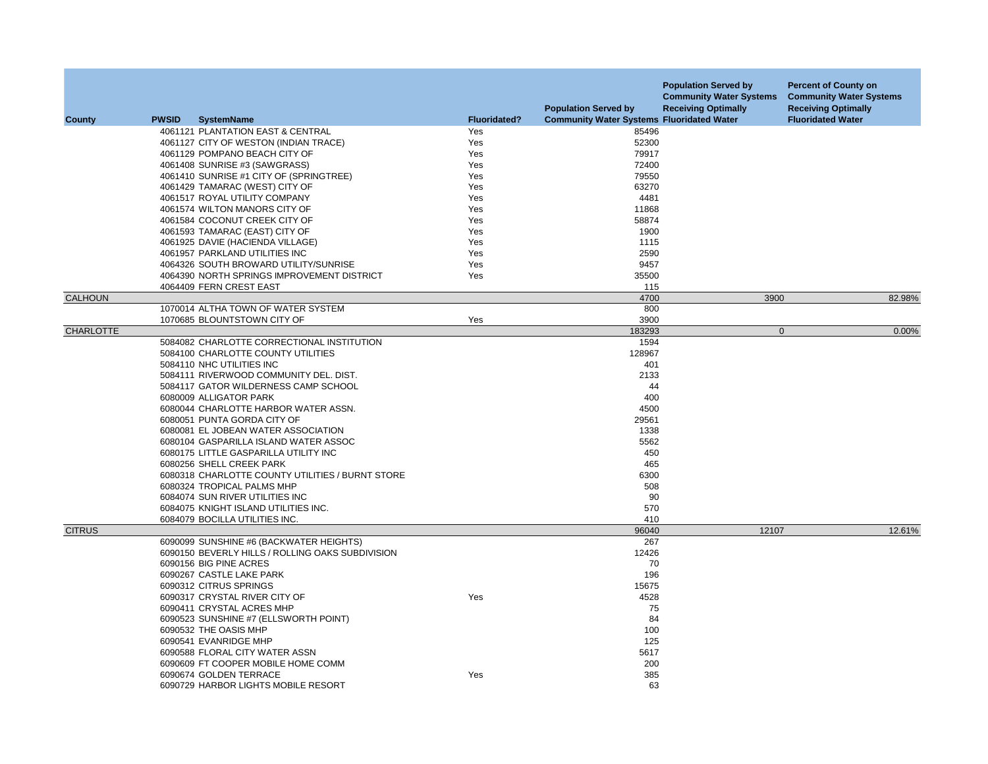| <b>County</b>    | <b>PWSID</b> | <b>SystemName</b>                                | <b>Fluoridated?</b> | <b>Population Served by</b><br><b>Community Water Systems Fluoridated Water</b> | <b>Population Served by</b><br><b>Community Water Systems</b><br><b>Receiving Optimally</b> | <b>Percent of County on</b><br><b>Community Water Systems</b><br><b>Receiving Optimally</b><br><b>Fluoridated Water</b> |
|------------------|--------------|--------------------------------------------------|---------------------|---------------------------------------------------------------------------------|---------------------------------------------------------------------------------------------|-------------------------------------------------------------------------------------------------------------------------|
|                  |              | 4061121 PLANTATION EAST & CENTRAL                | Yes                 | 85496                                                                           |                                                                                             |                                                                                                                         |
|                  |              | 4061127 CITY OF WESTON (INDIAN TRACE)            | Yes                 | 52300                                                                           |                                                                                             |                                                                                                                         |
|                  |              | 4061129 POMPANO BEACH CITY OF                    | Yes                 | 79917                                                                           |                                                                                             |                                                                                                                         |
|                  |              | 4061408 SUNRISE #3 (SAWGRASS)                    | Yes                 | 72400                                                                           |                                                                                             |                                                                                                                         |
|                  |              | 4061410 SUNRISE #1 CITY OF (SPRINGTREE)          | Yes                 | 79550                                                                           |                                                                                             |                                                                                                                         |
|                  |              | 4061429 TAMARAC (WEST) CITY OF                   | Yes                 | 63270                                                                           |                                                                                             |                                                                                                                         |
|                  |              | 4061517 ROYAL UTILITY COMPANY                    | Yes                 | 4481                                                                            |                                                                                             |                                                                                                                         |
|                  |              | 4061574 WILTON MANORS CITY OF                    | Yes                 | 11868                                                                           |                                                                                             |                                                                                                                         |
|                  |              | 4061584 COCONUT CREEK CITY OF                    | Yes                 | 58874                                                                           |                                                                                             |                                                                                                                         |
|                  |              | 4061593 TAMARAC (EAST) CITY OF                   | Yes                 | 1900                                                                            |                                                                                             |                                                                                                                         |
|                  |              | 4061925 DAVIE (HACIENDA VILLAGE)                 | Yes                 | 1115                                                                            |                                                                                             |                                                                                                                         |
|                  |              | 4061957 PARKLAND UTILITIES INC                   | Yes                 | 2590                                                                            |                                                                                             |                                                                                                                         |
|                  |              | 4064326 SOUTH BROWARD UTILITY/SUNRISE            | Yes                 | 9457                                                                            |                                                                                             |                                                                                                                         |
|                  |              | 4064390 NORTH SPRINGS IMPROVEMENT DISTRICT       | Yes                 | 35500                                                                           |                                                                                             |                                                                                                                         |
|                  |              | 4064409 FERN CREST EAST                          |                     | 115                                                                             |                                                                                             |                                                                                                                         |
| CALHOUN          |              |                                                  |                     | 4700                                                                            | 3900                                                                                        | 82.98%                                                                                                                  |
|                  |              | 1070014 ALTHA TOWN OF WATER SYSTEM               |                     | 800                                                                             |                                                                                             |                                                                                                                         |
|                  |              | 1070685 BLOUNTSTOWN CITY OF                      | Yes                 | 3900                                                                            |                                                                                             |                                                                                                                         |
| <b>CHARLOTTE</b> |              |                                                  |                     | 183293                                                                          | $\mathbf{0}$                                                                                | 0.00%                                                                                                                   |
|                  |              | 5084082 CHARLOTTE CORRECTIONAL INSTITUTION       |                     | 1594                                                                            |                                                                                             |                                                                                                                         |
|                  |              | 5084100 CHARLOTTE COUNTY UTILITIES               |                     | 128967                                                                          |                                                                                             |                                                                                                                         |
|                  |              | 5084110 NHC UTILITIES INC                        |                     | 401                                                                             |                                                                                             |                                                                                                                         |
|                  |              | 5084111 RIVERWOOD COMMUNITY DEL. DIST.           |                     | 2133                                                                            |                                                                                             |                                                                                                                         |
|                  |              | 5084117 GATOR WILDERNESS CAMP SCHOOL             |                     | 44                                                                              |                                                                                             |                                                                                                                         |
|                  |              | 6080009 ALLIGATOR PARK                           |                     | 400                                                                             |                                                                                             |                                                                                                                         |
|                  |              | 6080044 CHARLOTTE HARBOR WATER ASSN.             |                     | 4500                                                                            |                                                                                             |                                                                                                                         |
|                  |              | 6080051 PUNTA GORDA CITY OF                      |                     | 29561                                                                           |                                                                                             |                                                                                                                         |
|                  |              | 6080081 EL JOBEAN WATER ASSOCIATION              |                     | 1338                                                                            |                                                                                             |                                                                                                                         |
|                  |              | 6080104 GASPARILLA ISLAND WATER ASSOC            |                     | 5562                                                                            |                                                                                             |                                                                                                                         |
|                  |              | 6080175 LITTLE GASPARILLA UTILITY INC            |                     | 450                                                                             |                                                                                             |                                                                                                                         |
|                  |              | 6080256 SHELL CREEK PARK                         |                     | 465                                                                             |                                                                                             |                                                                                                                         |
|                  |              | 6080318 CHARLOTTE COUNTY UTILITIES / BURNT STORE |                     | 6300                                                                            |                                                                                             |                                                                                                                         |
|                  |              | 6080324 TROPICAL PALMS MHP                       |                     | 508                                                                             |                                                                                             |                                                                                                                         |
|                  |              | 6084074 SUN RIVER UTILITIES INC                  |                     | 90                                                                              |                                                                                             |                                                                                                                         |
|                  |              | 6084075 KNIGHT ISLAND UTILITIES INC.             |                     | 570                                                                             |                                                                                             |                                                                                                                         |
|                  |              | 6084079 BOCILLA UTILITIES INC.                   |                     | 410                                                                             |                                                                                             |                                                                                                                         |
| <b>CITRUS</b>    |              |                                                  |                     | 96040                                                                           | 12107                                                                                       | 12.61%                                                                                                                  |
|                  |              | 6090099 SUNSHINE #6 (BACKWATER HEIGHTS)          |                     | 267                                                                             |                                                                                             |                                                                                                                         |
|                  |              | 6090150 BEVERLY HILLS / ROLLING OAKS SUBDIVISION |                     | 12426                                                                           |                                                                                             |                                                                                                                         |
|                  |              | 6090156 BIG PINE ACRES                           |                     | 70                                                                              |                                                                                             |                                                                                                                         |
|                  |              | 6090267 CASTLE LAKE PARK                         |                     | 196                                                                             |                                                                                             |                                                                                                                         |
|                  |              | 6090312 CITRUS SPRINGS                           |                     | 15675                                                                           |                                                                                             |                                                                                                                         |
|                  |              | 6090317 CRYSTAL RIVER CITY OF                    | Yes                 | 4528                                                                            |                                                                                             |                                                                                                                         |
|                  |              | 6090411 CRYSTAL ACRES MHP                        |                     | 75                                                                              |                                                                                             |                                                                                                                         |
|                  |              | 6090523 SUNSHINE #7 (ELLSWORTH POINT)            |                     | 84                                                                              |                                                                                             |                                                                                                                         |
|                  |              | 6090532 THE OASIS MHP                            |                     | 100                                                                             |                                                                                             |                                                                                                                         |
|                  |              | 6090541 EVANRIDGE MHP                            |                     | 125                                                                             |                                                                                             |                                                                                                                         |
|                  |              | 6090588 FLORAL CITY WATER ASSN                   |                     | 5617                                                                            |                                                                                             |                                                                                                                         |
|                  |              | 6090609 FT COOPER MOBILE HOME COMM               |                     | 200                                                                             |                                                                                             |                                                                                                                         |
|                  |              | 6090674 GOLDEN TERRACE                           | Yes                 | 385                                                                             |                                                                                             |                                                                                                                         |
|                  |              | 6090729 HARBOR LIGHTS MOBILE RESORT              |                     | 63                                                                              |                                                                                             |                                                                                                                         |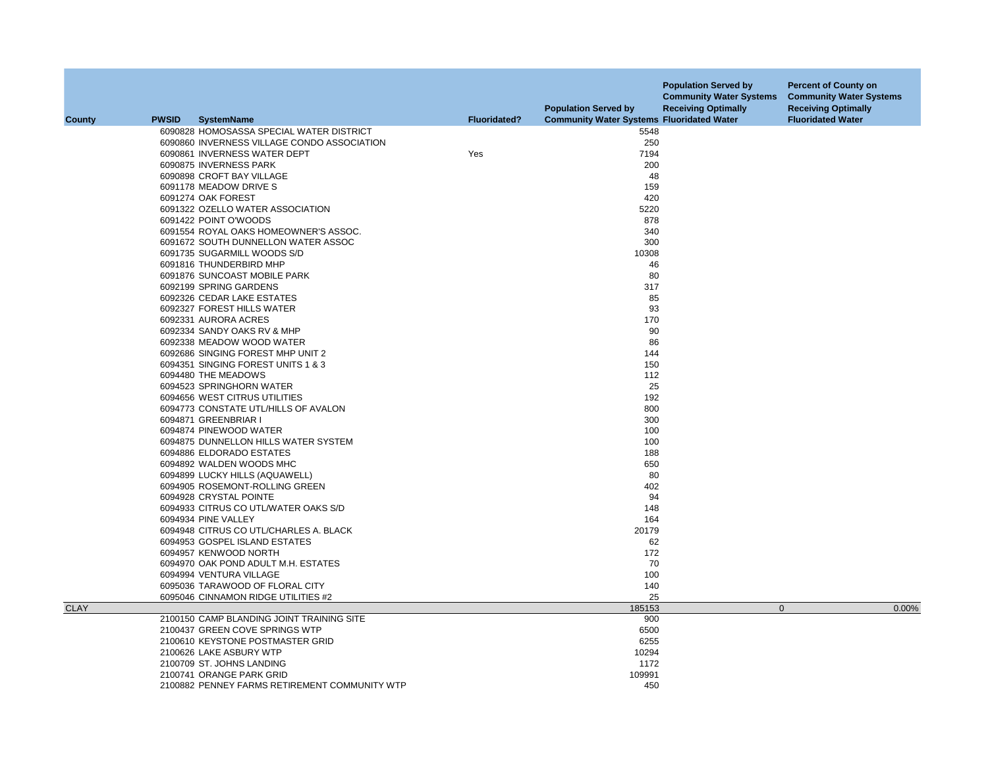| County      | <b>PWSID</b> | <b>SystemName</b>                                                  | <b>Fluoridated?</b> | <b>Population Served by</b><br><b>Community Water Systems Fluoridated Water</b> | <b>Population Served by</b><br><b>Community Water Systems</b><br><b>Receiving Optimally</b> | <b>Percent of County on</b><br><b>Community Water Systems</b><br><b>Receiving Optimally</b><br><b>Fluoridated Water</b> |
|-------------|--------------|--------------------------------------------------------------------|---------------------|---------------------------------------------------------------------------------|---------------------------------------------------------------------------------------------|-------------------------------------------------------------------------------------------------------------------------|
|             |              | 6090828 HOMOSASSA SPECIAL WATER DISTRICT                           |                     | 5548                                                                            |                                                                                             |                                                                                                                         |
|             |              | 6090860 INVERNESS VILLAGE CONDO ASSOCIATION                        |                     | 250                                                                             |                                                                                             |                                                                                                                         |
|             |              | 6090861 INVERNESS WATER DEPT                                       | Yes                 | 7194                                                                            |                                                                                             |                                                                                                                         |
|             |              | 6090875 INVERNESS PARK                                             |                     | 200                                                                             |                                                                                             |                                                                                                                         |
|             |              | 6090898 CROFT BAY VILLAGE                                          |                     | 48                                                                              |                                                                                             |                                                                                                                         |
|             |              |                                                                    |                     |                                                                                 |                                                                                             |                                                                                                                         |
|             |              | 6091178 MEADOW DRIVE S                                             |                     | 159                                                                             |                                                                                             |                                                                                                                         |
|             |              | 6091274 OAK FOREST                                                 |                     | 420                                                                             |                                                                                             |                                                                                                                         |
|             |              | 6091322 OZELLO WATER ASSOCIATION                                   |                     | 5220                                                                            |                                                                                             |                                                                                                                         |
|             |              | 6091422 POINT O'WOODS                                              |                     | 878                                                                             |                                                                                             |                                                                                                                         |
|             |              | 6091554 ROYAL OAKS HOMEOWNER'S ASSOC.                              |                     | 340                                                                             |                                                                                             |                                                                                                                         |
|             |              | 6091672 SOUTH DUNNELLON WATER ASSOC                                |                     | 300                                                                             |                                                                                             |                                                                                                                         |
|             |              | 6091735 SUGARMILL WOODS S/D                                        |                     | 10308                                                                           |                                                                                             |                                                                                                                         |
|             |              | 6091816 THUNDERBIRD MHP                                            |                     | 46                                                                              |                                                                                             |                                                                                                                         |
|             |              | 6091876 SUNCOAST MOBILE PARK                                       |                     | 80                                                                              |                                                                                             |                                                                                                                         |
|             |              | 6092199 SPRING GARDENS                                             |                     | 317                                                                             |                                                                                             |                                                                                                                         |
|             |              | 6092326 CEDAR LAKE ESTATES                                         |                     | 85                                                                              |                                                                                             |                                                                                                                         |
|             |              | 6092327 FOREST HILLS WATER                                         |                     | 93                                                                              |                                                                                             |                                                                                                                         |
|             |              | 6092331 AURORA ACRES                                               |                     | 170                                                                             |                                                                                             |                                                                                                                         |
|             |              | 6092334 SANDY OAKS RV & MHP                                        |                     | 90                                                                              |                                                                                             |                                                                                                                         |
|             |              | 6092338 MEADOW WOOD WATER                                          |                     | 86                                                                              |                                                                                             |                                                                                                                         |
|             |              | 6092686 SINGING FOREST MHP UNIT 2                                  |                     | 144                                                                             |                                                                                             |                                                                                                                         |
|             |              | 6094351 SINGING FOREST UNITS 1 & 3                                 |                     | 150                                                                             |                                                                                             |                                                                                                                         |
|             |              | 6094480 THE MEADOWS                                                |                     | 112                                                                             |                                                                                             |                                                                                                                         |
|             |              | 6094523 SPRINGHORN WATER                                           |                     | 25                                                                              |                                                                                             |                                                                                                                         |
|             |              | 6094656 WEST CITRUS UTILITIES                                      |                     | 192                                                                             |                                                                                             |                                                                                                                         |
|             |              | 6094773 CONSTATE UTL/HILLS OF AVALON                               |                     | 800                                                                             |                                                                                             |                                                                                                                         |
|             |              | 6094871 GREENBRIAR I                                               |                     | 300                                                                             |                                                                                             |                                                                                                                         |
|             |              | 6094874 PINEWOOD WATER                                             |                     | 100                                                                             |                                                                                             |                                                                                                                         |
|             |              | 6094875 DUNNELLON HILLS WATER SYSTEM                               |                     | 100                                                                             |                                                                                             |                                                                                                                         |
|             |              | 6094886 ELDORADO ESTATES                                           |                     | 188                                                                             |                                                                                             |                                                                                                                         |
|             |              | 6094892 WALDEN WOODS MHC                                           |                     | 650                                                                             |                                                                                             |                                                                                                                         |
|             |              | 6094899 LUCKY HILLS (AQUAWELL)                                     |                     | 80                                                                              |                                                                                             |                                                                                                                         |
|             |              | 6094905 ROSEMONT-ROLLING GREEN                                     |                     | 402                                                                             |                                                                                             |                                                                                                                         |
|             |              | 6094928 CRYSTAL POINTE                                             |                     | 94                                                                              |                                                                                             |                                                                                                                         |
|             |              | 6094933 CITRUS CO UTL/WATER OAKS S/D                               |                     | 148                                                                             |                                                                                             |                                                                                                                         |
|             |              | 6094934 PINE VALLEY                                                |                     | 164                                                                             |                                                                                             |                                                                                                                         |
|             |              | 6094948 CITRUS CO UTL/CHARLES A. BLACK                             |                     | 20179                                                                           |                                                                                             |                                                                                                                         |
|             |              | 6094953 GOSPEL ISLAND ESTATES                                      |                     | 62                                                                              |                                                                                             |                                                                                                                         |
|             |              | 6094957 KENWOOD NORTH                                              |                     | 172                                                                             |                                                                                             |                                                                                                                         |
|             |              | 6094970 OAK POND ADULT M.H. ESTATES                                |                     | 70                                                                              |                                                                                             |                                                                                                                         |
|             |              | 6094994 VENTURA VILLAGE                                            |                     | 100                                                                             |                                                                                             |                                                                                                                         |
|             |              | 6095036 TARAWOOD OF FLORAL CITY                                    |                     | 140                                                                             |                                                                                             |                                                                                                                         |
|             |              | 6095046 CINNAMON RIDGE UTILITIES #2                                |                     | 25                                                                              |                                                                                             |                                                                                                                         |
| <b>CLAY</b> |              |                                                                    |                     | 185153                                                                          | $\mathbf{0}$                                                                                | 0.00%                                                                                                                   |
|             |              | 2100150 CAMP BLANDING JOINT TRAINING SITE                          |                     | 900                                                                             |                                                                                             |                                                                                                                         |
|             |              |                                                                    |                     | 6500                                                                            |                                                                                             |                                                                                                                         |
|             |              | 2100437 GREEN COVE SPRINGS WTP<br>2100610 KEYSTONE POSTMASTER GRID |                     |                                                                                 |                                                                                             |                                                                                                                         |
|             |              |                                                                    |                     | 6255                                                                            |                                                                                             |                                                                                                                         |
|             |              | 2100626 LAKE ASBURY WTP                                            |                     | 10294                                                                           |                                                                                             |                                                                                                                         |
|             |              | 2100709 ST. JOHNS LANDING                                          |                     | 1172                                                                            |                                                                                             |                                                                                                                         |
|             |              | 2100741 ORANGE PARK GRID                                           |                     | 109991                                                                          |                                                                                             |                                                                                                                         |
|             |              | 2100882 PENNEY FARMS RETIREMENT COMMUNITY WTP                      |                     | 450                                                                             |                                                                                             |                                                                                                                         |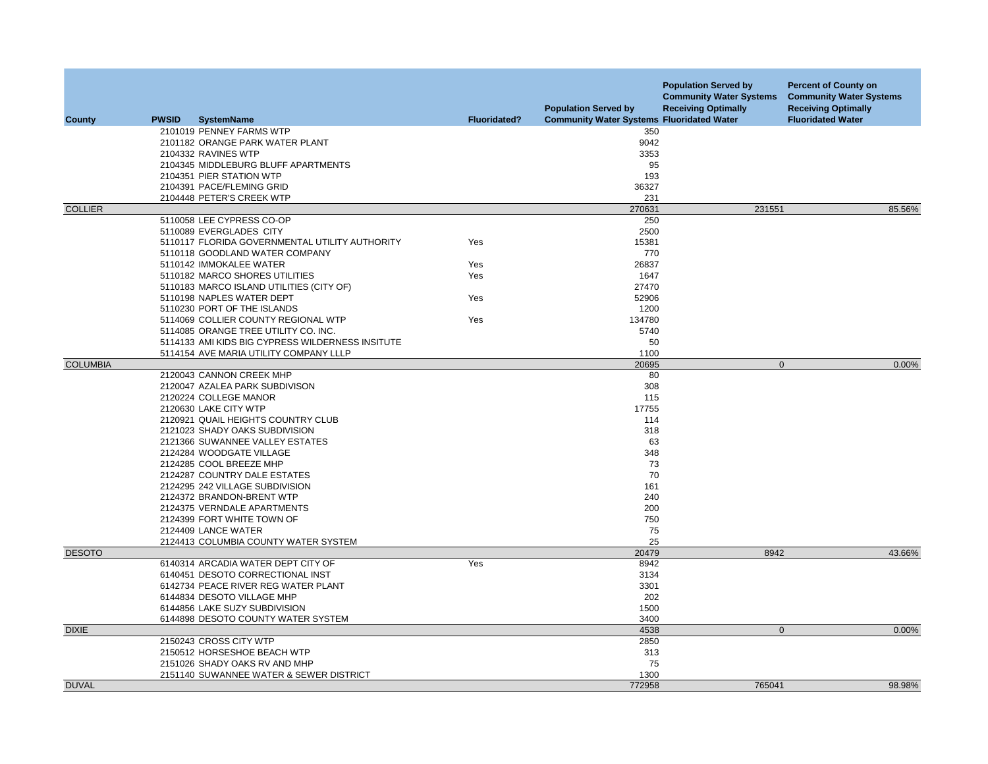| <b>County</b>   | <b>PWSID</b> | <b>SystemName</b>                                         | <b>Fluoridated?</b> | <b>Population Served by</b><br><b>Community Water Systems Fluoridated Water</b> | <b>Population Served by</b><br><b>Community Water Systems</b><br><b>Receiving Optimally</b> | <b>Percent of County on</b><br><b>Community Water Systems</b><br><b>Receiving Optimally</b><br><b>Fluoridated Water</b> |
|-----------------|--------------|-----------------------------------------------------------|---------------------|---------------------------------------------------------------------------------|---------------------------------------------------------------------------------------------|-------------------------------------------------------------------------------------------------------------------------|
|                 |              | 2101019 PENNEY FARMS WTP                                  |                     | 350                                                                             |                                                                                             |                                                                                                                         |
|                 |              | 2101182 ORANGE PARK WATER PLANT                           |                     | 9042                                                                            |                                                                                             |                                                                                                                         |
|                 |              | 2104332 RAVINES WTP                                       |                     | 3353                                                                            |                                                                                             |                                                                                                                         |
|                 |              | 2104345 MIDDLEBURG BLUFF APARTMENTS                       |                     | 95                                                                              |                                                                                             |                                                                                                                         |
|                 |              | 2104351 PIER STATION WTP                                  |                     | 193                                                                             |                                                                                             |                                                                                                                         |
|                 |              | 2104391 PACE/FLEMING GRID                                 |                     | 36327                                                                           |                                                                                             |                                                                                                                         |
|                 |              | 2104448 PETER'S CREEK WTP                                 |                     | 231                                                                             |                                                                                             |                                                                                                                         |
| <b>COLLIER</b>  |              |                                                           |                     | 270631                                                                          | 231551                                                                                      | 85.56%                                                                                                                  |
|                 |              | 5110058 LEE CYPRESS CO-OP                                 |                     | 250                                                                             |                                                                                             |                                                                                                                         |
|                 |              | 5110089 EVERGLADES CITY                                   |                     | 2500                                                                            |                                                                                             |                                                                                                                         |
|                 |              | 5110117 FLORIDA GOVERNMENTAL UTILITY AUTHORITY            | Yes                 | 15381                                                                           |                                                                                             |                                                                                                                         |
|                 |              | 5110118 GOODLAND WATER COMPANY                            |                     | 770                                                                             |                                                                                             |                                                                                                                         |
|                 |              | 5110142 IMMOKALEE WATER<br>5110182 MARCO SHORES UTILITIES | Yes<br>Yes          | 26837<br>1647                                                                   |                                                                                             |                                                                                                                         |
|                 |              | 5110183 MARCO ISLAND UTILITIES (CITY OF)                  |                     | 27470                                                                           |                                                                                             |                                                                                                                         |
|                 |              | 5110198 NAPLES WATER DEPT                                 | Yes                 | 52906                                                                           |                                                                                             |                                                                                                                         |
|                 |              | 5110230 PORT OF THE ISLANDS                               |                     | 1200                                                                            |                                                                                             |                                                                                                                         |
|                 |              | 5114069 COLLIER COUNTY REGIONAL WTP                       | Yes                 | 134780                                                                          |                                                                                             |                                                                                                                         |
|                 |              | 5114085 ORANGE TREE UTILITY CO. INC.                      |                     | 5740                                                                            |                                                                                             |                                                                                                                         |
|                 |              | 5114133 AMI KIDS BIG CYPRESS WILDERNESS INSITUTE          |                     | 50                                                                              |                                                                                             |                                                                                                                         |
|                 |              | 5114154 AVE MARIA UTILITY COMPANY LLLP                    |                     | 1100                                                                            |                                                                                             |                                                                                                                         |
| <b>COLUMBIA</b> |              |                                                           |                     | 20695                                                                           | $\mathbf{0}$                                                                                | 0.00%                                                                                                                   |
|                 |              | 2120043 CANNON CREEK MHP                                  |                     | 80                                                                              |                                                                                             |                                                                                                                         |
|                 |              | 2120047 AZALEA PARK SUBDIVISON                            |                     | 308                                                                             |                                                                                             |                                                                                                                         |
|                 |              | 2120224 COLLEGE MANOR                                     |                     | 115                                                                             |                                                                                             |                                                                                                                         |
|                 |              | 2120630 LAKE CITY WTP                                     |                     | 17755                                                                           |                                                                                             |                                                                                                                         |
|                 |              | 2120921 QUAIL HEIGHTS COUNTRY CLUB                        |                     | 114                                                                             |                                                                                             |                                                                                                                         |
|                 |              | 2121023 SHADY OAKS SUBDIVISION                            |                     | 318                                                                             |                                                                                             |                                                                                                                         |
|                 |              | 2121366 SUWANNEE VALLEY ESTATES                           |                     | 63                                                                              |                                                                                             |                                                                                                                         |
|                 |              | 2124284 WOODGATE VILLAGE                                  |                     | 348                                                                             |                                                                                             |                                                                                                                         |
|                 |              | 2124285 COOL BREEZE MHP                                   |                     | 73                                                                              |                                                                                             |                                                                                                                         |
|                 |              | 2124287 COUNTRY DALE ESTATES                              |                     | 70                                                                              |                                                                                             |                                                                                                                         |
|                 |              | 2124295 242 VILLAGE SUBDIVISION                           |                     | 161                                                                             |                                                                                             |                                                                                                                         |
|                 |              | 2124372 BRANDON-BRENT WTP                                 |                     | 240                                                                             |                                                                                             |                                                                                                                         |
|                 |              | 2124375 VERNDALE APARTMENTS                               |                     | 200<br>750                                                                      |                                                                                             |                                                                                                                         |
|                 |              | 2124399 FORT WHITE TOWN OF                                |                     | 75                                                                              |                                                                                             |                                                                                                                         |
|                 |              | 2124409 LANCE WATER                                       |                     | 25                                                                              |                                                                                             |                                                                                                                         |
| <b>DESOTO</b>   |              | 2124413 COLUMBIA COUNTY WATER SYSTEM                      |                     | 20479                                                                           | 8942                                                                                        | 43.66%                                                                                                                  |
|                 |              | 6140314 ARCADIA WATER DEPT CITY OF                        | Yes                 | 8942                                                                            |                                                                                             |                                                                                                                         |
|                 |              | 6140451 DESOTO CORRECTIONAL INST                          |                     | 3134                                                                            |                                                                                             |                                                                                                                         |
|                 |              | 6142734 PEACE RIVER REG WATER PLANT                       |                     | 3301                                                                            |                                                                                             |                                                                                                                         |
|                 |              | 6144834 DESOTO VILLAGE MHP                                |                     | 202                                                                             |                                                                                             |                                                                                                                         |
|                 |              | 6144856 LAKE SUZY SUBDIVISION                             |                     | 1500                                                                            |                                                                                             |                                                                                                                         |
|                 |              | 6144898 DESOTO COUNTY WATER SYSTEM                        |                     | 3400                                                                            |                                                                                             |                                                                                                                         |
| <b>DIXIE</b>    |              |                                                           |                     | 4538                                                                            | $\mathbf{0}$                                                                                | 0.00%                                                                                                                   |
|                 |              | 2150243 CROSS CITY WTP                                    |                     | 2850                                                                            |                                                                                             |                                                                                                                         |
|                 |              | 2150512 HORSESHOE BEACH WTP                               |                     | 313                                                                             |                                                                                             |                                                                                                                         |
|                 |              | 2151026 SHADY OAKS RV AND MHP                             |                     | 75                                                                              |                                                                                             |                                                                                                                         |
|                 |              | 2151140 SUWANNEE WATER & SEWER DISTRICT                   |                     | 1300                                                                            |                                                                                             |                                                                                                                         |
| <b>DUVAL</b>    |              |                                                           |                     | 772958                                                                          | 765041                                                                                      | 98.98%                                                                                                                  |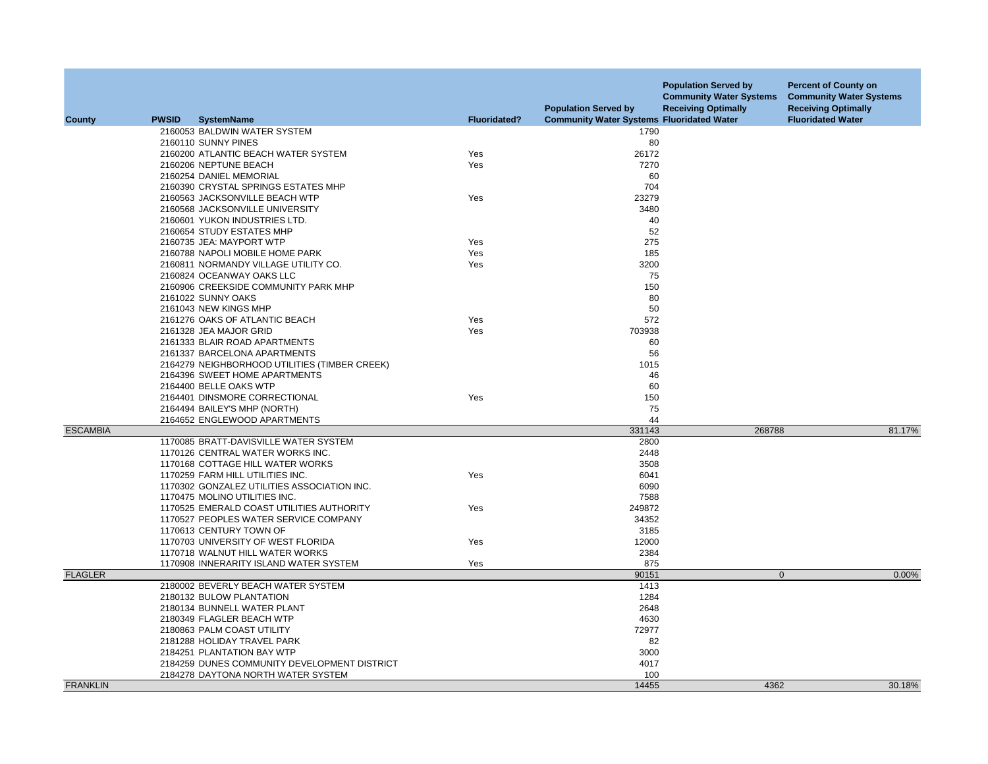|                 |              |                                               |                     | <b>Population Served by</b>                      | <b>Population Served by</b><br><b>Community Water Systems</b><br><b>Receiving Optimally</b> | <b>Percent of County on</b><br><b>Community Water Systems</b><br><b>Receiving Optimally</b> |
|-----------------|--------------|-----------------------------------------------|---------------------|--------------------------------------------------|---------------------------------------------------------------------------------------------|---------------------------------------------------------------------------------------------|
| <b>County</b>   | <b>PWSID</b> | <b>SystemName</b>                             | <b>Fluoridated?</b> | <b>Community Water Systems Fluoridated Water</b> |                                                                                             | <b>Fluoridated Water</b>                                                                    |
|                 |              | 2160053 BALDWIN WATER SYSTEM                  |                     | 1790                                             |                                                                                             |                                                                                             |
|                 |              | 2160110 SUNNY PINES                           |                     | 80                                               |                                                                                             |                                                                                             |
|                 |              | 2160200 ATLANTIC BEACH WATER SYSTEM           | Yes                 | 26172                                            |                                                                                             |                                                                                             |
|                 |              | 2160206 NEPTUNE BEACH                         | Yes                 | 7270                                             |                                                                                             |                                                                                             |
|                 |              | 2160254 DANIEL MEMORIAL                       |                     | 60                                               |                                                                                             |                                                                                             |
|                 |              | 2160390 CRYSTAL SPRINGS ESTATES MHP           |                     | 704                                              |                                                                                             |                                                                                             |
|                 |              | 2160563 JACKSONVILLE BEACH WTP                | Yes                 | 23279                                            |                                                                                             |                                                                                             |
|                 |              | 2160568 JACKSONVILLE UNIVERSITY               |                     | 3480                                             |                                                                                             |                                                                                             |
|                 |              | 2160601 YUKON INDUSTRIES LTD.                 |                     | 40                                               |                                                                                             |                                                                                             |
|                 |              | 2160654 STUDY ESTATES MHP                     |                     | 52                                               |                                                                                             |                                                                                             |
|                 |              | 2160735 JEA: MAYPORT WTP                      | Yes                 | 275                                              |                                                                                             |                                                                                             |
|                 |              | 2160788 NAPOLI MOBILE HOME PARK               | Yes                 | 185                                              |                                                                                             |                                                                                             |
|                 |              | 2160811 NORMANDY VILLAGE UTILITY CO.          | Yes                 | 3200                                             |                                                                                             |                                                                                             |
|                 |              | 2160824 OCEANWAY OAKS LLC                     |                     | 75                                               |                                                                                             |                                                                                             |
|                 |              | 2160906 CREEKSIDE COMMUNITY PARK MHP          |                     | 150                                              |                                                                                             |                                                                                             |
|                 |              | 2161022 SUNNY OAKS                            |                     | 80                                               |                                                                                             |                                                                                             |
|                 |              | 2161043 NEW KINGS MHP                         |                     | 50                                               |                                                                                             |                                                                                             |
|                 |              | 2161276 OAKS OF ATLANTIC BEACH                | Yes                 | 572                                              |                                                                                             |                                                                                             |
|                 |              | 2161328 JEA MAJOR GRID                        | Yes                 | 703938                                           |                                                                                             |                                                                                             |
|                 |              | 2161333 BLAIR ROAD APARTMENTS                 |                     | 60                                               |                                                                                             |                                                                                             |
|                 |              | 2161337 BARCELONA APARTMENTS                  |                     | 56                                               |                                                                                             |                                                                                             |
|                 |              | 2164279 NEIGHBORHOOD UTILITIES (TIMBER CREEK) |                     | 1015                                             |                                                                                             |                                                                                             |
|                 |              | 2164396 SWEET HOME APARTMENTS                 |                     | 46                                               |                                                                                             |                                                                                             |
|                 |              | 2164400 BELLE OAKS WTP                        |                     | 60                                               |                                                                                             |                                                                                             |
|                 |              | 2164401 DINSMORE CORRECTIONAL                 | Yes                 | 150                                              |                                                                                             |                                                                                             |
|                 |              | 2164494 BAILEY'S MHP (NORTH)                  |                     | 75                                               |                                                                                             |                                                                                             |
|                 |              | 2164652 ENGLEWOOD APARTMENTS                  |                     | 44                                               |                                                                                             |                                                                                             |
| <b>ESCAMBIA</b> |              |                                               |                     | 331143                                           | 268788                                                                                      | 81.17%                                                                                      |
|                 |              | 1170085 BRATT-DAVISVILLE WATER SYSTEM         |                     | 2800                                             |                                                                                             |                                                                                             |
|                 |              | 1170126 CENTRAL WATER WORKS INC.              |                     | 2448                                             |                                                                                             |                                                                                             |
|                 |              | 1170168 COTTAGE HILL WATER WORKS              |                     | 3508                                             |                                                                                             |                                                                                             |
|                 |              | 1170259 FARM HILL UTILITIES INC.              | Yes                 | 6041                                             |                                                                                             |                                                                                             |
|                 |              | 1170302 GONZALEZ UTILITIES ASSOCIATION INC.   |                     | 6090                                             |                                                                                             |                                                                                             |
|                 |              | 1170475 MOLINO UTILITIES INC.                 |                     | 7588                                             |                                                                                             |                                                                                             |
|                 |              | 1170525 EMERALD COAST UTILITIES AUTHORITY     | Yes                 | 249872                                           |                                                                                             |                                                                                             |
|                 |              | 1170527 PEOPLES WATER SERVICE COMPANY         |                     | 34352                                            |                                                                                             |                                                                                             |
|                 |              | 1170613 CENTURY TOWN OF                       |                     | 3185                                             |                                                                                             |                                                                                             |
|                 |              | 1170703 UNIVERSITY OF WEST FLORIDA            | Yes                 | 12000                                            |                                                                                             |                                                                                             |
|                 |              | 1170718 WALNUT HILL WATER WORKS               |                     | 2384                                             |                                                                                             |                                                                                             |
|                 |              | 1170908 INNERARITY ISLAND WATER SYSTEM        | Yes                 | 875                                              |                                                                                             |                                                                                             |
| <b>FLAGLER</b>  |              |                                               |                     | 90151                                            | $\mathbf{0}$                                                                                | 0.00%                                                                                       |
|                 |              | 2180002 BEVERLY BEACH WATER SYSTEM            |                     | 1413                                             |                                                                                             |                                                                                             |
|                 |              | 2180132 BULOW PLANTATION                      |                     | 1284                                             |                                                                                             |                                                                                             |
|                 |              | 2180134 BUNNELL WATER PLANT                   |                     | 2648                                             |                                                                                             |                                                                                             |
|                 |              | 2180349 FLAGLER BEACH WTP                     |                     | 4630                                             |                                                                                             |                                                                                             |
|                 |              | 2180863 PALM COAST UTILITY                    |                     | 72977                                            |                                                                                             |                                                                                             |
|                 |              | 2181288 HOLIDAY TRAVEL PARK                   |                     | 82                                               |                                                                                             |                                                                                             |
|                 |              | 2184251 PLANTATION BAY WTP                    |                     | 3000                                             |                                                                                             |                                                                                             |
|                 |              | 2184259 DUNES COMMUNITY DEVELOPMENT DISTRICT  |                     | 4017                                             |                                                                                             |                                                                                             |
|                 |              | 2184278 DAYTONA NORTH WATER SYSTEM            |                     | 100                                              |                                                                                             |                                                                                             |
| <b>FRANKLIN</b> |              |                                               |                     | 14455                                            | 4362                                                                                        | 30.18%                                                                                      |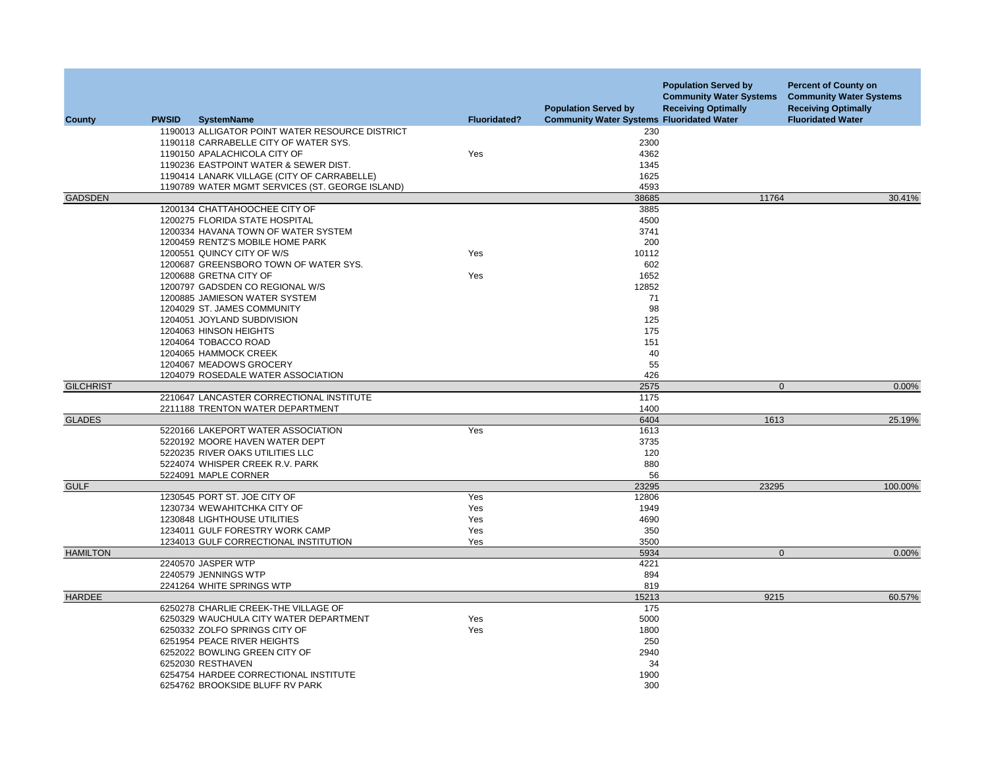|                  |              |                                                 |                     | <b>Population Served by</b>                      | <b>Population Served by</b><br><b>Community Water Systems</b><br><b>Receiving Optimally</b> | <b>Percent of County on</b><br><b>Community Water Systems</b><br><b>Receiving Optimally</b> |
|------------------|--------------|-------------------------------------------------|---------------------|--------------------------------------------------|---------------------------------------------------------------------------------------------|---------------------------------------------------------------------------------------------|
| County           | <b>PWSID</b> | <b>SystemName</b>                               | <b>Fluoridated?</b> | <b>Community Water Systems Fluoridated Water</b> |                                                                                             | <b>Fluoridated Water</b>                                                                    |
|                  |              | 1190013 ALLIGATOR POINT WATER RESOURCE DISTRICT |                     | 230                                              |                                                                                             |                                                                                             |
|                  |              | 1190118 CARRABELLE CITY OF WATER SYS.           |                     | 2300                                             |                                                                                             |                                                                                             |
|                  |              | 1190150 APALACHICOLA CITY OF                    | Yes                 | 4362                                             |                                                                                             |                                                                                             |
|                  |              | 1190236 EASTPOINT WATER & SEWER DIST.           |                     | 1345                                             |                                                                                             |                                                                                             |
|                  |              | 1190414 LANARK VILLAGE (CITY OF CARRABELLE)     |                     | 1625                                             |                                                                                             |                                                                                             |
|                  |              | 1190789 WATER MGMT SERVICES (ST. GEORGE ISLAND) |                     | 4593                                             |                                                                                             |                                                                                             |
| <b>GADSDEN</b>   |              |                                                 |                     | 38685                                            | 11764                                                                                       | 30.41%                                                                                      |
|                  |              | 1200134 CHATTAHOOCHEE CITY OF                   |                     | 3885                                             |                                                                                             |                                                                                             |
|                  |              | 1200275 FLORIDA STATE HOSPITAL                  |                     | 4500                                             |                                                                                             |                                                                                             |
|                  |              | 1200334 HAVANA TOWN OF WATER SYSTEM             |                     | 3741                                             |                                                                                             |                                                                                             |
|                  |              | 1200459 RENTZ'S MOBILE HOME PARK                |                     | 200                                              |                                                                                             |                                                                                             |
|                  |              | 1200551 QUINCY CITY OF W/S                      | Yes                 | 10112                                            |                                                                                             |                                                                                             |
|                  |              | 1200687 GREENSBORO TOWN OF WATER SYS.           |                     | 602                                              |                                                                                             |                                                                                             |
|                  |              | 1200688 GRETNA CITY OF                          | Yes                 | 1652                                             |                                                                                             |                                                                                             |
|                  |              | 1200797 GADSDEN CO REGIONAL W/S                 |                     | 12852                                            |                                                                                             |                                                                                             |
|                  |              | 1200885 JAMIESON WATER SYSTEM                   |                     | 71                                               |                                                                                             |                                                                                             |
|                  |              | 1204029 ST. JAMES COMMUNITY                     |                     | 98                                               |                                                                                             |                                                                                             |
|                  |              | 1204051 JOYLAND SUBDIVISION                     |                     | 125                                              |                                                                                             |                                                                                             |
|                  |              | 1204063 HINSON HEIGHTS                          |                     | 175                                              |                                                                                             |                                                                                             |
|                  |              | 1204064 TOBACCO ROAD                            |                     | 151                                              |                                                                                             |                                                                                             |
|                  |              | 1204065 HAMMOCK CREEK                           |                     | 40                                               |                                                                                             |                                                                                             |
|                  |              | 1204067 MEADOWS GROCERY                         |                     | 55                                               |                                                                                             |                                                                                             |
|                  |              | 1204079 ROSEDALE WATER ASSOCIATION              |                     | 426                                              |                                                                                             |                                                                                             |
| <b>GILCHRIST</b> |              |                                                 |                     | 2575                                             | $\mathbf 0$                                                                                 | 0.00%                                                                                       |
|                  |              | 2210647 LANCASTER CORRECTIONAL INSTITUTE        |                     | 1175                                             |                                                                                             |                                                                                             |
|                  |              | 2211188 TRENTON WATER DEPARTMENT                |                     | 1400                                             |                                                                                             |                                                                                             |
| <b>GLADES</b>    |              |                                                 |                     | 6404                                             | 1613                                                                                        | 25.19%                                                                                      |
|                  |              | 5220166 LAKEPORT WATER ASSOCIATION              | Yes                 | 1613                                             |                                                                                             |                                                                                             |
|                  |              | 5220192 MOORE HAVEN WATER DEPT                  |                     | 3735                                             |                                                                                             |                                                                                             |
|                  |              | 5220235 RIVER OAKS UTILITIES LLC                |                     | 120                                              |                                                                                             |                                                                                             |
|                  |              | 5224074 WHISPER CREEK R.V. PARK                 |                     | 880                                              |                                                                                             |                                                                                             |
|                  |              | 5224091 MAPLE CORNER                            |                     | 56                                               |                                                                                             |                                                                                             |
| <b>GULF</b>      |              |                                                 |                     | 23295                                            | 23295                                                                                       | 100.00%                                                                                     |
|                  |              | 1230545 PORT ST. JOE CITY OF                    | Yes                 | 12806                                            |                                                                                             |                                                                                             |
|                  |              | 1230734 WEWAHITCHKA CITY OF                     | Yes                 | 1949                                             |                                                                                             |                                                                                             |
|                  |              | 1230848 LIGHTHOUSE UTILITIES                    | Yes                 | 4690                                             |                                                                                             |                                                                                             |
|                  |              | 1234011 GULF FORESTRY WORK CAMP                 | Yes                 | 350                                              |                                                                                             |                                                                                             |
|                  |              | 1234013 GULF CORRECTIONAL INSTITUTION           | Yes                 | 3500                                             |                                                                                             |                                                                                             |
| <b>HAMILTON</b>  |              |                                                 |                     | 5934                                             | $\mathbf{0}$                                                                                | 0.00%                                                                                       |
|                  |              | 2240570 JASPER WTP                              |                     | 4221                                             |                                                                                             |                                                                                             |
|                  |              | 2240579 JENNINGS WTP                            |                     | 894                                              |                                                                                             |                                                                                             |
|                  |              | 2241264 WHITE SPRINGS WTP                       |                     | 819                                              |                                                                                             |                                                                                             |
| <b>HARDEE</b>    |              |                                                 |                     | 15213                                            | 9215                                                                                        | 60.57%                                                                                      |
|                  |              | 6250278 CHARLIE CREEK-THE VILLAGE OF            |                     | 175                                              |                                                                                             |                                                                                             |
|                  |              | 6250329 WAUCHULA CITY WATER DEPARTMENT          | Yes                 | 5000                                             |                                                                                             |                                                                                             |
|                  |              | 6250332 ZOLFO SPRINGS CITY OF                   | Yes                 | 1800                                             |                                                                                             |                                                                                             |
|                  |              | 6251954 PEACE RIVER HEIGHTS                     |                     | 250                                              |                                                                                             |                                                                                             |
|                  |              | 6252022 BOWLING GREEN CITY OF                   |                     | 2940                                             |                                                                                             |                                                                                             |
|                  |              | 6252030 RESTHAVEN                               |                     | 34                                               |                                                                                             |                                                                                             |
|                  |              | 6254754 HARDEE CORRECTIONAL INSTITUTE           |                     | 1900                                             |                                                                                             |                                                                                             |
|                  |              | 6254762 BROOKSIDE BLUFF RV PARK                 |                     | 300                                              |                                                                                             |                                                                                             |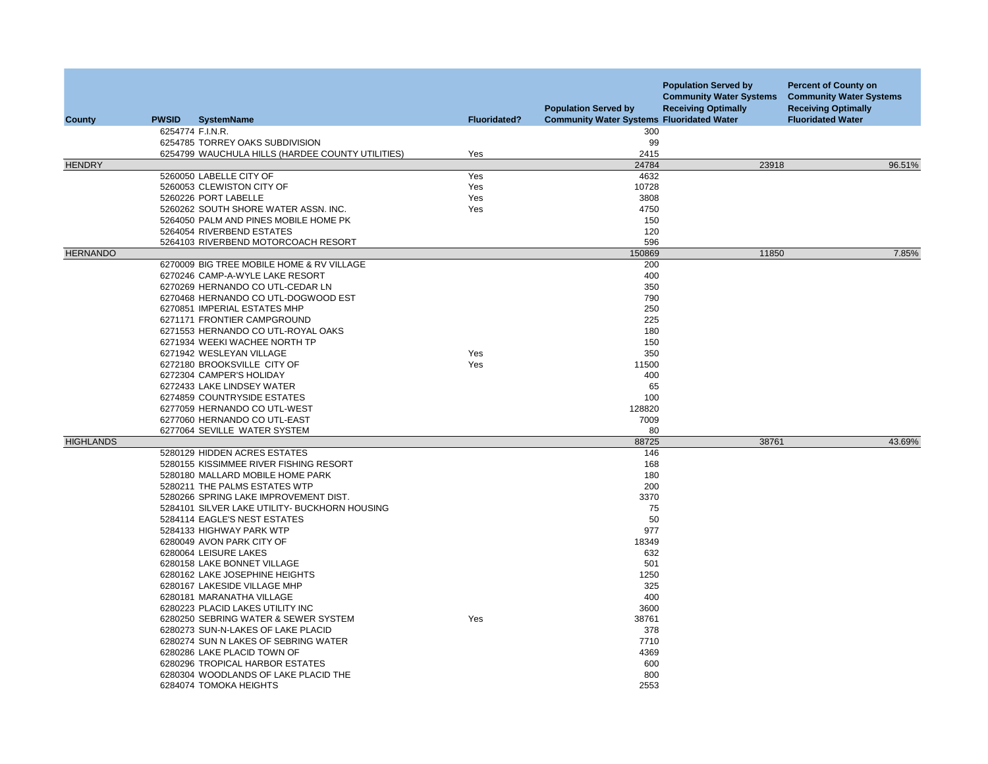| <b>County</b>    | <b>PWSID</b> | <b>SystemName</b>                                | <b>Fluoridated?</b> | <b>Population Served by</b><br><b>Community Water Systems Fluoridated Water</b> | <b>Population Served by</b><br><b>Community Water Systems</b><br><b>Receiving Optimally</b> | <b>Percent of County on</b><br><b>Community Water Systems</b><br><b>Receiving Optimally</b><br><b>Fluoridated Water</b> |
|------------------|--------------|--------------------------------------------------|---------------------|---------------------------------------------------------------------------------|---------------------------------------------------------------------------------------------|-------------------------------------------------------------------------------------------------------------------------|
|                  |              | 6254774 F.I.N.R.                                 |                     | 300                                                                             |                                                                                             |                                                                                                                         |
|                  |              | 6254785 TORREY OAKS SUBDIVISION                  |                     | 99                                                                              |                                                                                             |                                                                                                                         |
| <b>HENDRY</b>    |              | 6254799 WAUCHULA HILLS (HARDEE COUNTY UTILITIES) | Yes                 | 2415<br>24784                                                                   | 23918                                                                                       | 96.51%                                                                                                                  |
|                  |              | 5260050 LABELLE CITY OF                          | Yes                 | 4632                                                                            |                                                                                             |                                                                                                                         |
|                  |              | 5260053 CLEWISTON CITY OF                        | Yes                 | 10728                                                                           |                                                                                             |                                                                                                                         |
|                  |              | 5260226 PORT LABELLE                             | Yes                 | 3808                                                                            |                                                                                             |                                                                                                                         |
|                  |              | 5260262 SOUTH SHORE WATER ASSN. INC.             | Yes                 | 4750                                                                            |                                                                                             |                                                                                                                         |
|                  |              | 5264050 PALM AND PINES MOBILE HOME PK            |                     | 150                                                                             |                                                                                             |                                                                                                                         |
|                  |              | 5264054 RIVERBEND ESTATES                        |                     | 120                                                                             |                                                                                             |                                                                                                                         |
|                  |              | 5264103 RIVERBEND MOTORCOACH RESORT              |                     | 596                                                                             |                                                                                             |                                                                                                                         |
| <b>HERNANDO</b>  |              |                                                  |                     | 150869                                                                          | 11850                                                                                       | 7.85%                                                                                                                   |
|                  |              | 6270009 BIG TREE MOBILE HOME & RV VILLAGE        |                     | 200                                                                             |                                                                                             |                                                                                                                         |
|                  |              | 6270246 CAMP-A-WYLE LAKE RESORT                  |                     | 400                                                                             |                                                                                             |                                                                                                                         |
|                  |              | 6270269 HERNANDO CO UTL-CEDAR LN                 |                     | 350                                                                             |                                                                                             |                                                                                                                         |
|                  |              | 6270468 HERNANDO CO UTL-DOGWOOD EST              |                     | 790                                                                             |                                                                                             |                                                                                                                         |
|                  |              | 6270851 IMPERIAL ESTATES MHP                     |                     | 250                                                                             |                                                                                             |                                                                                                                         |
|                  |              | 6271171 FRONTIER CAMPGROUND                      |                     | 225                                                                             |                                                                                             |                                                                                                                         |
|                  |              | 6271553 HERNANDO CO UTL-ROYAL OAKS               |                     | 180                                                                             |                                                                                             |                                                                                                                         |
|                  |              | 6271934 WEEKI WACHEE NORTH TP                    |                     | 150                                                                             |                                                                                             |                                                                                                                         |
|                  |              | 6271942 WESLEYAN VILLAGE                         | Yes                 | 350                                                                             |                                                                                             |                                                                                                                         |
|                  |              | 6272180 BROOKSVILLE CITY OF                      | Yes                 | 11500                                                                           |                                                                                             |                                                                                                                         |
|                  |              | 6272304 CAMPER'S HOLIDAY                         |                     | 400                                                                             |                                                                                             |                                                                                                                         |
|                  |              | 6272433 LAKE LINDSEY WATER                       |                     | 65                                                                              |                                                                                             |                                                                                                                         |
|                  |              | 6274859 COUNTRYSIDE ESTATES                      |                     | 100                                                                             |                                                                                             |                                                                                                                         |
|                  |              | 6277059 HERNANDO CO UTL-WEST                     |                     | 128820                                                                          |                                                                                             |                                                                                                                         |
|                  |              | 6277060 HERNANDO CO UTL-EAST                     |                     | 7009                                                                            |                                                                                             |                                                                                                                         |
|                  |              | 6277064 SEVILLE WATER SYSTEM                     |                     | 80                                                                              |                                                                                             |                                                                                                                         |
| <b>HIGHLANDS</b> |              | 5280129 HIDDEN ACRES ESTATES                     |                     | 88725<br>146                                                                    | 38761                                                                                       | 43.69%                                                                                                                  |
|                  |              | 5280155 KISSIMMEE RIVER FISHING RESORT           |                     | 168                                                                             |                                                                                             |                                                                                                                         |
|                  |              | 5280180 MALLARD MOBILE HOME PARK                 |                     | 180                                                                             |                                                                                             |                                                                                                                         |
|                  |              | 5280211 THE PALMS ESTATES WTP                    |                     | 200                                                                             |                                                                                             |                                                                                                                         |
|                  |              | 5280266 SPRING LAKE IMPROVEMENT DIST.            |                     | 3370                                                                            |                                                                                             |                                                                                                                         |
|                  |              | 5284101 SILVER LAKE UTILITY- BUCKHORN HOUSING    |                     | 75                                                                              |                                                                                             |                                                                                                                         |
|                  |              | 5284114 EAGLE'S NEST ESTATES                     |                     | 50                                                                              |                                                                                             |                                                                                                                         |
|                  |              | 5284133 HIGHWAY PARK WTP                         |                     | 977                                                                             |                                                                                             |                                                                                                                         |
|                  |              | 6280049 AVON PARK CITY OF                        |                     | 18349                                                                           |                                                                                             |                                                                                                                         |
|                  |              | 6280064 LEISURE LAKES                            |                     | 632                                                                             |                                                                                             |                                                                                                                         |
|                  |              | 6280158 LAKE BONNET VILLAGE                      |                     | 501                                                                             |                                                                                             |                                                                                                                         |
|                  |              | 6280162 LAKE JOSEPHINE HEIGHTS                   |                     | 1250                                                                            |                                                                                             |                                                                                                                         |
|                  |              | 6280167 LAKESIDE VILLAGE MHP                     |                     | 325                                                                             |                                                                                             |                                                                                                                         |
|                  |              | 6280181 MARANATHA VILLAGE                        |                     | 400                                                                             |                                                                                             |                                                                                                                         |
|                  |              | 6280223 PLACID LAKES UTILITY INC                 |                     | 3600                                                                            |                                                                                             |                                                                                                                         |
|                  |              | 6280250 SEBRING WATER & SEWER SYSTEM             | Yes                 | 38761                                                                           |                                                                                             |                                                                                                                         |
|                  |              | 6280273 SUN-N-LAKES OF LAKE PLACID               |                     | 378                                                                             |                                                                                             |                                                                                                                         |
|                  |              | 6280274 SUN N LAKES OF SEBRING WATER             |                     | 7710                                                                            |                                                                                             |                                                                                                                         |
|                  |              | 6280286 LAKE PLACID TOWN OF                      |                     | 4369                                                                            |                                                                                             |                                                                                                                         |
|                  |              | 6280296 TROPICAL HARBOR ESTATES                  |                     | 600                                                                             |                                                                                             |                                                                                                                         |
|                  |              | 6280304 WOODLANDS OF LAKE PLACID THE             |                     | 800                                                                             |                                                                                             |                                                                                                                         |
|                  |              | 6284074 TOMOKA HEIGHTS                           |                     | 2553                                                                            |                                                                                             |                                                                                                                         |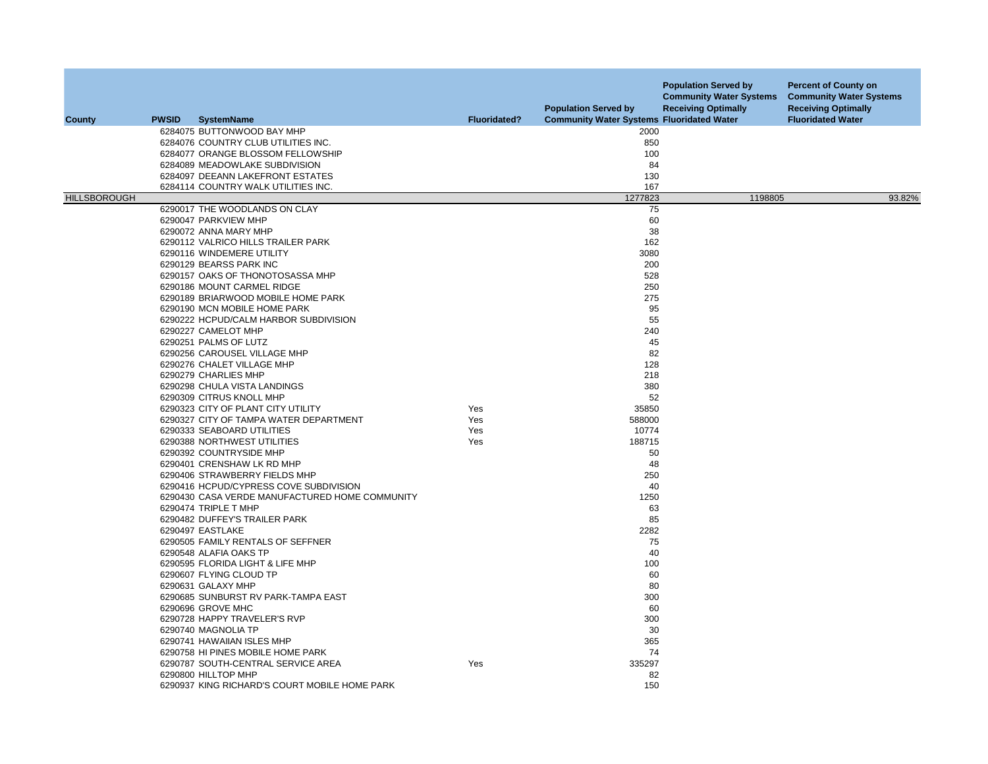| County              | <b>PWSID</b> | <b>SystemName</b>                              | <b>Fluoridated?</b> | <b>Population Served by</b><br><b>Community Water Systems Fluoridated Water</b> | <b>Population Served by</b><br><b>Community Water Systems</b><br><b>Receiving Optimally</b> | <b>Percent of County on</b><br><b>Community Water Systems</b><br><b>Receiving Optimally</b><br><b>Fluoridated Water</b> |
|---------------------|--------------|------------------------------------------------|---------------------|---------------------------------------------------------------------------------|---------------------------------------------------------------------------------------------|-------------------------------------------------------------------------------------------------------------------------|
|                     |              | 6284075 BUTTONWOOD BAY MHP                     |                     | 2000                                                                            |                                                                                             |                                                                                                                         |
|                     |              | 6284076 COUNTRY CLUB UTILITIES INC.            |                     | 850                                                                             |                                                                                             |                                                                                                                         |
|                     |              | 6284077 ORANGE BLOSSOM FELLOWSHIP              |                     | 100                                                                             |                                                                                             |                                                                                                                         |
|                     |              | 6284089 MEADOWLAKE SUBDIVISION                 |                     | 84                                                                              |                                                                                             |                                                                                                                         |
|                     |              | 6284097 DEEANN LAKEFRONT ESTATES               |                     | 130                                                                             |                                                                                             |                                                                                                                         |
|                     |              | 6284114 COUNTRY WALK UTILITIES INC.            |                     | 167                                                                             |                                                                                             |                                                                                                                         |
| <b>HILLSBOROUGH</b> |              |                                                |                     | 1277823                                                                         | 1198805                                                                                     | 93.82%                                                                                                                  |
|                     |              | 6290017 THE WOODLANDS ON CLAY                  |                     | 75                                                                              |                                                                                             |                                                                                                                         |
|                     |              | 6290047 PARKVIEW MHP                           |                     | 60                                                                              |                                                                                             |                                                                                                                         |
|                     |              | 6290072 ANNA MARY MHP                          |                     | 38                                                                              |                                                                                             |                                                                                                                         |
|                     |              | 6290112 VALRICO HILLS TRAILER PARK             |                     | 162                                                                             |                                                                                             |                                                                                                                         |
|                     |              | 6290116 WINDEMERE UTILITY                      |                     | 3080                                                                            |                                                                                             |                                                                                                                         |
|                     |              | 6290129 BEARSS PARK INC                        |                     | 200                                                                             |                                                                                             |                                                                                                                         |
|                     |              | 6290157 OAKS OF THONOTOSASSA MHP               |                     | 528                                                                             |                                                                                             |                                                                                                                         |
|                     |              |                                                |                     |                                                                                 |                                                                                             |                                                                                                                         |
|                     |              | 6290186 MOUNT CARMEL RIDGE                     |                     | 250                                                                             |                                                                                             |                                                                                                                         |
|                     |              | 6290189 BRIARWOOD MOBILE HOME PARK             |                     | 275                                                                             |                                                                                             |                                                                                                                         |
|                     |              | 6290190 MCN MOBILE HOME PARK                   |                     | 95                                                                              |                                                                                             |                                                                                                                         |
|                     |              | 6290222 HCPUD/CALM HARBOR SUBDIVISION          |                     | 55                                                                              |                                                                                             |                                                                                                                         |
|                     |              | 6290227 CAMELOT MHP                            |                     | 240                                                                             |                                                                                             |                                                                                                                         |
|                     |              | 6290251 PALMS OF LUTZ                          |                     | 45                                                                              |                                                                                             |                                                                                                                         |
|                     |              | 6290256 CAROUSEL VILLAGE MHP                   |                     | 82                                                                              |                                                                                             |                                                                                                                         |
|                     |              | 6290276 CHALET VILLAGE MHP                     |                     | 128                                                                             |                                                                                             |                                                                                                                         |
|                     |              | 6290279 CHARLIES MHP                           |                     | 218                                                                             |                                                                                             |                                                                                                                         |
|                     |              | 6290298 CHULA VISTA LANDINGS                   |                     | 380                                                                             |                                                                                             |                                                                                                                         |
|                     |              | 6290309 CITRUS KNOLL MHP                       |                     | 52                                                                              |                                                                                             |                                                                                                                         |
|                     |              | 6290323 CITY OF PLANT CITY UTILITY             | Yes                 | 35850                                                                           |                                                                                             |                                                                                                                         |
|                     |              | 6290327 CITY OF TAMPA WATER DEPARTMENT         | Yes                 | 588000                                                                          |                                                                                             |                                                                                                                         |
|                     |              | 6290333 SEABOARD UTILITIES                     | Yes                 | 10774                                                                           |                                                                                             |                                                                                                                         |
|                     |              | 6290388 NORTHWEST UTILITIES                    | Yes                 | 188715                                                                          |                                                                                             |                                                                                                                         |
|                     |              | 6290392 COUNTRYSIDE MHP                        |                     | 50                                                                              |                                                                                             |                                                                                                                         |
|                     |              | 6290401 CRENSHAW LK RD MHP                     |                     | 48                                                                              |                                                                                             |                                                                                                                         |
|                     |              | 6290406 STRAWBERRY FIELDS MHP                  |                     | 250                                                                             |                                                                                             |                                                                                                                         |
|                     |              | 6290416 HCPUD/CYPRESS COVE SUBDIVISION         |                     | 40                                                                              |                                                                                             |                                                                                                                         |
|                     |              | 6290430 CASA VERDE MANUFACTURED HOME COMMUNITY |                     | 1250                                                                            |                                                                                             |                                                                                                                         |
|                     |              | 6290474 TRIPLE T MHP                           |                     | 63                                                                              |                                                                                             |                                                                                                                         |
|                     |              | 6290482 DUFFEY'S TRAILER PARK                  |                     | 85                                                                              |                                                                                             |                                                                                                                         |
|                     |              | 6290497 EASTLAKE                               |                     | 2282                                                                            |                                                                                             |                                                                                                                         |
|                     |              | 6290505 FAMILY RENTALS OF SEFFNER              |                     | 75                                                                              |                                                                                             |                                                                                                                         |
|                     |              | 6290548 ALAFIA OAKS TP                         |                     | 40                                                                              |                                                                                             |                                                                                                                         |
|                     |              |                                                |                     |                                                                                 |                                                                                             |                                                                                                                         |
|                     |              | 6290595 FLORIDA LIGHT & LIFE MHP               |                     | 100                                                                             |                                                                                             |                                                                                                                         |
|                     |              | 6290607 FLYING CLOUD TP                        |                     | 60                                                                              |                                                                                             |                                                                                                                         |
|                     |              | 6290631 GALAXY MHP                             |                     | 80                                                                              |                                                                                             |                                                                                                                         |
|                     |              | 6290685 SUNBURST RV PARK-TAMPA EAST            |                     | 300                                                                             |                                                                                             |                                                                                                                         |
|                     |              | 6290696 GROVE MHC                              |                     | 60                                                                              |                                                                                             |                                                                                                                         |
|                     |              | 6290728 HAPPY TRAVELER'S RVP                   |                     | 300                                                                             |                                                                                             |                                                                                                                         |
|                     |              | 6290740 MAGNOLIA TP                            |                     | 30                                                                              |                                                                                             |                                                                                                                         |
|                     |              | 6290741 HAWAIIAN ISLES MHP                     |                     | 365                                                                             |                                                                                             |                                                                                                                         |
|                     |              | 6290758 HI PINES MOBILE HOME PARK              |                     | 74                                                                              |                                                                                             |                                                                                                                         |
|                     |              | 6290787 SOUTH-CENTRAL SERVICE AREA             | Yes                 | 335297                                                                          |                                                                                             |                                                                                                                         |
|                     |              | 6290800 HILLTOP MHP                            |                     | 82                                                                              |                                                                                             |                                                                                                                         |
|                     |              | 6290937 KING RICHARD'S COURT MOBILE HOME PARK  |                     | 150                                                                             |                                                                                             |                                                                                                                         |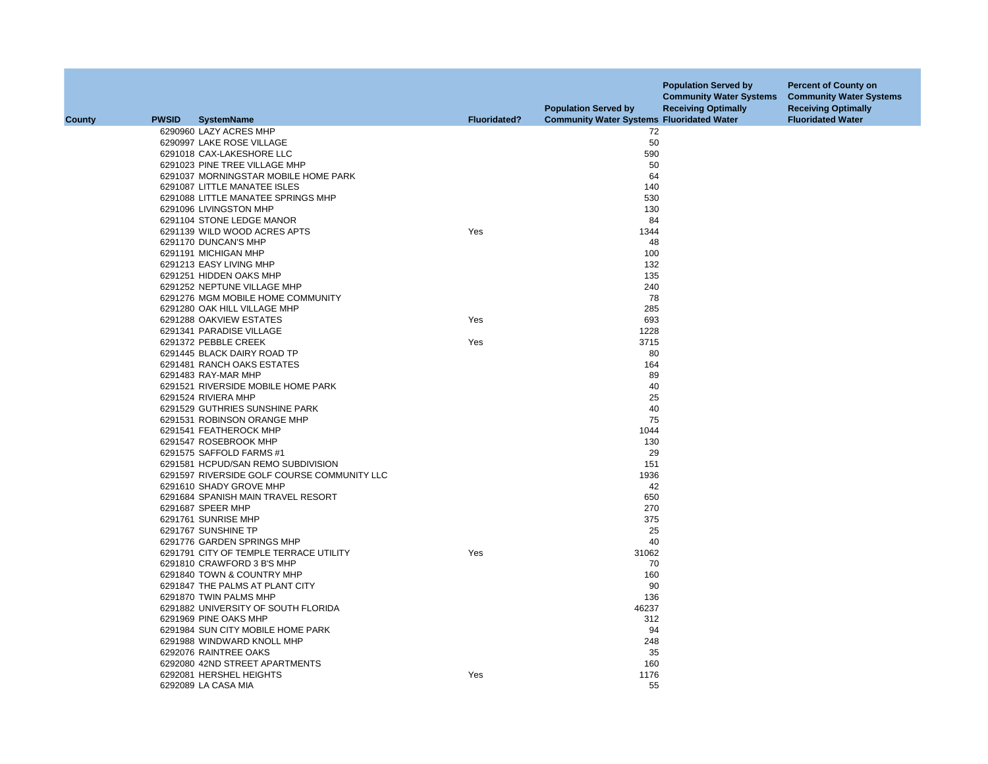|               |              |                                                               |                     | <b>Population Served by</b>                      | <b>Population Served by</b><br><b>Community Water Systems</b><br><b>Receiving Optimally</b> | <b>Percent of County on</b><br><b>Community Water Systems</b><br><b>Receiving Optimally</b> |
|---------------|--------------|---------------------------------------------------------------|---------------------|--------------------------------------------------|---------------------------------------------------------------------------------------------|---------------------------------------------------------------------------------------------|
| <b>County</b> | <b>PWSID</b> | <b>SystemName</b>                                             | <b>Fluoridated?</b> | <b>Community Water Systems Fluoridated Water</b> |                                                                                             | <b>Fluoridated Water</b>                                                                    |
|               |              | 6290960 LAZY ACRES MHP                                        |                     | 72                                               |                                                                                             |                                                                                             |
|               |              | 6290997 LAKE ROSE VILLAGE                                     |                     | 50                                               |                                                                                             |                                                                                             |
|               |              | 6291018 CAX-LAKESHORE LLC                                     |                     | 590                                              |                                                                                             |                                                                                             |
|               |              | 6291023 PINE TREE VILLAGE MHP                                 |                     | 50                                               |                                                                                             |                                                                                             |
|               |              | 6291037 MORNINGSTAR MOBILE HOME PARK                          |                     | 64                                               |                                                                                             |                                                                                             |
|               |              | 6291087 LITTLE MANATEE ISLES                                  |                     | 140                                              |                                                                                             |                                                                                             |
|               |              | 6291088 LITTLE MANATEE SPRINGS MHP                            |                     | 530                                              |                                                                                             |                                                                                             |
|               |              | 6291096 LIVINGSTON MHP                                        |                     | 130                                              |                                                                                             |                                                                                             |
|               |              | 6291104 STONE LEDGE MANOR                                     |                     | 84                                               |                                                                                             |                                                                                             |
|               |              | 6291139 WILD WOOD ACRES APTS                                  | Yes                 | 1344                                             |                                                                                             |                                                                                             |
|               |              | 6291170 DUNCAN'S MHP                                          |                     | 48                                               |                                                                                             |                                                                                             |
|               |              | 6291191 MICHIGAN MHP                                          |                     | 100                                              |                                                                                             |                                                                                             |
|               |              | 6291213 EASY LIVING MHP                                       |                     | 132                                              |                                                                                             |                                                                                             |
|               |              | 6291251 HIDDEN OAKS MHP                                       |                     | 135                                              |                                                                                             |                                                                                             |
|               |              | 6291252 NEPTUNE VILLAGE MHP                                   |                     | 240                                              |                                                                                             |                                                                                             |
|               |              | 6291276 MGM MOBILE HOME COMMUNITY                             |                     | 78                                               |                                                                                             |                                                                                             |
|               |              | 6291280 OAK HILL VILLAGE MHP                                  |                     | 285                                              |                                                                                             |                                                                                             |
|               |              | 6291288 OAKVIEW ESTATES                                       | Yes                 | 693                                              |                                                                                             |                                                                                             |
|               |              | 6291341 PARADISE VILLAGE                                      |                     | 1228                                             |                                                                                             |                                                                                             |
|               |              | 6291372 PEBBLE CREEK                                          | Yes                 | 3715                                             |                                                                                             |                                                                                             |
|               |              | 6291445 BLACK DAIRY ROAD TP                                   |                     | 80                                               |                                                                                             |                                                                                             |
|               |              | 6291481 RANCH OAKS ESTATES                                    |                     | 164                                              |                                                                                             |                                                                                             |
|               |              | 6291483 RAY-MAR MHP                                           |                     | 89                                               |                                                                                             |                                                                                             |
|               |              | 6291521 RIVERSIDE MOBILE HOME PARK                            |                     | 40                                               |                                                                                             |                                                                                             |
|               |              | 6291524 RIVIERA MHP                                           |                     | 25                                               |                                                                                             |                                                                                             |
|               |              | 6291529 GUTHRIES SUNSHINE PARK                                |                     | 40                                               |                                                                                             |                                                                                             |
|               |              | 6291531 ROBINSON ORANGE MHP                                   |                     | 75                                               |                                                                                             |                                                                                             |
|               |              | 6291541 FEATHEROCK MHP                                        |                     | 1044                                             |                                                                                             |                                                                                             |
|               |              | 6291547 ROSEBROOK MHP                                         |                     | 130                                              |                                                                                             |                                                                                             |
|               |              | 6291575 SAFFOLD FARMS #1                                      |                     | 29                                               |                                                                                             |                                                                                             |
|               |              | 6291581 HCPUD/SAN REMO SUBDIVISION                            |                     | 151                                              |                                                                                             |                                                                                             |
|               |              | 6291597 RIVERSIDE GOLF COURSE COMMUNITY LLC                   |                     | 1936                                             |                                                                                             |                                                                                             |
|               |              | 6291610 SHADY GROVE MHP                                       |                     | 42                                               |                                                                                             |                                                                                             |
|               |              | 6291684 SPANISH MAIN TRAVEL RESORT                            |                     | 650                                              |                                                                                             |                                                                                             |
|               |              | 6291687 SPEER MHP                                             |                     | 270                                              |                                                                                             |                                                                                             |
|               |              | 6291761 SUNRISE MHP                                           |                     | 375                                              |                                                                                             |                                                                                             |
|               |              | 6291767 SUNSHINE TP                                           |                     | 25                                               |                                                                                             |                                                                                             |
|               |              | 6291776 GARDEN SPRINGS MHP                                    |                     | 40                                               |                                                                                             |                                                                                             |
|               |              | 6291791 CITY OF TEMPLE TERRACE UTILITY                        | Yes                 | 31062                                            |                                                                                             |                                                                                             |
|               |              | 6291810 CRAWFORD 3 B'S MHP                                    |                     | 70                                               |                                                                                             |                                                                                             |
|               |              |                                                               |                     |                                                  |                                                                                             |                                                                                             |
|               |              | 6291840 TOWN & COUNTRY MHP<br>6291847 THE PALMS AT PLANT CITY |                     | 160<br>90                                        |                                                                                             |                                                                                             |
|               |              | 6291870 TWIN PALMS MHP                                        |                     | 136                                              |                                                                                             |                                                                                             |
|               |              | 6291882 UNIVERSITY OF SOUTH FLORIDA                           |                     | 46237                                            |                                                                                             |                                                                                             |
|               |              | 6291969 PINE OAKS MHP                                         |                     |                                                  |                                                                                             |                                                                                             |
|               |              |                                                               |                     | 312<br>94                                        |                                                                                             |                                                                                             |
|               |              | 6291984 SUN CITY MOBILE HOME PARK                             |                     | 248                                              |                                                                                             |                                                                                             |
|               |              | 6291988 WINDWARD KNOLL MHP                                    |                     |                                                  |                                                                                             |                                                                                             |
|               |              | 6292076 RAINTREE OAKS                                         |                     | 35                                               |                                                                                             |                                                                                             |
|               |              | 6292080 42ND STREET APARTMENTS                                |                     | 160                                              |                                                                                             |                                                                                             |
|               |              | 6292081 HERSHEL HEIGHTS                                       | Yes                 | 1176                                             |                                                                                             |                                                                                             |
|               |              | 6292089 LA CASA MIA                                           |                     | 55                                               |                                                                                             |                                                                                             |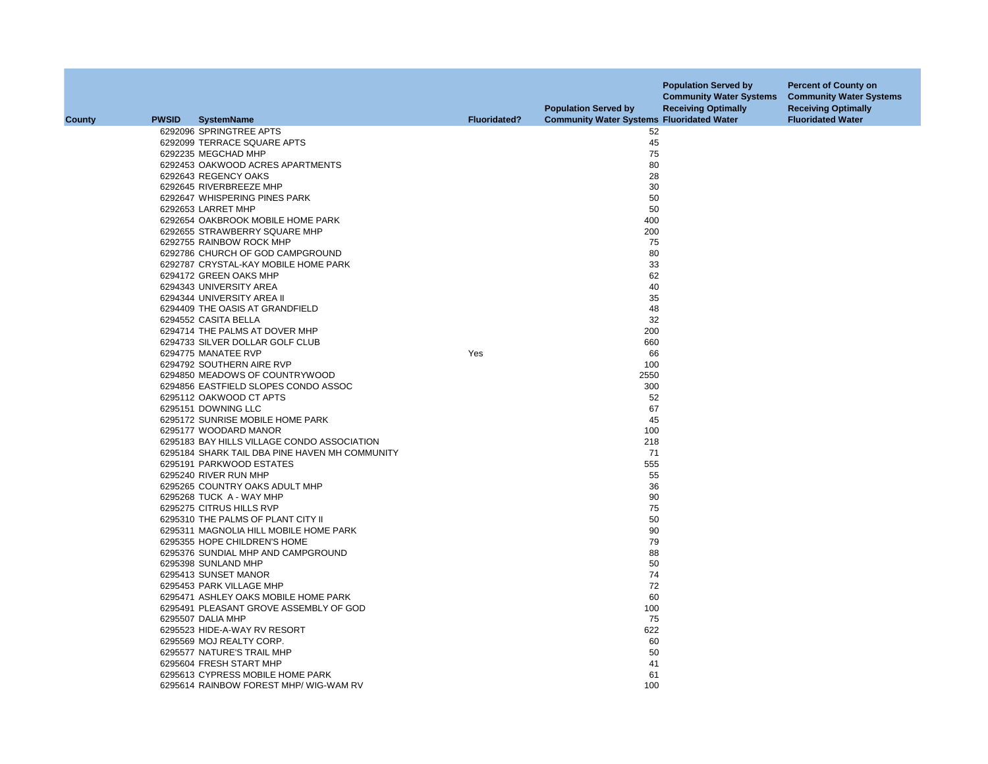| <b>County</b> | <b>PWSID</b> | <b>SystemName</b>                              | <b>Fluoridated?</b> | <b>Population Served by</b><br><b>Community Water Systems Fluoridated Water</b> | <b>Population Served by</b><br><b>Community Water Systems</b><br><b>Receiving Optimally</b> | <b>Percent of County on</b><br><b>Community Water Systems</b><br><b>Receiving Optimally</b><br><b>Fluoridated Water</b> |
|---------------|--------------|------------------------------------------------|---------------------|---------------------------------------------------------------------------------|---------------------------------------------------------------------------------------------|-------------------------------------------------------------------------------------------------------------------------|
|               |              |                                                |                     |                                                                                 |                                                                                             |                                                                                                                         |
|               |              | 6292096 SPRINGTREE APTS                        |                     | 52                                                                              |                                                                                             |                                                                                                                         |
|               |              | 6292099 TERRACE SQUARE APTS                    |                     | 45                                                                              |                                                                                             |                                                                                                                         |
|               |              | 6292235 MEGCHAD MHP                            |                     | 75                                                                              |                                                                                             |                                                                                                                         |
|               |              | 6292453 OAKWOOD ACRES APARTMENTS               |                     | 80                                                                              |                                                                                             |                                                                                                                         |
|               |              | 6292643 REGENCY OAKS                           |                     | 28                                                                              |                                                                                             |                                                                                                                         |
|               |              | 6292645 RIVERBREEZE MHP                        |                     | 30                                                                              |                                                                                             |                                                                                                                         |
|               |              | 6292647 WHISPERING PINES PARK                  |                     | 50                                                                              |                                                                                             |                                                                                                                         |
|               |              | 6292653 LARRET MHP                             |                     | 50                                                                              |                                                                                             |                                                                                                                         |
|               |              | 6292654 OAKBROOK MOBILE HOME PARK              |                     | 400                                                                             |                                                                                             |                                                                                                                         |
|               |              | 6292655 STRAWBERRY SQUARE MHP                  |                     | 200                                                                             |                                                                                             |                                                                                                                         |
|               |              | 6292755 RAINBOW ROCK MHP                       |                     | 75                                                                              |                                                                                             |                                                                                                                         |
|               |              | 6292786 CHURCH OF GOD CAMPGROUND               |                     | 80                                                                              |                                                                                             |                                                                                                                         |
|               |              | 6292787 CRYSTAL-KAY MOBILE HOME PARK           |                     | 33                                                                              |                                                                                             |                                                                                                                         |
|               |              | 6294172 GREEN OAKS MHP                         |                     | 62                                                                              |                                                                                             |                                                                                                                         |
|               |              | 6294343 UNIVERSITY AREA                        |                     | 40                                                                              |                                                                                             |                                                                                                                         |
|               |              | 6294344 UNIVERSITY AREA II                     |                     | 35                                                                              |                                                                                             |                                                                                                                         |
|               |              | 6294409 THE OASIS AT GRANDFIELD                |                     | 48                                                                              |                                                                                             |                                                                                                                         |
|               |              | 6294552 CASITA BELLA                           |                     | 32                                                                              |                                                                                             |                                                                                                                         |
|               |              | 6294714 THE PALMS AT DOVER MHP                 |                     | 200                                                                             |                                                                                             |                                                                                                                         |
|               |              | 6294733 SILVER DOLLAR GOLF CLUB                |                     | 660                                                                             |                                                                                             |                                                                                                                         |
|               |              | 6294775 MANATEE RVP                            | Yes                 | 66                                                                              |                                                                                             |                                                                                                                         |
|               |              | 6294792 SOUTHERN AIRE RVP                      |                     | 100                                                                             |                                                                                             |                                                                                                                         |
|               |              | 6294850 MEADOWS OF COUNTRYWOOD                 |                     | 2550                                                                            |                                                                                             |                                                                                                                         |
|               |              | 6294856 EASTFIELD SLOPES CONDO ASSOC           |                     | 300                                                                             |                                                                                             |                                                                                                                         |
|               |              | 6295112 OAKWOOD CT APTS                        |                     | 52                                                                              |                                                                                             |                                                                                                                         |
|               |              | 6295151 DOWNING LLC                            |                     | 67                                                                              |                                                                                             |                                                                                                                         |
|               |              | 6295172 SUNRISE MOBILE HOME PARK               |                     | 45                                                                              |                                                                                             |                                                                                                                         |
|               |              |                                                |                     | 100                                                                             |                                                                                             |                                                                                                                         |
|               |              | 6295177 WOODARD MANOR                          |                     |                                                                                 |                                                                                             |                                                                                                                         |
|               |              | 6295183 BAY HILLS VILLAGE CONDO ASSOCIATION    |                     | 218                                                                             |                                                                                             |                                                                                                                         |
|               |              | 6295184 SHARK TAIL DBA PINE HAVEN MH COMMUNITY |                     | 71                                                                              |                                                                                             |                                                                                                                         |
|               |              | 6295191 PARKWOOD ESTATES                       |                     | 555                                                                             |                                                                                             |                                                                                                                         |
|               |              | 6295240 RIVER RUN MHP                          |                     | 55                                                                              |                                                                                             |                                                                                                                         |
|               |              | 6295265 COUNTRY OAKS ADULT MHP                 |                     | 36                                                                              |                                                                                             |                                                                                                                         |
|               |              | 6295268 TUCK A - WAY MHP                       |                     | 90                                                                              |                                                                                             |                                                                                                                         |
|               |              | 6295275 CITRUS HILLS RVP                       |                     | 75                                                                              |                                                                                             |                                                                                                                         |
|               |              | 6295310 THE PALMS OF PLANT CITY II             |                     | 50                                                                              |                                                                                             |                                                                                                                         |
|               |              | 6295311 MAGNOLIA HILL MOBILE HOME PARK         |                     | 90                                                                              |                                                                                             |                                                                                                                         |
|               |              | 6295355 HOPE CHILDREN'S HOME                   |                     | 79                                                                              |                                                                                             |                                                                                                                         |
|               |              | 6295376 SUNDIAL MHP AND CAMPGROUND             |                     | 88                                                                              |                                                                                             |                                                                                                                         |
|               |              | 6295398 SUNLAND MHP                            |                     | 50                                                                              |                                                                                             |                                                                                                                         |
|               |              | 6295413 SUNSET MANOR                           |                     | 74                                                                              |                                                                                             |                                                                                                                         |
|               |              | 6295453 PARK VILLAGE MHP                       |                     | 72                                                                              |                                                                                             |                                                                                                                         |
|               |              | 6295471 ASHLEY OAKS MOBILE HOME PARK           |                     | 60                                                                              |                                                                                             |                                                                                                                         |
|               |              | 6295491 PLEASANT GROVE ASSEMBLY OF GOD         |                     | 100                                                                             |                                                                                             |                                                                                                                         |
|               |              | 6295507 DALIA MHP                              |                     | 75                                                                              |                                                                                             |                                                                                                                         |
|               |              | 6295523 HIDE-A-WAY RV RESORT                   |                     | 622                                                                             |                                                                                             |                                                                                                                         |
|               |              | 6295569 MOJ REALTY CORP.                       |                     | 60                                                                              |                                                                                             |                                                                                                                         |
|               |              | 6295577 NATURE'S TRAIL MHP                     |                     | 50                                                                              |                                                                                             |                                                                                                                         |
|               |              | 6295604 FRESH START MHP                        |                     | 41                                                                              |                                                                                             |                                                                                                                         |
|               |              | 6295613 CYPRESS MOBILE HOME PARK               |                     | 61                                                                              |                                                                                             |                                                                                                                         |
|               |              | 6295614 RAINBOW FOREST MHP/ WIG-WAM RV         |                     | 100                                                                             |                                                                                             |                                                                                                                         |
|               |              |                                                |                     |                                                                                 |                                                                                             |                                                                                                                         |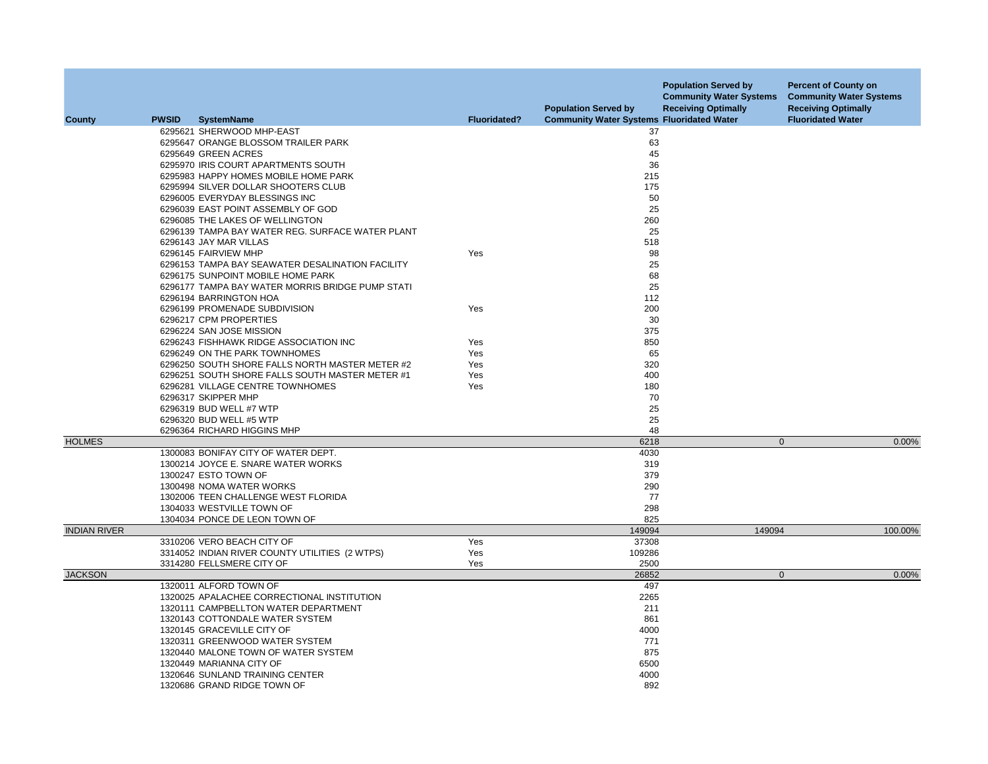|                     |              |                                                  | <b>Fluoridated?</b> | <b>Population Served by</b>                      | <b>Population Served by</b><br><b>Community Water Systems</b><br><b>Receiving Optimally</b> | <b>Percent of County on</b><br><b>Community Water Systems</b><br><b>Receiving Optimally</b> |
|---------------------|--------------|--------------------------------------------------|---------------------|--------------------------------------------------|---------------------------------------------------------------------------------------------|---------------------------------------------------------------------------------------------|
| County              | <b>PWSID</b> | <b>SystemName</b>                                |                     | <b>Community Water Systems Fluoridated Water</b> |                                                                                             | <b>Fluoridated Water</b>                                                                    |
|                     |              | 6295621 SHERWOOD MHP-EAST                        |                     | 37                                               |                                                                                             |                                                                                             |
|                     |              | 6295647 ORANGE BLOSSOM TRAILER PARK              |                     | 63                                               |                                                                                             |                                                                                             |
|                     |              | 6295649 GREEN ACRES                              |                     | 45                                               |                                                                                             |                                                                                             |
|                     |              | 6295970 IRIS COURT APARTMENTS SOUTH              |                     | 36                                               |                                                                                             |                                                                                             |
|                     |              | 6295983 HAPPY HOMES MOBILE HOME PARK             |                     | 215                                              |                                                                                             |                                                                                             |
|                     |              | 6295994 SILVER DOLLAR SHOOTERS CLUB              |                     | 175                                              |                                                                                             |                                                                                             |
|                     |              | 6296005 EVERYDAY BLESSINGS INC                   |                     | 50                                               |                                                                                             |                                                                                             |
|                     |              | 6296039 EAST POINT ASSEMBLY OF GOD               |                     | 25                                               |                                                                                             |                                                                                             |
|                     |              | 6296085 THE LAKES OF WELLINGTON                  |                     | 260                                              |                                                                                             |                                                                                             |
|                     |              | 6296139 TAMPA BAY WATER REG. SURFACE WATER PLANT |                     | 25                                               |                                                                                             |                                                                                             |
|                     |              | 6296143 JAY MAR VILLAS                           |                     | 518                                              |                                                                                             |                                                                                             |
|                     |              | 6296145 FAIRVIEW MHP                             | Yes                 | 98                                               |                                                                                             |                                                                                             |
|                     |              | 6296153 TAMPA BAY SEAWATER DESALINATION FACILITY |                     | 25                                               |                                                                                             |                                                                                             |
|                     |              | 6296175 SUNPOINT MOBILE HOME PARK                |                     | 68                                               |                                                                                             |                                                                                             |
|                     |              | 6296177 TAMPA BAY WATER MORRIS BRIDGE PUMP STATI |                     | 25                                               |                                                                                             |                                                                                             |
|                     |              | 6296194 BARRINGTON HOA                           |                     | 112                                              |                                                                                             |                                                                                             |
|                     |              | 6296199 PROMENADE SUBDIVISION                    | Yes                 | 200                                              |                                                                                             |                                                                                             |
|                     |              | 6296217 CPM PROPERTIES                           |                     | 30                                               |                                                                                             |                                                                                             |
|                     |              | 6296224 SAN JOSE MISSION                         |                     | 375                                              |                                                                                             |                                                                                             |
|                     |              | 6296243 FISHHAWK RIDGE ASSOCIATION INC           | Yes                 | 850                                              |                                                                                             |                                                                                             |
|                     |              | 6296249 ON THE PARK TOWNHOMES                    | Yes                 | 65                                               |                                                                                             |                                                                                             |
|                     |              | 6296250 SOUTH SHORE FALLS NORTH MASTER METER #2  | Yes                 | 320                                              |                                                                                             |                                                                                             |
|                     |              | 6296251 SOUTH SHORE FALLS SOUTH MASTER METER #1  | Yes                 | 400                                              |                                                                                             |                                                                                             |
|                     |              | 6296281 VILLAGE CENTRE TOWNHOMES                 | Yes                 | 180                                              |                                                                                             |                                                                                             |
|                     |              | 6296317 SKIPPER MHP                              |                     | 70                                               |                                                                                             |                                                                                             |
|                     |              | 6296319 BUD WELL #7 WTP                          |                     | 25                                               |                                                                                             |                                                                                             |
|                     |              | 6296320 BUD WELL #5 WTP                          |                     | 25                                               |                                                                                             |                                                                                             |
|                     |              | 6296364 RICHARD HIGGINS MHP                      |                     | 48                                               |                                                                                             |                                                                                             |
| <b>HOLMES</b>       |              |                                                  |                     | 6218                                             | $\mathbf{0}$                                                                                | 0.00%                                                                                       |
|                     |              | 1300083 BONIFAY CITY OF WATER DEPT.              |                     | 4030                                             |                                                                                             |                                                                                             |
|                     |              | 1300214 JOYCE E. SNARE WATER WORKS               |                     | 319                                              |                                                                                             |                                                                                             |
|                     |              | 1300247 ESTO TOWN OF                             |                     | 379                                              |                                                                                             |                                                                                             |
|                     |              | 1300498 NOMA WATER WORKS                         |                     | 290                                              |                                                                                             |                                                                                             |
|                     |              | 1302006 TEEN CHALLENGE WEST FLORIDA              |                     | 77                                               |                                                                                             |                                                                                             |
|                     |              | 1304033 WESTVILLE TOWN OF                        |                     | 298                                              |                                                                                             |                                                                                             |
|                     |              | 1304034 PONCE DE LEON TOWN OF                    |                     | 825                                              |                                                                                             |                                                                                             |
| <b>INDIAN RIVER</b> |              |                                                  |                     | 149094                                           | 149094                                                                                      | 100.00%                                                                                     |
|                     |              | 3310206 VERO BEACH CITY OF                       | Yes                 | 37308                                            |                                                                                             |                                                                                             |
|                     |              | 3314052 INDIAN RIVER COUNTY UTILITIES (2 WTPS)   | Yes                 | 109286                                           |                                                                                             |                                                                                             |
|                     |              | 3314280 FELLSMERE CITY OF                        | Yes                 | 2500                                             |                                                                                             |                                                                                             |
| <b>JACKSON</b>      |              |                                                  |                     | 26852                                            | $\mathbf{0}$                                                                                | 0.00%                                                                                       |
|                     |              | 1320011 ALFORD TOWN OF                           |                     | 497                                              |                                                                                             |                                                                                             |
|                     |              | 1320025 APALACHEE CORRECTIONAL INSTITUTION       |                     | 2265                                             |                                                                                             |                                                                                             |
|                     |              | 1320111 CAMPBELLTON WATER DEPARTMENT             |                     | 211                                              |                                                                                             |                                                                                             |
|                     |              | 1320143 COTTONDALE WATER SYSTEM                  |                     | 861                                              |                                                                                             |                                                                                             |
|                     |              | 1320145 GRACEVILLE CITY OF                       |                     | 4000                                             |                                                                                             |                                                                                             |
|                     |              | 1320311 GREENWOOD WATER SYSTEM                   |                     | 771                                              |                                                                                             |                                                                                             |
|                     |              | 1320440 MALONE TOWN OF WATER SYSTEM              |                     | 875                                              |                                                                                             |                                                                                             |
|                     |              | 1320449 MARIANNA CITY OF                         |                     | 6500                                             |                                                                                             |                                                                                             |
|                     |              | 1320646 SUNLAND TRAINING CENTER                  |                     | 4000                                             |                                                                                             |                                                                                             |
|                     |              | 1320686 GRAND RIDGE TOWN OF                      |                     | 892                                              |                                                                                             |                                                                                             |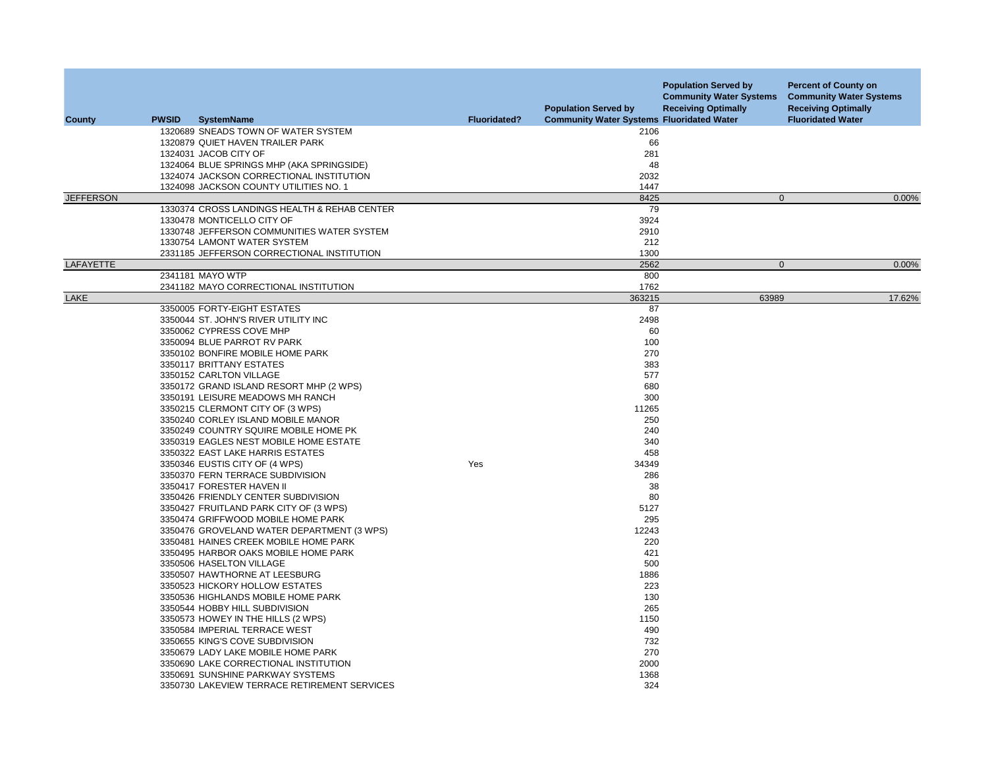| County           | <b>PWSID</b> | <b>SystemName</b>                            | <b>Fluoridated?</b> | <b>Population Served by</b><br><b>Community Water Systems Fluoridated Water</b> | <b>Population Served by</b><br><b>Community Water Systems</b><br><b>Receiving Optimally</b> | <b>Percent of County on</b><br><b>Community Water Systems</b><br><b>Receiving Optimally</b><br><b>Fluoridated Water</b> |
|------------------|--------------|----------------------------------------------|---------------------|---------------------------------------------------------------------------------|---------------------------------------------------------------------------------------------|-------------------------------------------------------------------------------------------------------------------------|
|                  |              | 1320689 SNEADS TOWN OF WATER SYSTEM          |                     | 2106                                                                            |                                                                                             |                                                                                                                         |
|                  |              | 1320879 QUIET HAVEN TRAILER PARK             |                     | 66                                                                              |                                                                                             |                                                                                                                         |
|                  |              | 1324031 JACOB CITY OF                        |                     | 281                                                                             |                                                                                             |                                                                                                                         |
|                  |              | 1324064 BLUE SPRINGS MHP (AKA SPRINGSIDE)    |                     | 48                                                                              |                                                                                             |                                                                                                                         |
|                  |              | 1324074 JACKSON CORRECTIONAL INSTITUTION     |                     | 2032                                                                            |                                                                                             |                                                                                                                         |
|                  |              | 1324098 JACKSON COUNTY UTILITIES NO. 1       |                     | 1447                                                                            |                                                                                             |                                                                                                                         |
| <b>JEFFERSON</b> |              |                                              |                     | 8425                                                                            | $\mathbf{0}$                                                                                | 0.00%                                                                                                                   |
|                  |              | 1330374 CROSS LANDINGS HEALTH & REHAB CENTER |                     | 79                                                                              |                                                                                             |                                                                                                                         |
|                  |              | 1330478 MONTICELLO CITY OF                   |                     | 3924                                                                            |                                                                                             |                                                                                                                         |
|                  |              | 1330748 JEFFERSON COMMUNITIES WATER SYSTEM   |                     | 2910                                                                            |                                                                                             |                                                                                                                         |
|                  |              | 1330754 LAMONT WATER SYSTEM                  |                     | 212                                                                             |                                                                                             |                                                                                                                         |
|                  |              | 2331185 JEFFERSON CORRECTIONAL INSTITUTION   |                     | 1300                                                                            |                                                                                             |                                                                                                                         |
| LAFAYETTE        |              |                                              |                     | 2562                                                                            | $\Omega$                                                                                    | 0.00%                                                                                                                   |
|                  |              | 2341181 MAYO WTP                             |                     | 800                                                                             |                                                                                             |                                                                                                                         |
|                  |              | 2341182 MAYO CORRECTIONAL INSTITUTION        |                     | 1762                                                                            |                                                                                             |                                                                                                                         |
| LAKE             |              |                                              |                     | 363215                                                                          | 63989                                                                                       | 17.62%                                                                                                                  |
|                  |              | 3350005 FORTY-EIGHT ESTATES                  |                     | 87                                                                              |                                                                                             |                                                                                                                         |
|                  |              | 3350044 ST. JOHN'S RIVER UTILITY INC         |                     | 2498                                                                            |                                                                                             |                                                                                                                         |
|                  |              | 3350062 CYPRESS COVE MHP                     |                     | 60                                                                              |                                                                                             |                                                                                                                         |
|                  |              | 3350094 BLUE PARROT RV PARK                  |                     | 100                                                                             |                                                                                             |                                                                                                                         |
|                  |              | 3350102 BONFIRE MOBILE HOME PARK             |                     | 270                                                                             |                                                                                             |                                                                                                                         |
|                  |              | 3350117 BRITTANY ESTATES                     |                     | 383                                                                             |                                                                                             |                                                                                                                         |
|                  |              | 3350152 CARLTON VILLAGE                      |                     | 577                                                                             |                                                                                             |                                                                                                                         |
|                  |              | 3350172 GRAND ISLAND RESORT MHP (2 WPS)      |                     | 680                                                                             |                                                                                             |                                                                                                                         |
|                  |              | 3350191 LEISURE MEADOWS MH RANCH             |                     | 300                                                                             |                                                                                             |                                                                                                                         |
|                  |              | 3350215 CLERMONT CITY OF (3 WPS)             |                     | 11265                                                                           |                                                                                             |                                                                                                                         |
|                  |              | 3350240 CORLEY ISLAND MOBILE MANOR           |                     | 250                                                                             |                                                                                             |                                                                                                                         |
|                  |              | 3350249 COUNTRY SQUIRE MOBILE HOME PK        |                     | 240                                                                             |                                                                                             |                                                                                                                         |
|                  |              | 3350319 EAGLES NEST MOBILE HOME ESTATE       |                     | 340                                                                             |                                                                                             |                                                                                                                         |
|                  |              | 3350322 EAST LAKE HARRIS ESTATES             |                     | 458                                                                             |                                                                                             |                                                                                                                         |
|                  |              | 3350346 EUSTIS CITY OF (4 WPS)               | Yes                 | 34349                                                                           |                                                                                             |                                                                                                                         |
|                  |              | 3350370 FERN TERRACE SUBDIVISION             |                     | 286                                                                             |                                                                                             |                                                                                                                         |
|                  |              | 3350417 FORESTER HAVEN II                    |                     | 38                                                                              |                                                                                             |                                                                                                                         |
|                  |              | 3350426 FRIENDLY CENTER SUBDIVISION          |                     | 80                                                                              |                                                                                             |                                                                                                                         |
|                  |              | 3350427 FRUITLAND PARK CITY OF (3 WPS)       |                     | 5127                                                                            |                                                                                             |                                                                                                                         |
|                  |              | 3350474 GRIFFWOOD MOBILE HOME PARK           |                     | 295                                                                             |                                                                                             |                                                                                                                         |
|                  |              | 3350476 GROVELAND WATER DEPARTMENT (3 WPS)   |                     | 12243                                                                           |                                                                                             |                                                                                                                         |
|                  |              | 3350481 HAINES CREEK MOBILE HOME PARK        |                     | 220                                                                             |                                                                                             |                                                                                                                         |
|                  |              | 3350495 HARBOR OAKS MOBILE HOME PARK         |                     | 421                                                                             |                                                                                             |                                                                                                                         |
|                  |              | 3350506 HASELTON VILLAGE                     |                     | 500                                                                             |                                                                                             |                                                                                                                         |
|                  |              | 3350507 HAWTHORNE AT LEESBURG                |                     | 1886                                                                            |                                                                                             |                                                                                                                         |
|                  |              | 3350523 HICKORY HOLLOW ESTATES               |                     | 223                                                                             |                                                                                             |                                                                                                                         |
|                  |              | 3350536 HIGHLANDS MOBILE HOME PARK           |                     | 130                                                                             |                                                                                             |                                                                                                                         |
|                  |              | 3350544 HOBBY HILL SUBDIVISION               |                     | 265                                                                             |                                                                                             |                                                                                                                         |
|                  |              | 3350573 HOWEY IN THE HILLS (2 WPS)           |                     | 1150                                                                            |                                                                                             |                                                                                                                         |
|                  |              | 3350584 IMPERIAL TERRACE WEST                |                     | 490                                                                             |                                                                                             |                                                                                                                         |
|                  |              | 3350655 KING'S COVE SUBDIVISION              |                     | 732                                                                             |                                                                                             |                                                                                                                         |
|                  |              | 3350679 LADY LAKE MOBILE HOME PARK           |                     | 270                                                                             |                                                                                             |                                                                                                                         |
|                  |              | 3350690 LAKE CORRECTIONAL INSTITUTION        |                     | 2000                                                                            |                                                                                             |                                                                                                                         |
|                  |              | 3350691 SUNSHINE PARKWAY SYSTEMS             |                     | 1368                                                                            |                                                                                             |                                                                                                                         |
|                  |              | 3350730 LAKEVIEW TERRACE RETIREMENT SERVICES |                     | 324                                                                             |                                                                                             |                                                                                                                         |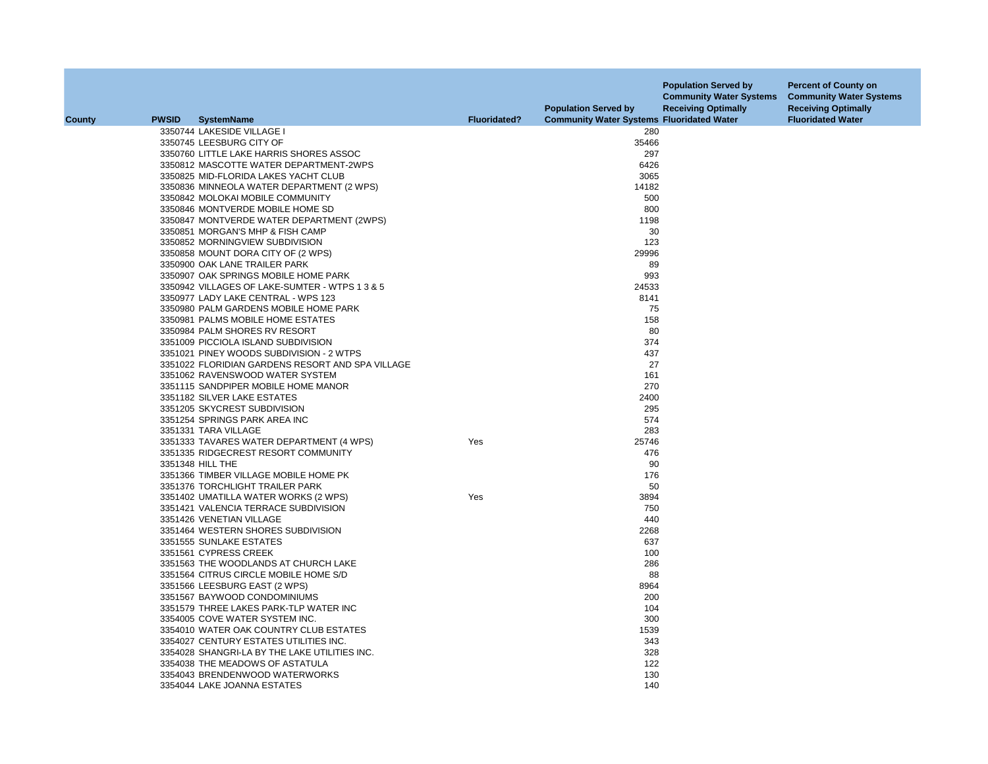| <b>PWSID</b><br><b>SystemName</b><br><b>Fluoridated?</b><br><b>Community Water Systems Fluoridated Water</b><br><b>Fluoridated Water</b><br>County<br>280<br>3350744 LAKESIDE VILLAGE I<br>35466<br>3350745 LEESBURG CITY OF<br>3350760 LITTLE LAKE HARRIS SHORES ASSOC<br>297<br>3350812 MASCOTTE WATER DEPARTMENT-2WPS<br>6426<br>3065<br>3350825 MID-FLORIDA LAKES YACHT CLUB<br>3350836 MINNEOLA WATER DEPARTMENT (2 WPS)<br>14182<br>500<br>3350842 MOLOKAI MOBILE COMMUNITY<br>800<br>3350846 MONTVERDE MOBILE HOME SD<br>3350847 MONTVERDE WATER DEPARTMENT (2WPS)<br>1198<br>3350851 MORGAN'S MHP & FISH CAMP<br>30<br>123<br>3350852 MORNINGVIEW SUBDIVISION<br>3350858 MOUNT DORA CITY OF (2 WPS)<br>29996<br>3350900 OAK LANE TRAILER PARK<br>89<br>993<br>3350907 OAK SPRINGS MOBILE HOME PARK<br>3350942 VILLAGES OF LAKE-SUMTER - WTPS 1 3 & 5<br>24533<br>3350977 LADY LAKE CENTRAL - WPS 123<br>8141<br>3350980 PALM GARDENS MOBILE HOME PARK<br>75<br>158<br>3350981 PALMS MOBILE HOME ESTATES<br>80<br>3350984 PALM SHORES RV RESORT<br>3351009 PICCIOLA ISLAND SUBDIVISION<br>374<br>437<br>3351021 PINEY WOODS SUBDIVISION - 2 WTPS<br>27<br>3351022 FLORIDIAN GARDENS RESORT AND SPA VILLAGE<br>161<br>3351062 RAVENSWOOD WATER SYSTEM<br>270<br>3351115 SANDPIPER MOBILE HOME MANOR<br>3351182 SILVER LAKE ESTATES<br>2400<br>3351205 SKYCREST SUBDIVISION<br>295<br>574<br>3351254 SPRINGS PARK AREA INC<br>283<br>3351331 TARA VILLAGE<br>3351333 TAVARES WATER DEPARTMENT (4 WPS)<br>25746<br>Yes<br>476<br>3351335 RIDGECREST RESORT COMMUNITY<br>90<br>3351348 HILL THE<br>176<br>3351366 TIMBER VILLAGE MOBILE HOME PK |  |
|----------------------------------------------------------------------------------------------------------------------------------------------------------------------------------------------------------------------------------------------------------------------------------------------------------------------------------------------------------------------------------------------------------------------------------------------------------------------------------------------------------------------------------------------------------------------------------------------------------------------------------------------------------------------------------------------------------------------------------------------------------------------------------------------------------------------------------------------------------------------------------------------------------------------------------------------------------------------------------------------------------------------------------------------------------------------------------------------------------------------------------------------------------------------------------------------------------------------------------------------------------------------------------------------------------------------------------------------------------------------------------------------------------------------------------------------------------------------------------------------------------------------------------------------------------------------------------------------------------------------------------------------------|--|
|                                                                                                                                                                                                                                                                                                                                                                                                                                                                                                                                                                                                                                                                                                                                                                                                                                                                                                                                                                                                                                                                                                                                                                                                                                                                                                                                                                                                                                                                                                                                                                                                                                                    |  |
|                                                                                                                                                                                                                                                                                                                                                                                                                                                                                                                                                                                                                                                                                                                                                                                                                                                                                                                                                                                                                                                                                                                                                                                                                                                                                                                                                                                                                                                                                                                                                                                                                                                    |  |
|                                                                                                                                                                                                                                                                                                                                                                                                                                                                                                                                                                                                                                                                                                                                                                                                                                                                                                                                                                                                                                                                                                                                                                                                                                                                                                                                                                                                                                                                                                                                                                                                                                                    |  |
|                                                                                                                                                                                                                                                                                                                                                                                                                                                                                                                                                                                                                                                                                                                                                                                                                                                                                                                                                                                                                                                                                                                                                                                                                                                                                                                                                                                                                                                                                                                                                                                                                                                    |  |
|                                                                                                                                                                                                                                                                                                                                                                                                                                                                                                                                                                                                                                                                                                                                                                                                                                                                                                                                                                                                                                                                                                                                                                                                                                                                                                                                                                                                                                                                                                                                                                                                                                                    |  |
|                                                                                                                                                                                                                                                                                                                                                                                                                                                                                                                                                                                                                                                                                                                                                                                                                                                                                                                                                                                                                                                                                                                                                                                                                                                                                                                                                                                                                                                                                                                                                                                                                                                    |  |
|                                                                                                                                                                                                                                                                                                                                                                                                                                                                                                                                                                                                                                                                                                                                                                                                                                                                                                                                                                                                                                                                                                                                                                                                                                                                                                                                                                                                                                                                                                                                                                                                                                                    |  |
|                                                                                                                                                                                                                                                                                                                                                                                                                                                                                                                                                                                                                                                                                                                                                                                                                                                                                                                                                                                                                                                                                                                                                                                                                                                                                                                                                                                                                                                                                                                                                                                                                                                    |  |
|                                                                                                                                                                                                                                                                                                                                                                                                                                                                                                                                                                                                                                                                                                                                                                                                                                                                                                                                                                                                                                                                                                                                                                                                                                                                                                                                                                                                                                                                                                                                                                                                                                                    |  |
|                                                                                                                                                                                                                                                                                                                                                                                                                                                                                                                                                                                                                                                                                                                                                                                                                                                                                                                                                                                                                                                                                                                                                                                                                                                                                                                                                                                                                                                                                                                                                                                                                                                    |  |
|                                                                                                                                                                                                                                                                                                                                                                                                                                                                                                                                                                                                                                                                                                                                                                                                                                                                                                                                                                                                                                                                                                                                                                                                                                                                                                                                                                                                                                                                                                                                                                                                                                                    |  |
|                                                                                                                                                                                                                                                                                                                                                                                                                                                                                                                                                                                                                                                                                                                                                                                                                                                                                                                                                                                                                                                                                                                                                                                                                                                                                                                                                                                                                                                                                                                                                                                                                                                    |  |
|                                                                                                                                                                                                                                                                                                                                                                                                                                                                                                                                                                                                                                                                                                                                                                                                                                                                                                                                                                                                                                                                                                                                                                                                                                                                                                                                                                                                                                                                                                                                                                                                                                                    |  |
|                                                                                                                                                                                                                                                                                                                                                                                                                                                                                                                                                                                                                                                                                                                                                                                                                                                                                                                                                                                                                                                                                                                                                                                                                                                                                                                                                                                                                                                                                                                                                                                                                                                    |  |
|                                                                                                                                                                                                                                                                                                                                                                                                                                                                                                                                                                                                                                                                                                                                                                                                                                                                                                                                                                                                                                                                                                                                                                                                                                                                                                                                                                                                                                                                                                                                                                                                                                                    |  |
|                                                                                                                                                                                                                                                                                                                                                                                                                                                                                                                                                                                                                                                                                                                                                                                                                                                                                                                                                                                                                                                                                                                                                                                                                                                                                                                                                                                                                                                                                                                                                                                                                                                    |  |
|                                                                                                                                                                                                                                                                                                                                                                                                                                                                                                                                                                                                                                                                                                                                                                                                                                                                                                                                                                                                                                                                                                                                                                                                                                                                                                                                                                                                                                                                                                                                                                                                                                                    |  |
|                                                                                                                                                                                                                                                                                                                                                                                                                                                                                                                                                                                                                                                                                                                                                                                                                                                                                                                                                                                                                                                                                                                                                                                                                                                                                                                                                                                                                                                                                                                                                                                                                                                    |  |
|                                                                                                                                                                                                                                                                                                                                                                                                                                                                                                                                                                                                                                                                                                                                                                                                                                                                                                                                                                                                                                                                                                                                                                                                                                                                                                                                                                                                                                                                                                                                                                                                                                                    |  |
|                                                                                                                                                                                                                                                                                                                                                                                                                                                                                                                                                                                                                                                                                                                                                                                                                                                                                                                                                                                                                                                                                                                                                                                                                                                                                                                                                                                                                                                                                                                                                                                                                                                    |  |
|                                                                                                                                                                                                                                                                                                                                                                                                                                                                                                                                                                                                                                                                                                                                                                                                                                                                                                                                                                                                                                                                                                                                                                                                                                                                                                                                                                                                                                                                                                                                                                                                                                                    |  |
|                                                                                                                                                                                                                                                                                                                                                                                                                                                                                                                                                                                                                                                                                                                                                                                                                                                                                                                                                                                                                                                                                                                                                                                                                                                                                                                                                                                                                                                                                                                                                                                                                                                    |  |
|                                                                                                                                                                                                                                                                                                                                                                                                                                                                                                                                                                                                                                                                                                                                                                                                                                                                                                                                                                                                                                                                                                                                                                                                                                                                                                                                                                                                                                                                                                                                                                                                                                                    |  |
|                                                                                                                                                                                                                                                                                                                                                                                                                                                                                                                                                                                                                                                                                                                                                                                                                                                                                                                                                                                                                                                                                                                                                                                                                                                                                                                                                                                                                                                                                                                                                                                                                                                    |  |
|                                                                                                                                                                                                                                                                                                                                                                                                                                                                                                                                                                                                                                                                                                                                                                                                                                                                                                                                                                                                                                                                                                                                                                                                                                                                                                                                                                                                                                                                                                                                                                                                                                                    |  |
|                                                                                                                                                                                                                                                                                                                                                                                                                                                                                                                                                                                                                                                                                                                                                                                                                                                                                                                                                                                                                                                                                                                                                                                                                                                                                                                                                                                                                                                                                                                                                                                                                                                    |  |
|                                                                                                                                                                                                                                                                                                                                                                                                                                                                                                                                                                                                                                                                                                                                                                                                                                                                                                                                                                                                                                                                                                                                                                                                                                                                                                                                                                                                                                                                                                                                                                                                                                                    |  |
|                                                                                                                                                                                                                                                                                                                                                                                                                                                                                                                                                                                                                                                                                                                                                                                                                                                                                                                                                                                                                                                                                                                                                                                                                                                                                                                                                                                                                                                                                                                                                                                                                                                    |  |
|                                                                                                                                                                                                                                                                                                                                                                                                                                                                                                                                                                                                                                                                                                                                                                                                                                                                                                                                                                                                                                                                                                                                                                                                                                                                                                                                                                                                                                                                                                                                                                                                                                                    |  |
|                                                                                                                                                                                                                                                                                                                                                                                                                                                                                                                                                                                                                                                                                                                                                                                                                                                                                                                                                                                                                                                                                                                                                                                                                                                                                                                                                                                                                                                                                                                                                                                                                                                    |  |
|                                                                                                                                                                                                                                                                                                                                                                                                                                                                                                                                                                                                                                                                                                                                                                                                                                                                                                                                                                                                                                                                                                                                                                                                                                                                                                                                                                                                                                                                                                                                                                                                                                                    |  |
|                                                                                                                                                                                                                                                                                                                                                                                                                                                                                                                                                                                                                                                                                                                                                                                                                                                                                                                                                                                                                                                                                                                                                                                                                                                                                                                                                                                                                                                                                                                                                                                                                                                    |  |
|                                                                                                                                                                                                                                                                                                                                                                                                                                                                                                                                                                                                                                                                                                                                                                                                                                                                                                                                                                                                                                                                                                                                                                                                                                                                                                                                                                                                                                                                                                                                                                                                                                                    |  |
| 3351376 TORCHLIGHT TRAILER PARK<br>50                                                                                                                                                                                                                                                                                                                                                                                                                                                                                                                                                                                                                                                                                                                                                                                                                                                                                                                                                                                                                                                                                                                                                                                                                                                                                                                                                                                                                                                                                                                                                                                                              |  |
| 3894<br>3351402 UMATILLA WATER WORKS (2 WPS)<br>Yes                                                                                                                                                                                                                                                                                                                                                                                                                                                                                                                                                                                                                                                                                                                                                                                                                                                                                                                                                                                                                                                                                                                                                                                                                                                                                                                                                                                                                                                                                                                                                                                                |  |
| 750<br>3351421 VALENCIA TERRACE SUBDIVISION                                                                                                                                                                                                                                                                                                                                                                                                                                                                                                                                                                                                                                                                                                                                                                                                                                                                                                                                                                                                                                                                                                                                                                                                                                                                                                                                                                                                                                                                                                                                                                                                        |  |
| 3351426 VENETIAN VILLAGE<br>440                                                                                                                                                                                                                                                                                                                                                                                                                                                                                                                                                                                                                                                                                                                                                                                                                                                                                                                                                                                                                                                                                                                                                                                                                                                                                                                                                                                                                                                                                                                                                                                                                    |  |
| 2268<br>3351464 WESTERN SHORES SUBDIVISION                                                                                                                                                                                                                                                                                                                                                                                                                                                                                                                                                                                                                                                                                                                                                                                                                                                                                                                                                                                                                                                                                                                                                                                                                                                                                                                                                                                                                                                                                                                                                                                                         |  |
| 3351555 SUNLAKE ESTATES<br>637                                                                                                                                                                                                                                                                                                                                                                                                                                                                                                                                                                                                                                                                                                                                                                                                                                                                                                                                                                                                                                                                                                                                                                                                                                                                                                                                                                                                                                                                                                                                                                                                                     |  |
| 100<br>3351561 CYPRESS CREEK                                                                                                                                                                                                                                                                                                                                                                                                                                                                                                                                                                                                                                                                                                                                                                                                                                                                                                                                                                                                                                                                                                                                                                                                                                                                                                                                                                                                                                                                                                                                                                                                                       |  |
| 286<br>3351563 THE WOODLANDS AT CHURCH LAKE                                                                                                                                                                                                                                                                                                                                                                                                                                                                                                                                                                                                                                                                                                                                                                                                                                                                                                                                                                                                                                                                                                                                                                                                                                                                                                                                                                                                                                                                                                                                                                                                        |  |
| 3351564 CITRUS CIRCLE MOBILE HOME S/D<br>88                                                                                                                                                                                                                                                                                                                                                                                                                                                                                                                                                                                                                                                                                                                                                                                                                                                                                                                                                                                                                                                                                                                                                                                                                                                                                                                                                                                                                                                                                                                                                                                                        |  |
| 3351566 LEESBURG EAST (2 WPS)<br>8964                                                                                                                                                                                                                                                                                                                                                                                                                                                                                                                                                                                                                                                                                                                                                                                                                                                                                                                                                                                                                                                                                                                                                                                                                                                                                                                                                                                                                                                                                                                                                                                                              |  |
| 200<br>3351567 BAYWOOD CONDOMINIUMS                                                                                                                                                                                                                                                                                                                                                                                                                                                                                                                                                                                                                                                                                                                                                                                                                                                                                                                                                                                                                                                                                                                                                                                                                                                                                                                                                                                                                                                                                                                                                                                                                |  |
| 3351579 THREE LAKES PARK-TLP WATER INC<br>104                                                                                                                                                                                                                                                                                                                                                                                                                                                                                                                                                                                                                                                                                                                                                                                                                                                                                                                                                                                                                                                                                                                                                                                                                                                                                                                                                                                                                                                                                                                                                                                                      |  |
| 3354005 COVE WATER SYSTEM INC.<br>300                                                                                                                                                                                                                                                                                                                                                                                                                                                                                                                                                                                                                                                                                                                                                                                                                                                                                                                                                                                                                                                                                                                                                                                                                                                                                                                                                                                                                                                                                                                                                                                                              |  |
| 1539<br>3354010 WATER OAK COUNTRY CLUB ESTATES                                                                                                                                                                                                                                                                                                                                                                                                                                                                                                                                                                                                                                                                                                                                                                                                                                                                                                                                                                                                                                                                                                                                                                                                                                                                                                                                                                                                                                                                                                                                                                                                     |  |
| 3354027 CENTURY ESTATES UTILITIES INC.<br>343                                                                                                                                                                                                                                                                                                                                                                                                                                                                                                                                                                                                                                                                                                                                                                                                                                                                                                                                                                                                                                                                                                                                                                                                                                                                                                                                                                                                                                                                                                                                                                                                      |  |
| 328<br>3354028 SHANGRI-LA BY THE LAKE UTILITIES INC.                                                                                                                                                                                                                                                                                                                                                                                                                                                                                                                                                                                                                                                                                                                                                                                                                                                                                                                                                                                                                                                                                                                                                                                                                                                                                                                                                                                                                                                                                                                                                                                               |  |
| 3354038 THE MEADOWS OF ASTATULA<br>122                                                                                                                                                                                                                                                                                                                                                                                                                                                                                                                                                                                                                                                                                                                                                                                                                                                                                                                                                                                                                                                                                                                                                                                                                                                                                                                                                                                                                                                                                                                                                                                                             |  |
| 130<br>3354043 BRENDENWOOD WATERWORKS                                                                                                                                                                                                                                                                                                                                                                                                                                                                                                                                                                                                                                                                                                                                                                                                                                                                                                                                                                                                                                                                                                                                                                                                                                                                                                                                                                                                                                                                                                                                                                                                              |  |
| 140<br>3354044 LAKE JOANNA ESTATES                                                                                                                                                                                                                                                                                                                                                                                                                                                                                                                                                                                                                                                                                                                                                                                                                                                                                                                                                                                                                                                                                                                                                                                                                                                                                                                                                                                                                                                                                                                                                                                                                 |  |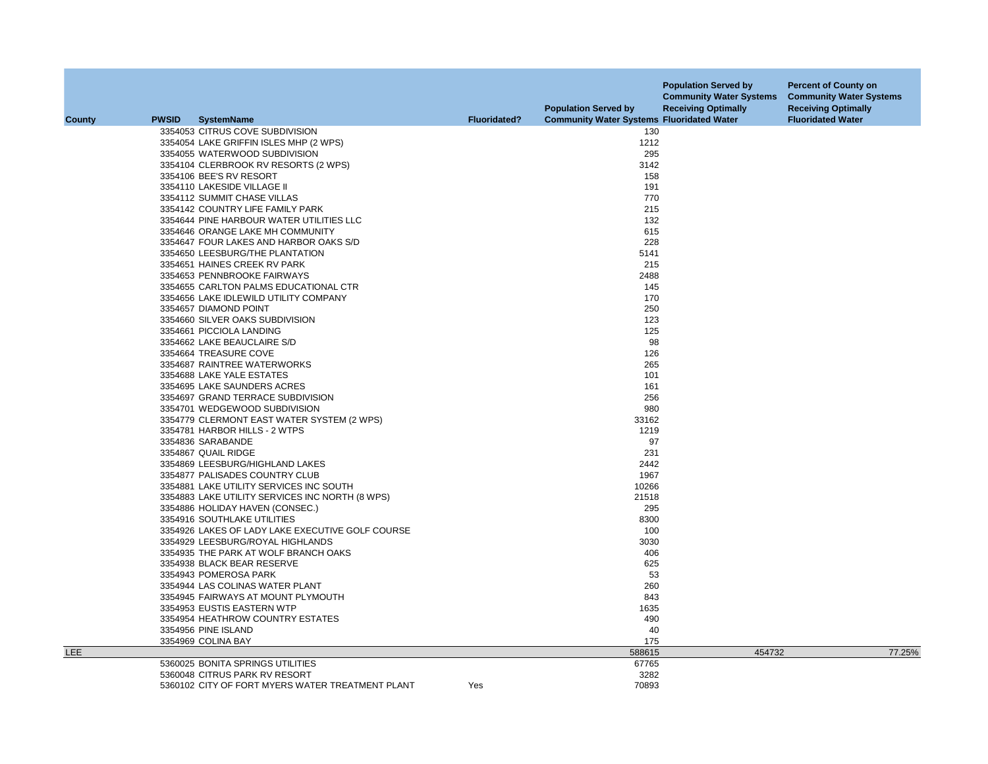|               |              |                                                  |                     | <b>Population Served by</b>                      | <b>Population Served by</b><br><b>Community Water Systems</b><br><b>Receiving Optimally</b> | <b>Percent of County on</b><br><b>Community Water Systems</b><br><b>Receiving Optimally</b> |
|---------------|--------------|--------------------------------------------------|---------------------|--------------------------------------------------|---------------------------------------------------------------------------------------------|---------------------------------------------------------------------------------------------|
| <b>County</b> | <b>PWSID</b> | <b>SystemName</b>                                | <b>Fluoridated?</b> | <b>Community Water Systems Fluoridated Water</b> |                                                                                             | <b>Fluoridated Water</b>                                                                    |
|               |              | 3354053 CITRUS COVE SUBDIVISION                  |                     | 130                                              |                                                                                             |                                                                                             |
|               |              | 3354054 LAKE GRIFFIN ISLES MHP (2 WPS)           |                     | 1212                                             |                                                                                             |                                                                                             |
|               |              | 3354055 WATERWOOD SUBDIVISION                    |                     | 295                                              |                                                                                             |                                                                                             |
|               |              | 3354104 CLERBROOK RV RESORTS (2 WPS)             |                     | 3142                                             |                                                                                             |                                                                                             |
|               |              | 3354106 BEE'S RV RESORT                          |                     | 158                                              |                                                                                             |                                                                                             |
|               |              | 3354110 LAKESIDE VILLAGE II                      |                     | 191                                              |                                                                                             |                                                                                             |
|               |              | 3354112 SUMMIT CHASE VILLAS                      |                     | 770                                              |                                                                                             |                                                                                             |
|               |              | 3354142 COUNTRY LIFE FAMILY PARK                 |                     | 215                                              |                                                                                             |                                                                                             |
|               |              | 3354644 PINE HARBOUR WATER UTILITIES LLC         |                     | 132                                              |                                                                                             |                                                                                             |
|               |              | 3354646 ORANGE LAKE MH COMMUNITY                 |                     | 615                                              |                                                                                             |                                                                                             |
|               |              | 3354647 FOUR LAKES AND HARBOR OAKS S/D           |                     | 228                                              |                                                                                             |                                                                                             |
|               |              | 3354650 LEESBURG/THE PLANTATION                  |                     | 5141                                             |                                                                                             |                                                                                             |
|               |              | 3354651 HAINES CREEK RV PARK                     |                     | 215                                              |                                                                                             |                                                                                             |
|               |              | 3354653 PENNBROOKE FAIRWAYS                      |                     | 2488                                             |                                                                                             |                                                                                             |
|               |              | 3354655 CARLTON PALMS EDUCATIONAL CTR            |                     | 145                                              |                                                                                             |                                                                                             |
|               |              | 3354656 LAKE IDLEWILD UTILITY COMPANY            |                     | 170                                              |                                                                                             |                                                                                             |
|               |              | 3354657 DIAMOND POINT                            |                     | 250                                              |                                                                                             |                                                                                             |
|               |              | 3354660 SILVER OAKS SUBDIVISION                  |                     | 123                                              |                                                                                             |                                                                                             |
|               |              | 3354661 PICCIOLA LANDING                         |                     | 125                                              |                                                                                             |                                                                                             |
|               |              | 3354662 LAKE BEAUCLAIRE S/D                      |                     | 98                                               |                                                                                             |                                                                                             |
|               |              | 3354664 TREASURE COVE                            |                     | 126                                              |                                                                                             |                                                                                             |
|               |              | 3354687 RAINTREE WATERWORKS                      |                     | 265                                              |                                                                                             |                                                                                             |
|               |              | 3354688 LAKE YALE ESTATES                        |                     | 101                                              |                                                                                             |                                                                                             |
|               |              | 3354695 LAKE SAUNDERS ACRES                      |                     | 161                                              |                                                                                             |                                                                                             |
|               |              | 3354697 GRAND TERRACE SUBDIVISION                |                     | 256                                              |                                                                                             |                                                                                             |
|               |              | 3354701 WEDGEWOOD SUBDIVISION                    |                     | 980                                              |                                                                                             |                                                                                             |
|               |              | 3354779 CLERMONT EAST WATER SYSTEM (2 WPS)       |                     | 33162                                            |                                                                                             |                                                                                             |
|               |              | 3354781 HARBOR HILLS - 2 WTPS                    |                     | 1219                                             |                                                                                             |                                                                                             |
|               |              | 3354836 SARABANDE                                |                     | 97                                               |                                                                                             |                                                                                             |
|               |              | 3354867 QUAIL RIDGE                              |                     | 231                                              |                                                                                             |                                                                                             |
|               |              | 3354869 LEESBURG/HIGHLAND LAKES                  |                     | 2442                                             |                                                                                             |                                                                                             |
|               |              | 3354877 PALISADES COUNTRY CLUB                   |                     | 1967                                             |                                                                                             |                                                                                             |
|               |              | 3354881 LAKE UTILITY SERVICES INC SOUTH          |                     | 10266                                            |                                                                                             |                                                                                             |
|               |              | 3354883 LAKE UTILITY SERVICES INC NORTH (8 WPS)  |                     | 21518                                            |                                                                                             |                                                                                             |
|               |              | 3354886 HOLIDAY HAVEN (CONSEC.)                  |                     | 295                                              |                                                                                             |                                                                                             |
|               |              | 3354916 SOUTHLAKE UTILITIES                      |                     | 8300                                             |                                                                                             |                                                                                             |
|               |              | 3354926 LAKES OF LADY LAKE EXECUTIVE GOLF COURSE |                     | 100                                              |                                                                                             |                                                                                             |
|               |              | 3354929 LEESBURG/ROYAL HIGHLANDS                 |                     | 3030                                             |                                                                                             |                                                                                             |
|               |              | 3354935 THE PARK AT WOLF BRANCH OAKS             |                     | 406                                              |                                                                                             |                                                                                             |
|               |              | 3354938 BLACK BEAR RESERVE                       |                     | 625                                              |                                                                                             |                                                                                             |
|               |              | 3354943 POMEROSA PARK                            |                     | 53                                               |                                                                                             |                                                                                             |
|               |              | 3354944 LAS COLINAS WATER PLANT                  |                     | 260                                              |                                                                                             |                                                                                             |
|               |              | 3354945 FAIRWAYS AT MOUNT PLYMOUTH               |                     | 843                                              |                                                                                             |                                                                                             |
|               |              | 3354953 EUSTIS EASTERN WTP                       |                     | 1635                                             |                                                                                             |                                                                                             |
|               |              | 3354954 HEATHROW COUNTRY ESTATES                 |                     | 490                                              |                                                                                             |                                                                                             |
|               |              | 3354956 PINE ISLAND                              |                     | 40                                               |                                                                                             |                                                                                             |
|               |              | 3354969 COLINA BAY                               |                     | 175                                              |                                                                                             |                                                                                             |
| <b>LEE</b>    |              |                                                  |                     | 588615                                           | 454732                                                                                      | 77.25%                                                                                      |
|               |              | 5360025 BONITA SPRINGS UTILITIES                 |                     | 67765                                            |                                                                                             |                                                                                             |
|               |              | 5360048 CITRUS PARK RV RESORT                    |                     | 3282                                             |                                                                                             |                                                                                             |
|               |              | 5360102 CITY OF FORT MYERS WATER TREATMENT PLANT | Yes                 | 70893                                            |                                                                                             |                                                                                             |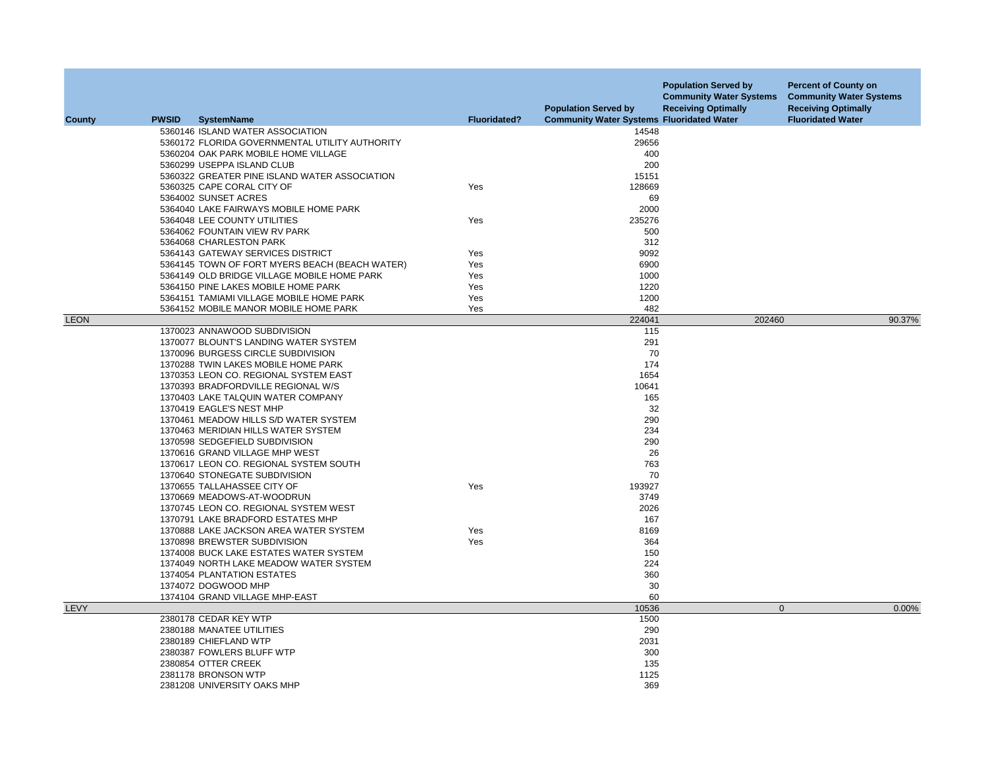| County      | <b>PWSID</b> | <b>SystemName</b>                                                    | <b>Fluoridated?</b> | <b>Population Served by</b><br><b>Community Water Systems Fluoridated Water</b> | <b>Population Served by</b><br><b>Community Water Systems</b><br><b>Receiving Optimally</b> | <b>Percent of County on</b><br><b>Community Water Systems</b><br><b>Receiving Optimally</b><br><b>Fluoridated Water</b> |
|-------------|--------------|----------------------------------------------------------------------|---------------------|---------------------------------------------------------------------------------|---------------------------------------------------------------------------------------------|-------------------------------------------------------------------------------------------------------------------------|
|             |              | 5360146 ISLAND WATER ASSOCIATION                                     |                     | 14548                                                                           |                                                                                             |                                                                                                                         |
|             |              | 5360172 FLORIDA GOVERNMENTAL UTILITY AUTHORITY                       |                     | 29656                                                                           |                                                                                             |                                                                                                                         |
|             |              | 5360204 OAK PARK MOBILE HOME VILLAGE                                 |                     | 400                                                                             |                                                                                             |                                                                                                                         |
|             |              | 5360299 USEPPA ISLAND CLUB                                           |                     | 200                                                                             |                                                                                             |                                                                                                                         |
|             |              | 5360322 GREATER PINE ISLAND WATER ASSOCIATION                        |                     | 15151                                                                           |                                                                                             |                                                                                                                         |
|             |              | 5360325 CAPE CORAL CITY OF                                           | Yes                 | 128669                                                                          |                                                                                             |                                                                                                                         |
|             |              | 5364002 SUNSET ACRES                                                 |                     | 69                                                                              |                                                                                             |                                                                                                                         |
|             |              | 5364040 LAKE FAIRWAYS MOBILE HOME PARK                               |                     | 2000                                                                            |                                                                                             |                                                                                                                         |
|             |              | 5364048 LEE COUNTY UTILITIES                                         | Yes                 | 235276                                                                          |                                                                                             |                                                                                                                         |
|             |              | 5364062 FOUNTAIN VIEW RV PARK                                        |                     | 500                                                                             |                                                                                             |                                                                                                                         |
|             |              | 5364068 CHARLESTON PARK                                              |                     | 312                                                                             |                                                                                             |                                                                                                                         |
|             |              | 5364143 GATEWAY SERVICES DISTRICT                                    | Yes                 | 9092                                                                            |                                                                                             |                                                                                                                         |
|             |              | 5364145 TOWN OF FORT MYERS BEACH (BEACH WATER)                       | Yes                 | 6900                                                                            |                                                                                             |                                                                                                                         |
|             |              | 5364149 OLD BRIDGE VILLAGE MOBILE HOME PARK                          | Yes                 | 1000                                                                            |                                                                                             |                                                                                                                         |
|             |              | 5364150 PINE LAKES MOBILE HOME PARK                                  | Yes                 | 1220                                                                            |                                                                                             |                                                                                                                         |
|             |              | 5364151 TAMIAMI VILLAGE MOBILE HOME PARK                             | Yes                 | 1200                                                                            |                                                                                             |                                                                                                                         |
|             |              | 5364152 MOBILE MANOR MOBILE HOME PARK                                | Yes                 | 482                                                                             |                                                                                             |                                                                                                                         |
| <b>LEON</b> |              |                                                                      |                     | 224041                                                                          | 202460                                                                                      | 90.37%                                                                                                                  |
|             |              | 1370023 ANNAWOOD SUBDIVISION                                         |                     | 115                                                                             |                                                                                             |                                                                                                                         |
|             |              | 1370077 BLOUNT'S LANDING WATER SYSTEM                                |                     | 291                                                                             |                                                                                             |                                                                                                                         |
|             |              | 1370096 BURGESS CIRCLE SUBDIVISION                                   |                     | 70                                                                              |                                                                                             |                                                                                                                         |
|             |              | 1370288 TWIN LAKES MOBILE HOME PARK                                  |                     | 174                                                                             |                                                                                             |                                                                                                                         |
|             |              | 1370353 LEON CO. REGIONAL SYSTEM EAST                                |                     | 1654                                                                            |                                                                                             |                                                                                                                         |
|             |              | 1370393 BRADFORDVILLE REGIONAL W/S                                   |                     | 10641                                                                           |                                                                                             |                                                                                                                         |
|             |              | 1370403 LAKE TALQUIN WATER COMPANY                                   |                     | 165                                                                             |                                                                                             |                                                                                                                         |
|             |              | 1370419 EAGLE'S NEST MHP                                             |                     | 32                                                                              |                                                                                             |                                                                                                                         |
|             |              | 1370461 MEADOW HILLS S/D WATER SYSTEM                                |                     | 290                                                                             |                                                                                             |                                                                                                                         |
|             |              | 1370463 MERIDIAN HILLS WATER SYSTEM                                  |                     | 234                                                                             |                                                                                             |                                                                                                                         |
|             |              | 1370598 SEDGEFIELD SUBDIVISION                                       |                     | 290                                                                             |                                                                                             |                                                                                                                         |
|             |              | 1370616 GRAND VILLAGE MHP WEST                                       |                     | 26                                                                              |                                                                                             |                                                                                                                         |
|             |              | 1370617 LEON CO. REGIONAL SYSTEM SOUTH                               |                     | 763                                                                             |                                                                                             |                                                                                                                         |
|             |              | 1370640 STONEGATE SUBDIVISION                                        |                     | 70                                                                              |                                                                                             |                                                                                                                         |
|             |              | 1370655 TALLAHASSEE CITY OF                                          | Yes                 | 193927                                                                          |                                                                                             |                                                                                                                         |
|             |              | 1370669 MEADOWS-AT-WOODRUN                                           |                     | 3749                                                                            |                                                                                             |                                                                                                                         |
|             |              | 1370745 LEON CO. REGIONAL SYSTEM WEST                                |                     | 2026                                                                            |                                                                                             |                                                                                                                         |
|             |              | 1370791 LAKE BRADFORD ESTATES MHP                                    |                     | 167                                                                             |                                                                                             |                                                                                                                         |
|             |              | 1370888 LAKE JACKSON AREA WATER SYSTEM                               | Yes                 | 8169                                                                            |                                                                                             |                                                                                                                         |
|             |              | 1370898 BREWSTER SUBDIVISION                                         | Yes                 | 364                                                                             |                                                                                             |                                                                                                                         |
|             |              | 1374008 BUCK LAKE ESTATES WATER SYSTEM                               |                     | 150<br>224                                                                      |                                                                                             |                                                                                                                         |
|             |              | 1374049 NORTH LAKE MEADOW WATER SYSTEM<br>1374054 PLANTATION ESTATES |                     | 360                                                                             |                                                                                             |                                                                                                                         |
|             |              | 1374072 DOGWOOD MHP                                                  |                     | 30                                                                              |                                                                                             |                                                                                                                         |
|             |              | 1374104 GRAND VILLAGE MHP-EAST                                       |                     | 60                                                                              |                                                                                             |                                                                                                                         |
| LEVY        |              |                                                                      |                     | 10536                                                                           | $\mathbf{0}$                                                                                | 0.00%                                                                                                                   |
|             |              | 2380178 CEDAR KEY WTP                                                |                     | 1500                                                                            |                                                                                             |                                                                                                                         |
|             |              | 2380188 MANATEE UTILITIES                                            |                     | 290                                                                             |                                                                                             |                                                                                                                         |
|             |              | 2380189 CHIEFLAND WTP                                                |                     | 2031                                                                            |                                                                                             |                                                                                                                         |
|             |              | 2380387 FOWLERS BLUFF WTP                                            |                     | 300                                                                             |                                                                                             |                                                                                                                         |
|             |              | 2380854 OTTER CREEK                                                  |                     | 135                                                                             |                                                                                             |                                                                                                                         |
|             |              | 2381178 BRONSON WTP                                                  |                     | 1125                                                                            |                                                                                             |                                                                                                                         |
|             |              | 2381208 UNIVERSITY OAKS MHP                                          |                     | 369                                                                             |                                                                                             |                                                                                                                         |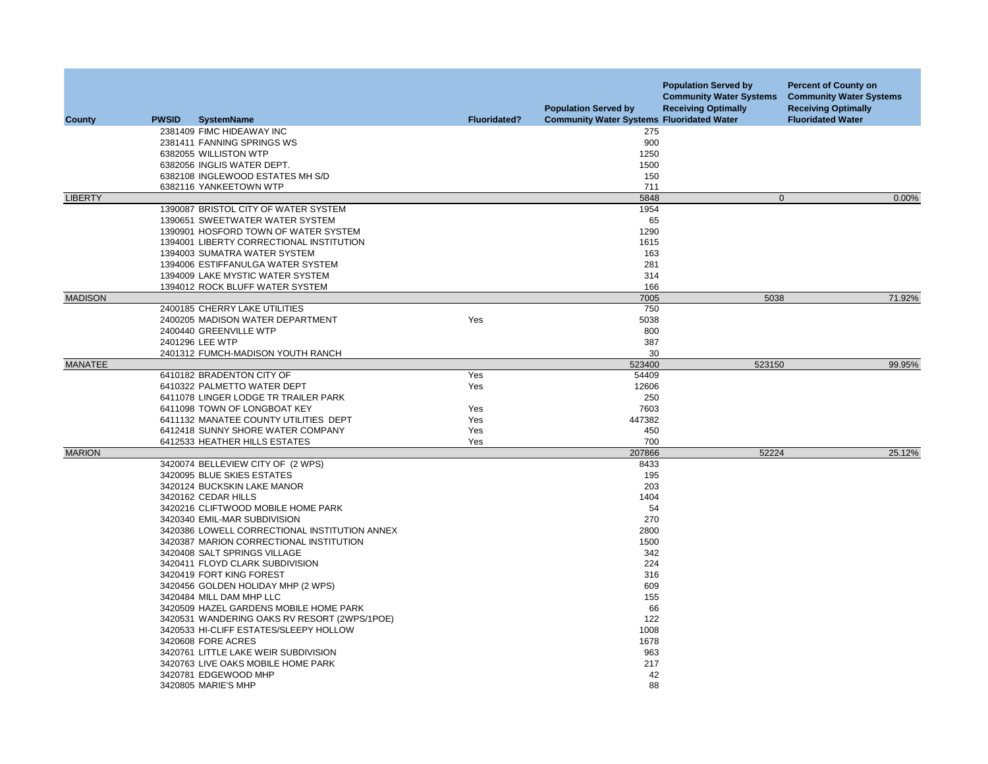| <b>County</b>  | <b>PWSID</b> | <b>SystemName</b>                                          | <b>Fluoridated?</b> | <b>Population Served by</b><br><b>Community Water Systems Fluoridated Water</b> | <b>Population Served by</b><br><b>Community Water Systems</b><br><b>Receiving Optimally</b> | <b>Percent of County on</b><br><b>Community Water Systems</b><br><b>Receiving Optimally</b><br><b>Fluoridated Water</b> |
|----------------|--------------|------------------------------------------------------------|---------------------|---------------------------------------------------------------------------------|---------------------------------------------------------------------------------------------|-------------------------------------------------------------------------------------------------------------------------|
|                |              | 2381409 FIMC HIDEAWAY INC                                  |                     | 275                                                                             |                                                                                             |                                                                                                                         |
|                |              | 2381411 FANNING SPRINGS WS                                 |                     | 900                                                                             |                                                                                             |                                                                                                                         |
|                |              | 6382055 WILLISTON WTP                                      |                     | 1250                                                                            |                                                                                             |                                                                                                                         |
|                |              | 6382056 INGLIS WATER DEPT.                                 |                     | 1500                                                                            |                                                                                             |                                                                                                                         |
|                |              | 6382108 INGLEWOOD ESTATES MH S/D                           |                     | 150                                                                             |                                                                                             |                                                                                                                         |
|                |              | 6382116 YANKEETOWN WTP                                     |                     | 711                                                                             |                                                                                             |                                                                                                                         |
| <b>LIBERTY</b> |              |                                                            |                     | 5848                                                                            | $\mathbf{0}$                                                                                | 0.00%                                                                                                                   |
|                |              | 1390087 BRISTOL CITY OF WATER SYSTEM                       |                     | 1954                                                                            |                                                                                             |                                                                                                                         |
|                |              | 1390651 SWEETWATER WATER SYSTEM                            |                     | 65                                                                              |                                                                                             |                                                                                                                         |
|                |              | 1390901 HOSFORD TOWN OF WATER SYSTEM                       |                     | 1290                                                                            |                                                                                             |                                                                                                                         |
|                |              | 1394001 LIBERTY CORRECTIONAL INSTITUTION                   |                     | 1615                                                                            |                                                                                             |                                                                                                                         |
|                |              | 1394003 SUMATRA WATER SYSTEM                               |                     | 163                                                                             |                                                                                             |                                                                                                                         |
|                |              | 1394006 ESTIFFANULGA WATER SYSTEM                          |                     | 281                                                                             |                                                                                             |                                                                                                                         |
|                |              | 1394009 LAKE MYSTIC WATER SYSTEM                           |                     | 314                                                                             |                                                                                             |                                                                                                                         |
|                |              | 1394012 ROCK BLUFF WATER SYSTEM                            |                     | 166                                                                             |                                                                                             |                                                                                                                         |
| <b>MADISON</b> |              |                                                            |                     | 7005<br>750                                                                     | 5038                                                                                        | 71.92%                                                                                                                  |
|                |              | 2400185 CHERRY LAKE UTILITIES                              | Yes                 | 5038                                                                            |                                                                                             |                                                                                                                         |
|                |              | 2400205 MADISON WATER DEPARTMENT<br>2400440 GREENVILLE WTP |                     | 800                                                                             |                                                                                             |                                                                                                                         |
|                |              | 2401296 LEE WTP                                            |                     | 387                                                                             |                                                                                             |                                                                                                                         |
|                |              | 2401312 FUMCH-MADISON YOUTH RANCH                          |                     | 30                                                                              |                                                                                             |                                                                                                                         |
| <b>MANATEE</b> |              |                                                            |                     | 523400                                                                          | 523150                                                                                      | 99.95%                                                                                                                  |
|                |              | 6410182 BRADENTON CITY OF                                  | Yes                 | 54409                                                                           |                                                                                             |                                                                                                                         |
|                |              | 6410322 PALMETTO WATER DEPT                                | Yes                 | 12606                                                                           |                                                                                             |                                                                                                                         |
|                |              | 6411078 LINGER LODGE TR TRAILER PARK                       |                     | 250                                                                             |                                                                                             |                                                                                                                         |
|                |              | 6411098 TOWN OF LONGBOAT KEY                               | Yes                 | 7603                                                                            |                                                                                             |                                                                                                                         |
|                |              | 6411132 MANATEE COUNTY UTILITIES DEPT                      | Yes                 | 447382                                                                          |                                                                                             |                                                                                                                         |
|                |              | 6412418 SUNNY SHORE WATER COMPANY                          | Yes                 | 450                                                                             |                                                                                             |                                                                                                                         |
|                |              | 6412533 HEATHER HILLS ESTATES                              | Yes                 | 700                                                                             |                                                                                             |                                                                                                                         |
| <b>MARION</b>  |              |                                                            |                     | 207866                                                                          | 52224                                                                                       | 25.12%                                                                                                                  |
|                |              | 3420074 BELLEVIEW CITY OF (2 WPS)                          |                     | 8433                                                                            |                                                                                             |                                                                                                                         |
|                |              | 3420095 BLUE SKIES ESTATES                                 |                     | 195                                                                             |                                                                                             |                                                                                                                         |
|                |              | 3420124 BUCKSKIN LAKE MANOR                                |                     | 203                                                                             |                                                                                             |                                                                                                                         |
|                |              | 3420162 CEDAR HILLS                                        |                     | 1404                                                                            |                                                                                             |                                                                                                                         |
|                |              | 3420216 CLIFTWOOD MOBILE HOME PARK                         |                     | 54                                                                              |                                                                                             |                                                                                                                         |
|                |              | 3420340 EMIL-MAR SUBDIVISION                               |                     | 270                                                                             |                                                                                             |                                                                                                                         |
|                |              | 3420386 LOWELL CORRECTIONAL INSTITUTION ANNEX              |                     | 2800                                                                            |                                                                                             |                                                                                                                         |
|                |              | 3420387 MARION CORRECTIONAL INSTITUTION                    |                     | 1500                                                                            |                                                                                             |                                                                                                                         |
|                |              | 3420408 SALT SPRINGS VILLAGE                               |                     | 342                                                                             |                                                                                             |                                                                                                                         |
|                |              | 3420411 FLOYD CLARK SUBDIVISION                            |                     | 224                                                                             |                                                                                             |                                                                                                                         |
|                |              | 3420419 FORT KING FOREST                                   |                     | 316                                                                             |                                                                                             |                                                                                                                         |
|                |              | 3420456 GOLDEN HOLIDAY MHP (2 WPS)                         |                     | 609                                                                             |                                                                                             |                                                                                                                         |
|                |              | 3420484 MILL DAM MHP LLC                                   |                     | 155                                                                             |                                                                                             |                                                                                                                         |
|                |              | 3420509 HAZEL GARDENS MOBILE HOME PARK                     |                     | 66                                                                              |                                                                                             |                                                                                                                         |
|                |              | 3420531 WANDERING OAKS RV RESORT (2WPS/1POE)               |                     | 122                                                                             |                                                                                             |                                                                                                                         |
|                |              | 3420533 HI-CLIFF ESTATES/SLEEPY HOLLOW                     |                     | 1008                                                                            |                                                                                             |                                                                                                                         |
|                |              | 3420608 FORE ACRES                                         |                     | 1678                                                                            |                                                                                             |                                                                                                                         |
|                |              | 3420761 LITTLE LAKE WEIR SUBDIVISION                       |                     | 963                                                                             |                                                                                             |                                                                                                                         |
|                |              | 3420763 LIVE OAKS MOBILE HOME PARK                         |                     | 217                                                                             |                                                                                             |                                                                                                                         |
|                |              | 3420781 EDGEWOOD MHP                                       |                     | 42                                                                              |                                                                                             |                                                                                                                         |
|                |              | 3420805 MARIE'S MHP                                        |                     | 88                                                                              |                                                                                             |                                                                                                                         |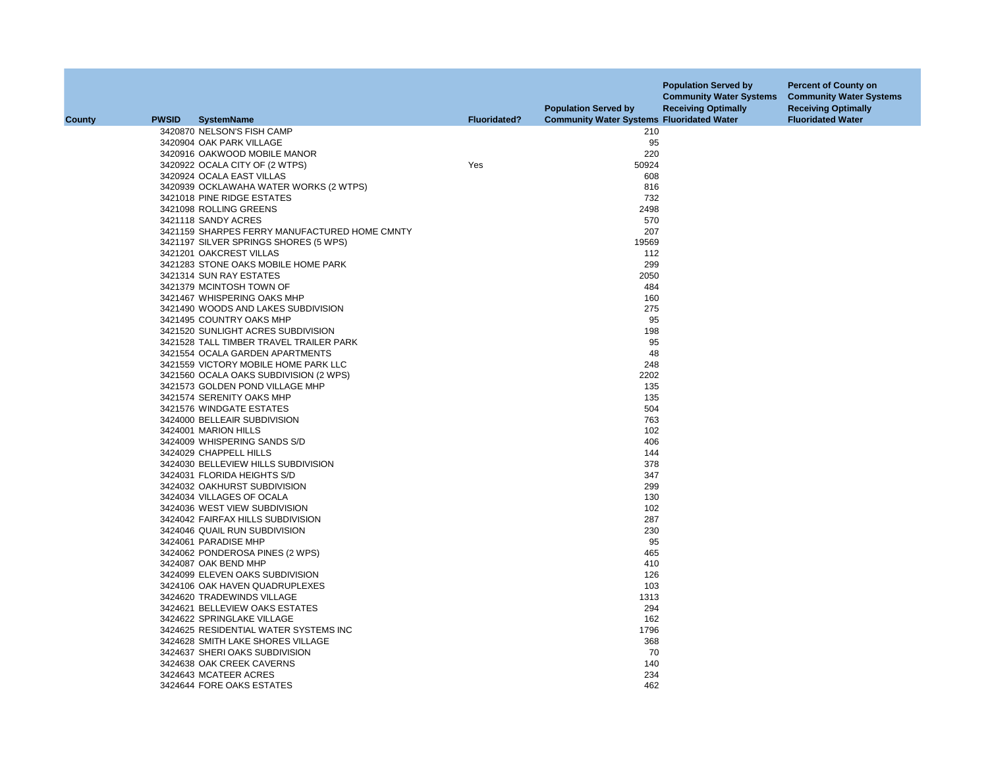| <b>County</b> | <b>PWSID</b> | <b>SystemName</b>                             | <b>Fluoridated?</b> | <b>Population Served by</b><br><b>Community Water Systems Fluoridated Water</b> | <b>Population Served by</b><br><b>Community Water Systems</b><br><b>Receiving Optimally</b> | <b>Percent of County on</b><br><b>Community Water Systems</b><br><b>Receiving Optimally</b><br><b>Fluoridated Water</b> |
|---------------|--------------|-----------------------------------------------|---------------------|---------------------------------------------------------------------------------|---------------------------------------------------------------------------------------------|-------------------------------------------------------------------------------------------------------------------------|
|               |              |                                               |                     |                                                                                 |                                                                                             |                                                                                                                         |
|               |              | 3420870 NELSON'S FISH CAMP                    |                     | 210                                                                             |                                                                                             |                                                                                                                         |
|               |              | 3420904 OAK PARK VILLAGE                      |                     | 95                                                                              |                                                                                             |                                                                                                                         |
|               |              | 3420916 OAKWOOD MOBILE MANOR                  |                     | 220                                                                             |                                                                                             |                                                                                                                         |
|               |              | 3420922 OCALA CITY OF (2 WTPS)                | Yes                 | 50924                                                                           |                                                                                             |                                                                                                                         |
|               |              | 3420924 OCALA EAST VILLAS                     |                     | 608                                                                             |                                                                                             |                                                                                                                         |
|               |              | 3420939 OCKLAWAHA WATER WORKS (2 WTPS)        |                     | 816                                                                             |                                                                                             |                                                                                                                         |
|               |              | 3421018 PINE RIDGE ESTATES                    |                     | 732                                                                             |                                                                                             |                                                                                                                         |
|               |              | 3421098 ROLLING GREENS                        |                     | 2498                                                                            |                                                                                             |                                                                                                                         |
|               |              | 3421118 SANDY ACRES                           |                     | 570                                                                             |                                                                                             |                                                                                                                         |
|               |              | 3421159 SHARPES FERRY MANUFACTURED HOME CMNTY |                     | 207                                                                             |                                                                                             |                                                                                                                         |
|               |              | 3421197 SILVER SPRINGS SHORES (5 WPS)         |                     | 19569                                                                           |                                                                                             |                                                                                                                         |
|               |              | 3421201 OAKCREST VILLAS                       |                     | 112                                                                             |                                                                                             |                                                                                                                         |
|               |              | 3421283 STONE OAKS MOBILE HOME PARK           |                     | 299                                                                             |                                                                                             |                                                                                                                         |
|               |              | 3421314 SUN RAY ESTATES                       |                     | 2050                                                                            |                                                                                             |                                                                                                                         |
|               |              | 3421379 MCINTOSH TOWN OF                      |                     | 484                                                                             |                                                                                             |                                                                                                                         |
|               |              | 3421467 WHISPERING OAKS MHP                   |                     | 160                                                                             |                                                                                             |                                                                                                                         |
|               |              | 3421490 WOODS AND LAKES SUBDIVISION           |                     | 275                                                                             |                                                                                             |                                                                                                                         |
|               |              | 3421495 COUNTRY OAKS MHP                      |                     | 95                                                                              |                                                                                             |                                                                                                                         |
|               |              | 3421520 SUNLIGHT ACRES SUBDIVISION            |                     | 198                                                                             |                                                                                             |                                                                                                                         |
|               |              | 3421528 TALL TIMBER TRAVEL TRAILER PARK       |                     | 95                                                                              |                                                                                             |                                                                                                                         |
|               |              | 3421554 OCALA GARDEN APARTMENTS               |                     | 48                                                                              |                                                                                             |                                                                                                                         |
|               |              | 3421559 VICTORY MOBILE HOME PARK LLC          |                     | 248                                                                             |                                                                                             |                                                                                                                         |
|               |              | 3421560 OCALA OAKS SUBDIVISION (2 WPS)        |                     | 2202                                                                            |                                                                                             |                                                                                                                         |
|               |              | 3421573 GOLDEN POND VILLAGE MHP               |                     | 135                                                                             |                                                                                             |                                                                                                                         |
|               |              | 3421574 SERENITY OAKS MHP                     |                     | 135                                                                             |                                                                                             |                                                                                                                         |
|               |              | 3421576 WINDGATE ESTATES                      |                     | 504                                                                             |                                                                                             |                                                                                                                         |
|               |              | 3424000 BELLEAIR SUBDIVISION                  |                     | 763                                                                             |                                                                                             |                                                                                                                         |
|               |              | 3424001 MARION HILLS                          |                     | 102                                                                             |                                                                                             |                                                                                                                         |
|               |              | 3424009 WHISPERING SANDS S/D                  |                     | 406                                                                             |                                                                                             |                                                                                                                         |
|               |              | 3424029 CHAPPELL HILLS                        |                     | 144                                                                             |                                                                                             |                                                                                                                         |
|               |              | 3424030 BELLEVIEW HILLS SUBDIVISION           |                     | 378                                                                             |                                                                                             |                                                                                                                         |
|               |              | 3424031 FLORIDA HEIGHTS S/D                   |                     | 347                                                                             |                                                                                             |                                                                                                                         |
|               |              | 3424032 OAKHURST SUBDIVISION                  |                     | 299                                                                             |                                                                                             |                                                                                                                         |
|               |              | 3424034 VILLAGES OF OCALA                     |                     | 130                                                                             |                                                                                             |                                                                                                                         |
|               |              | 3424036 WEST VIEW SUBDIVISION                 |                     | 102                                                                             |                                                                                             |                                                                                                                         |
|               |              | 3424042 FAIRFAX HILLS SUBDIVISION             |                     | 287                                                                             |                                                                                             |                                                                                                                         |
|               |              | 3424046 QUAIL RUN SUBDIVISION                 |                     | 230                                                                             |                                                                                             |                                                                                                                         |
|               |              | 3424061 PARADISE MHP                          |                     | 95                                                                              |                                                                                             |                                                                                                                         |
|               |              | 3424062 PONDEROSA PINES (2 WPS)               |                     | 465                                                                             |                                                                                             |                                                                                                                         |
|               |              | 3424087 OAK BEND MHP                          |                     | 410                                                                             |                                                                                             |                                                                                                                         |
|               |              | 3424099 ELEVEN OAKS SUBDIVISION               |                     | 126                                                                             |                                                                                             |                                                                                                                         |
|               |              | 3424106 OAK HAVEN QUADRUPLEXES                |                     | 103                                                                             |                                                                                             |                                                                                                                         |
|               |              | 3424620 TRADEWINDS VILLAGE                    |                     | 1313                                                                            |                                                                                             |                                                                                                                         |
|               |              | 3424621 BELLEVIEW OAKS ESTATES                |                     | 294                                                                             |                                                                                             |                                                                                                                         |
|               |              | 3424622 SPRINGLAKE VILLAGE                    |                     | 162                                                                             |                                                                                             |                                                                                                                         |
|               |              | 3424625 RESIDENTIAL WATER SYSTEMS INC         |                     | 1796                                                                            |                                                                                             |                                                                                                                         |
|               |              | 3424628 SMITH LAKE SHORES VILLAGE             |                     | 368                                                                             |                                                                                             |                                                                                                                         |
|               |              | 3424637 SHERI OAKS SUBDIVISION                |                     | 70                                                                              |                                                                                             |                                                                                                                         |
|               |              | 3424638 OAK CREEK CAVERNS                     |                     | 140                                                                             |                                                                                             |                                                                                                                         |
|               |              | 3424643 MCATEER ACRES                         |                     | 234                                                                             |                                                                                             |                                                                                                                         |
|               |              | 3424644 FORE OAKS ESTATES                     |                     | 462                                                                             |                                                                                             |                                                                                                                         |
|               |              |                                               |                     |                                                                                 |                                                                                             |                                                                                                                         |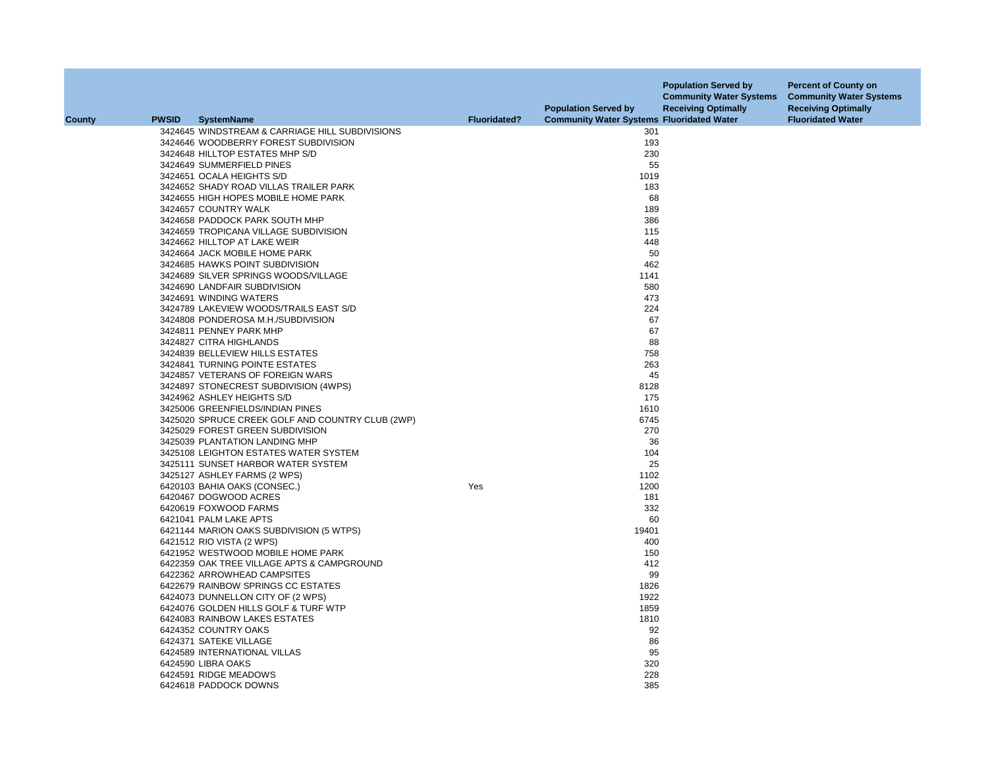|               |              |                                                                |                     | <b>Population Served by</b>                      | <b>Population Served by</b><br><b>Community Water Systems</b><br><b>Receiving Optimally</b> | <b>Percent of County on</b><br><b>Community Water Systems</b><br><b>Receiving Optimally</b> |
|---------------|--------------|----------------------------------------------------------------|---------------------|--------------------------------------------------|---------------------------------------------------------------------------------------------|---------------------------------------------------------------------------------------------|
| <b>County</b> | <b>PWSID</b> | <b>SystemName</b>                                              | <b>Fluoridated?</b> | <b>Community Water Systems Fluoridated Water</b> |                                                                                             | <b>Fluoridated Water</b>                                                                    |
|               |              | 3424645 WINDSTREAM & CARRIAGE HILL SUBDIVISIONS                |                     | 301                                              |                                                                                             |                                                                                             |
|               |              | 3424646 WOODBERRY FOREST SUBDIVISION                           |                     | 193                                              |                                                                                             |                                                                                             |
|               |              | 3424648 HILLTOP ESTATES MHP S/D                                |                     | 230                                              |                                                                                             |                                                                                             |
|               |              | 3424649 SUMMERFIELD PINES                                      |                     | 55                                               |                                                                                             |                                                                                             |
|               |              | 3424651 OCALA HEIGHTS S/D                                      |                     | 1019                                             |                                                                                             |                                                                                             |
|               |              | 3424652 SHADY ROAD VILLAS TRAILER PARK                         |                     | 183                                              |                                                                                             |                                                                                             |
|               |              | 3424655 HIGH HOPES MOBILE HOME PARK                            |                     | 68                                               |                                                                                             |                                                                                             |
|               |              | 3424657 COUNTRY WALK                                           |                     | 189                                              |                                                                                             |                                                                                             |
|               |              | 3424658 PADDOCK PARK SOUTH MHP                                 |                     | 386                                              |                                                                                             |                                                                                             |
|               |              | 3424659 TROPICANA VILLAGE SUBDIVISION                          |                     | 115                                              |                                                                                             |                                                                                             |
|               |              | 3424662 HILLTOP AT LAKE WEIR                                   |                     | 448                                              |                                                                                             |                                                                                             |
|               |              | 3424664 JACK MOBILE HOME PARK                                  |                     | 50                                               |                                                                                             |                                                                                             |
|               |              | 3424685 HAWKS POINT SUBDIVISION                                |                     | 462                                              |                                                                                             |                                                                                             |
|               |              | 3424689 SILVER SPRINGS WOODS/VILLAGE                           |                     | 1141                                             |                                                                                             |                                                                                             |
|               |              | 3424690 LANDFAIR SUBDIVISION                                   |                     | 580                                              |                                                                                             |                                                                                             |
|               |              | 3424691 WINDING WATERS                                         |                     | 473                                              |                                                                                             |                                                                                             |
|               |              | 3424789 LAKEVIEW WOODS/TRAILS EAST S/D                         |                     | 224                                              |                                                                                             |                                                                                             |
|               |              | 3424808 PONDEROSA M.H./SUBDIVISION                             |                     | 67                                               |                                                                                             |                                                                                             |
|               |              | 3424811 PENNEY PARK MHP                                        |                     | 67                                               |                                                                                             |                                                                                             |
|               |              | 3424827 CITRA HIGHLANDS                                        |                     | 88                                               |                                                                                             |                                                                                             |
|               |              | 3424839 BELLEVIEW HILLS ESTATES                                |                     | 758                                              |                                                                                             |                                                                                             |
|               |              | 3424841 TURNING POINTE ESTATES                                 |                     | 263                                              |                                                                                             |                                                                                             |
|               |              | 3424857 VETERANS OF FOREIGN WARS                               |                     | 45                                               |                                                                                             |                                                                                             |
|               |              | 3424897 STONECREST SUBDIVISION (4WPS)                          |                     | 8128                                             |                                                                                             |                                                                                             |
|               |              | 3424962 ASHLEY HEIGHTS S/D                                     |                     | 175                                              |                                                                                             |                                                                                             |
|               |              | 3425006 GREENFIELDS/INDIAN PINES                               |                     | 1610                                             |                                                                                             |                                                                                             |
|               |              | 3425020 SPRUCE CREEK GOLF AND COUNTRY CLUB (2WP)               |                     | 6745                                             |                                                                                             |                                                                                             |
|               |              | 3425029 FOREST GREEN SUBDIVISION                               |                     | 270                                              |                                                                                             |                                                                                             |
|               |              | 3425039 PLANTATION LANDING MHP                                 |                     | 36                                               |                                                                                             |                                                                                             |
|               |              | 3425108 LEIGHTON ESTATES WATER SYSTEM                          |                     | 104                                              |                                                                                             |                                                                                             |
|               |              | 3425111 SUNSET HARBOR WATER SYSTEM                             |                     | 25                                               |                                                                                             |                                                                                             |
|               |              | 3425127 ASHLEY FARMS (2 WPS)                                   |                     | 1102                                             |                                                                                             |                                                                                             |
|               |              | 6420103 BAHIA OAKS (CONSEC.)                                   | Yes                 | 1200                                             |                                                                                             |                                                                                             |
|               |              | 6420467 DOGWOOD ACRES                                          |                     | 181                                              |                                                                                             |                                                                                             |
|               |              | 6420619 FOXWOOD FARMS                                          |                     | 332                                              |                                                                                             |                                                                                             |
|               |              | 6421041 PALM LAKE APTS                                         |                     | 60                                               |                                                                                             |                                                                                             |
|               |              |                                                                |                     | 19401                                            |                                                                                             |                                                                                             |
|               |              | 6421144 MARION OAKS SUBDIVISION (5 WTPS)                       |                     | 400                                              |                                                                                             |                                                                                             |
|               |              | 6421512 RIO VISTA (2 WPS)<br>6421952 WESTWOOD MOBILE HOME PARK |                     | 150                                              |                                                                                             |                                                                                             |
|               |              | 6422359 OAK TREE VILLAGE APTS & CAMPGROUND                     |                     | 412                                              |                                                                                             |                                                                                             |
|               |              |                                                                |                     |                                                  |                                                                                             |                                                                                             |
|               |              | 6422362 ARROWHEAD CAMPSITES                                    |                     | 99                                               |                                                                                             |                                                                                             |
|               |              | 6422679 RAINBOW SPRINGS CC ESTATES                             |                     | 1826                                             |                                                                                             |                                                                                             |
|               |              | 6424073 DUNNELLON CITY OF (2 WPS)                              |                     | 1922                                             |                                                                                             |                                                                                             |
|               |              | 6424076 GOLDEN HILLS GOLF & TURF WTP                           |                     | 1859                                             |                                                                                             |                                                                                             |
|               |              | 6424083 RAINBOW LAKES ESTATES                                  |                     | 1810                                             |                                                                                             |                                                                                             |
|               |              | 6424352 COUNTRY OAKS                                           |                     | 92                                               |                                                                                             |                                                                                             |
|               |              | 6424371 SATEKE VILLAGE                                         |                     | 86                                               |                                                                                             |                                                                                             |
|               |              | 6424589 INTERNATIONAL VILLAS                                   |                     | 95                                               |                                                                                             |                                                                                             |
|               |              | 6424590 LIBRA OAKS                                             |                     | 320                                              |                                                                                             |                                                                                             |
|               |              | 6424591 RIDGE MEADOWS                                          |                     | 228                                              |                                                                                             |                                                                                             |
|               |              | 6424618 PADDOCK DOWNS                                          |                     | 385                                              |                                                                                             |                                                                                             |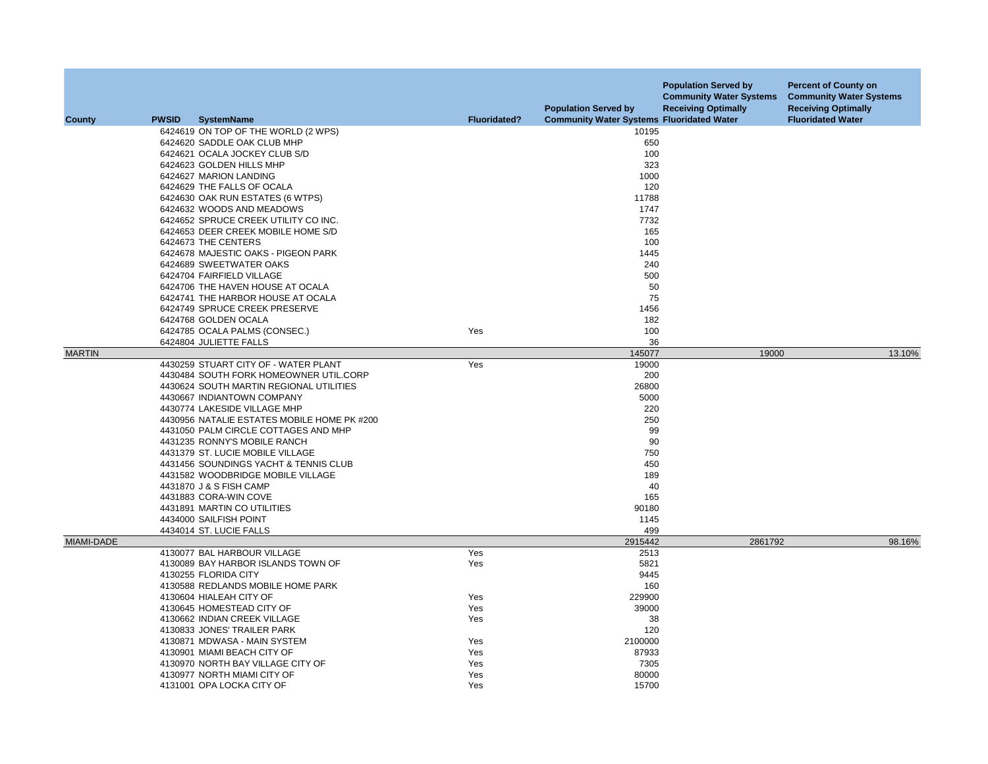|               |              |                                                                    |                     | <b>Population Served by</b>                      | <b>Population Served by</b><br><b>Community Water Systems</b><br><b>Receiving Optimally</b> | <b>Percent of County on</b><br><b>Community Water Systems</b><br><b>Receiving Optimally</b> |
|---------------|--------------|--------------------------------------------------------------------|---------------------|--------------------------------------------------|---------------------------------------------------------------------------------------------|---------------------------------------------------------------------------------------------|
| County        | <b>PWSID</b> | <b>SystemName</b>                                                  | <b>Fluoridated?</b> | <b>Community Water Systems Fluoridated Water</b> |                                                                                             | <b>Fluoridated Water</b>                                                                    |
|               |              | 6424619 ON TOP OF THE WORLD (2 WPS)                                |                     | 10195                                            |                                                                                             |                                                                                             |
|               |              | 6424620 SADDLE OAK CLUB MHP                                        |                     | 650                                              |                                                                                             |                                                                                             |
|               |              | 6424621 OCALA JOCKEY CLUB S/D                                      |                     | 100                                              |                                                                                             |                                                                                             |
|               |              | 6424623 GOLDEN HILLS MHP                                           |                     | 323                                              |                                                                                             |                                                                                             |
|               |              | 6424627 MARION LANDING                                             |                     | 1000                                             |                                                                                             |                                                                                             |
|               |              | 6424629 THE FALLS OF OCALA                                         |                     | 120                                              |                                                                                             |                                                                                             |
|               |              | 6424630 OAK RUN ESTATES (6 WTPS)                                   |                     | 11788                                            |                                                                                             |                                                                                             |
|               |              | 6424632 WOODS AND MEADOWS                                          |                     | 1747                                             |                                                                                             |                                                                                             |
|               |              | 6424652 SPRUCE CREEK UTILITY CO INC.                               |                     | 7732                                             |                                                                                             |                                                                                             |
|               |              | 6424653 DEER CREEK MOBILE HOME S/D                                 |                     | 165                                              |                                                                                             |                                                                                             |
|               |              | 6424673 THE CENTERS                                                |                     | 100                                              |                                                                                             |                                                                                             |
|               |              | 6424678 MAJESTIC OAKS - PIGEON PARK                                |                     | 1445                                             |                                                                                             |                                                                                             |
|               |              | 6424689 SWEETWATER OAKS                                            |                     | 240                                              |                                                                                             |                                                                                             |
|               |              | 6424704 FAIRFIELD VILLAGE                                          |                     | 500                                              |                                                                                             |                                                                                             |
|               |              | 6424706 THE HAVEN HOUSE AT OCALA                                   |                     | 50<br>75                                         |                                                                                             |                                                                                             |
|               |              | 6424741 THE HARBOR HOUSE AT OCALA<br>6424749 SPRUCE CREEK PRESERVE |                     | 1456                                             |                                                                                             |                                                                                             |
|               |              | 6424768 GOLDEN OCALA                                               |                     | 182                                              |                                                                                             |                                                                                             |
|               |              | 6424785 OCALA PALMS (CONSEC.)                                      | Yes                 | 100                                              |                                                                                             |                                                                                             |
|               |              | 6424804 JULIETTE FALLS                                             |                     | 36                                               |                                                                                             |                                                                                             |
| <b>MARTIN</b> |              |                                                                    |                     | 145077                                           | 19000                                                                                       | 13.10%                                                                                      |
|               |              | 4430259 STUART CITY OF - WATER PLANT                               | Yes                 | 19000                                            |                                                                                             |                                                                                             |
|               |              | 4430484 SOUTH FORK HOMEOWNER UTIL.CORP                             |                     | 200                                              |                                                                                             |                                                                                             |
|               |              | 4430624 SOUTH MARTIN REGIONAL UTILITIES                            |                     | 26800                                            |                                                                                             |                                                                                             |
|               |              | 4430667 INDIANTOWN COMPANY                                         |                     | 5000                                             |                                                                                             |                                                                                             |
|               |              | 4430774 LAKESIDE VILLAGE MHP                                       |                     | 220                                              |                                                                                             |                                                                                             |
|               |              | 4430956 NATALIE ESTATES MOBILE HOME PK #200                        |                     | 250                                              |                                                                                             |                                                                                             |
|               |              | 4431050 PALM CIRCLE COTTAGES AND MHP                               |                     | 99                                               |                                                                                             |                                                                                             |
|               |              | 4431235 RONNY'S MOBILE RANCH                                       |                     | 90                                               |                                                                                             |                                                                                             |
|               |              | 4431379 ST. LUCIE MOBILE VILLAGE                                   |                     | 750                                              |                                                                                             |                                                                                             |
|               |              | 4431456 SOUNDINGS YACHT & TENNIS CLUB                              |                     | 450                                              |                                                                                             |                                                                                             |
|               |              | 4431582 WOODBRIDGE MOBILE VILLAGE                                  |                     | 189                                              |                                                                                             |                                                                                             |
|               |              | 4431870 J & S FISH CAMP                                            |                     | 40                                               |                                                                                             |                                                                                             |
|               |              | 4431883 CORA-WIN COVE                                              |                     | 165                                              |                                                                                             |                                                                                             |
|               |              | 4431891 MARTIN CO UTILITIES<br>4434000 SAILFISH POINT              |                     | 90180<br>1145                                    |                                                                                             |                                                                                             |
|               |              | 4434014 ST. LUCIE FALLS                                            |                     | 499                                              |                                                                                             |                                                                                             |
| MIAMI-DADE    |              |                                                                    |                     | 2915442                                          | 2861792                                                                                     | 98.16%                                                                                      |
|               |              | 4130077 BAL HARBOUR VILLAGE                                        | Yes                 | 2513                                             |                                                                                             |                                                                                             |
|               |              | 4130089 BAY HARBOR ISLANDS TOWN OF                                 | Yes                 | 5821                                             |                                                                                             |                                                                                             |
|               |              | 4130255 FLORIDA CITY                                               |                     | 9445                                             |                                                                                             |                                                                                             |
|               |              | 4130588 REDLANDS MOBILE HOME PARK                                  |                     | 160                                              |                                                                                             |                                                                                             |
|               |              | 4130604 HIALEAH CITY OF                                            | Yes                 | 229900                                           |                                                                                             |                                                                                             |
|               |              | 4130645 HOMESTEAD CITY OF                                          | Yes                 | 39000                                            |                                                                                             |                                                                                             |
|               |              | 4130662 INDIAN CREEK VILLAGE                                       | Yes                 | 38                                               |                                                                                             |                                                                                             |
|               |              | 4130833 JONES' TRAILER PARK                                        |                     | 120                                              |                                                                                             |                                                                                             |
|               |              | 4130871 MDWASA - MAIN SYSTEM                                       | Yes                 | 2100000                                          |                                                                                             |                                                                                             |
|               |              | 4130901 MIAMI BEACH CITY OF                                        | Yes                 | 87933                                            |                                                                                             |                                                                                             |
|               |              | 4130970 NORTH BAY VILLAGE CITY OF                                  | Yes                 | 7305                                             |                                                                                             |                                                                                             |
|               |              | 4130977 NORTH MIAMI CITY OF                                        | Yes                 | 80000                                            |                                                                                             |                                                                                             |
|               |              | 4131001 OPA LOCKA CITY OF                                          | Yes                 | 15700                                            |                                                                                             |                                                                                             |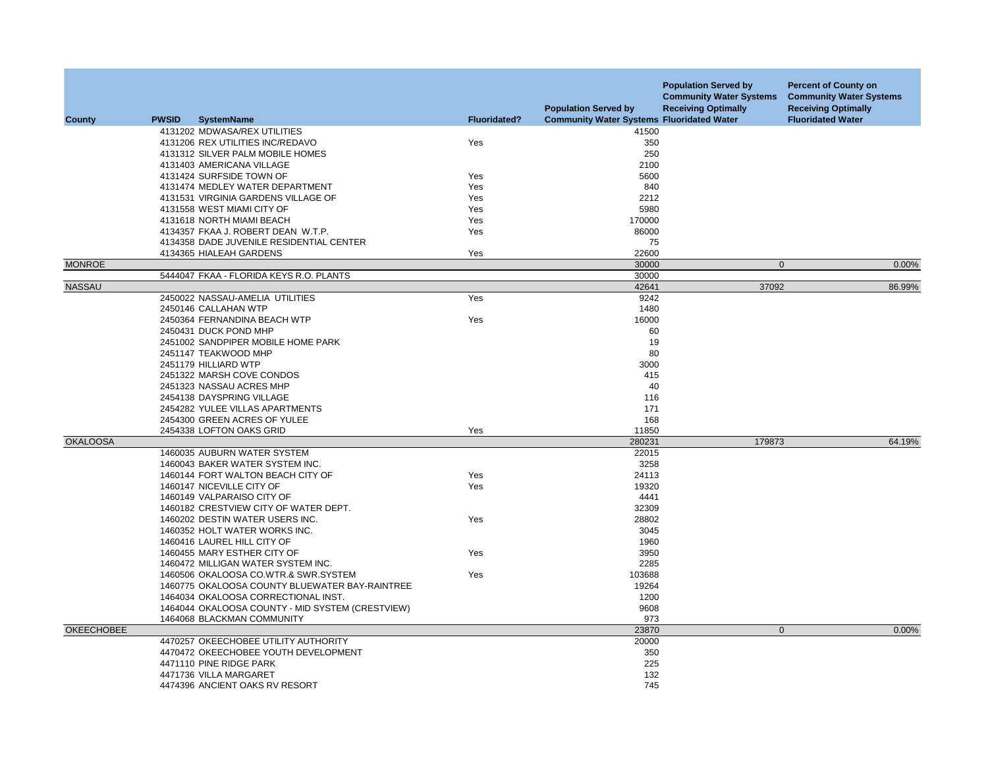| County            | <b>PWSID</b><br><b>SystemName</b>                | <b>Fluoridated?</b> | <b>Population Served by</b><br><b>Community Water Systems Fluoridated Water</b> | <b>Population Served by</b><br><b>Community Water Systems</b><br><b>Receiving Optimally</b> | <b>Percent of County on</b><br><b>Community Water Systems</b><br><b>Receiving Optimally</b><br><b>Fluoridated Water</b> |
|-------------------|--------------------------------------------------|---------------------|---------------------------------------------------------------------------------|---------------------------------------------------------------------------------------------|-------------------------------------------------------------------------------------------------------------------------|
|                   | 4131202 MDWASA/REX UTILITIES                     |                     | 41500                                                                           |                                                                                             |                                                                                                                         |
|                   | 4131206 REX UTILITIES INC/REDAVO                 | Yes                 | 350                                                                             |                                                                                             |                                                                                                                         |
|                   | 4131312 SILVER PALM MOBILE HOMES                 |                     | 250                                                                             |                                                                                             |                                                                                                                         |
|                   | 4131403 AMERICANA VILLAGE                        |                     | 2100                                                                            |                                                                                             |                                                                                                                         |
|                   | 4131424 SURFSIDE TOWN OF                         | Yes                 | 5600                                                                            |                                                                                             |                                                                                                                         |
|                   | 4131474 MEDLEY WATER DEPARTMENT                  | Yes                 | 840                                                                             |                                                                                             |                                                                                                                         |
|                   | 4131531 VIRGINIA GARDENS VILLAGE OF              | Yes                 | 2212                                                                            |                                                                                             |                                                                                                                         |
|                   | 4131558 WEST MIAMI CITY OF                       | Yes                 | 5980                                                                            |                                                                                             |                                                                                                                         |
|                   | 4131618 NORTH MIAMI BEACH                        | Yes                 | 170000                                                                          |                                                                                             |                                                                                                                         |
|                   | 4134357 FKAA J. ROBERT DEAN W.T.P.               | Yes                 | 86000                                                                           |                                                                                             |                                                                                                                         |
|                   | 4134358 DADE JUVENILE RESIDENTIAL CENTER         |                     | 75                                                                              |                                                                                             |                                                                                                                         |
|                   | 4134365 HIALEAH GARDENS                          | Yes                 | 22600                                                                           |                                                                                             |                                                                                                                         |
| <b>MONROE</b>     |                                                  |                     | 30000                                                                           | $\mathbf 0$                                                                                 | 0.00%                                                                                                                   |
|                   | 5444047 FKAA - FLORIDA KEYS R.O. PLANTS          |                     | 30000                                                                           |                                                                                             |                                                                                                                         |
| <b>NASSAU</b>     |                                                  |                     | 42641                                                                           | 37092                                                                                       | 86.99%                                                                                                                  |
|                   | 2450022 NASSAU-AMELIA UTILITIES                  | Yes                 | 9242                                                                            |                                                                                             |                                                                                                                         |
|                   | 2450146 CALLAHAN WTP                             |                     | 1480                                                                            |                                                                                             |                                                                                                                         |
|                   | 2450364 FERNANDINA BEACH WTP                     | Yes                 | 16000                                                                           |                                                                                             |                                                                                                                         |
|                   | 2450431 DUCK POND MHP                            |                     | 60                                                                              |                                                                                             |                                                                                                                         |
|                   | 2451002 SANDPIPER MOBILE HOME PARK               |                     | 19                                                                              |                                                                                             |                                                                                                                         |
|                   | 2451147 TEAKWOOD MHP                             |                     | 80                                                                              |                                                                                             |                                                                                                                         |
|                   | 2451179 HILLIARD WTP                             |                     | 3000                                                                            |                                                                                             |                                                                                                                         |
|                   | 2451322 MARSH COVE CONDOS                        |                     | 415                                                                             |                                                                                             |                                                                                                                         |
|                   | 2451323 NASSAU ACRES MHP                         |                     | 40                                                                              |                                                                                             |                                                                                                                         |
|                   | 2454138 DAYSPRING VILLAGE                        |                     | 116                                                                             |                                                                                             |                                                                                                                         |
|                   | 2454282 YULEE VILLAS APARTMENTS                  |                     | 171                                                                             |                                                                                             |                                                                                                                         |
|                   | 2454300 GREEN ACRES OF YULEE                     |                     | 168                                                                             |                                                                                             |                                                                                                                         |
|                   | 2454338 LOFTON OAKS GRID                         | Yes                 | 11850                                                                           |                                                                                             |                                                                                                                         |
| <b>OKALOOSA</b>   |                                                  |                     | 280231                                                                          | 179873                                                                                      | 64.19%                                                                                                                  |
|                   | 1460035 AUBURN WATER SYSTEM                      |                     | 22015                                                                           |                                                                                             |                                                                                                                         |
|                   | 1460043 BAKER WATER SYSTEM INC.                  |                     | 3258                                                                            |                                                                                             |                                                                                                                         |
|                   | 1460144 FORT WALTON BEACH CITY OF                | Yes                 | 24113                                                                           |                                                                                             |                                                                                                                         |
|                   | 1460147 NICEVILLE CITY OF                        | Yes                 | 19320                                                                           |                                                                                             |                                                                                                                         |
|                   | 1460149 VALPARAISO CITY OF                       |                     | 4441                                                                            |                                                                                             |                                                                                                                         |
|                   | 1460182 CRESTVIEW CITY OF WATER DEPT.            |                     | 32309                                                                           |                                                                                             |                                                                                                                         |
|                   | 1460202 DESTIN WATER USERS INC.                  | Yes                 | 28802                                                                           |                                                                                             |                                                                                                                         |
|                   | 1460352 HOLT WATER WORKS INC.                    |                     | 3045                                                                            |                                                                                             |                                                                                                                         |
|                   | 1460416 LAUREL HILL CITY OF                      |                     | 1960                                                                            |                                                                                             |                                                                                                                         |
|                   | 1460455 MARY ESTHER CITY OF                      | Yes                 | 3950                                                                            |                                                                                             |                                                                                                                         |
|                   | 1460472 MILLIGAN WATER SYSTEM INC.               |                     | 2285                                                                            |                                                                                             |                                                                                                                         |
|                   | 1460506 OKALOOSA CO.WTR.& SWR.SYSTEM             | Yes                 | 103688                                                                          |                                                                                             |                                                                                                                         |
|                   | 1460775 OKALOOSA COUNTY BLUEWATER BAY-RAINTREE   |                     | 19264                                                                           |                                                                                             |                                                                                                                         |
|                   | 1464034 OKALOOSA CORRECTIONAL INST.              |                     | 1200                                                                            |                                                                                             |                                                                                                                         |
|                   | 1464044 OKALOOSA COUNTY - MID SYSTEM (CRESTVIEW) |                     | 9608                                                                            |                                                                                             |                                                                                                                         |
|                   | 1464068 BLACKMAN COMMUNITY                       |                     | 973                                                                             |                                                                                             |                                                                                                                         |
| <b>OKEECHOBEE</b> |                                                  |                     | 23870                                                                           | $\mathbf 0$                                                                                 | 0.00%                                                                                                                   |
|                   | 4470257 OKEECHOBEE UTILITY AUTHORITY             |                     | 20000                                                                           |                                                                                             |                                                                                                                         |
|                   | 4470472 OKEECHOBEE YOUTH DEVELOPMENT             |                     | 350                                                                             |                                                                                             |                                                                                                                         |
|                   | 4471110 PINE RIDGE PARK                          |                     | 225                                                                             |                                                                                             |                                                                                                                         |
|                   | 4471736 VILLA MARGARET                           |                     | 132                                                                             |                                                                                             |                                                                                                                         |
|                   | 4474396 ANCIENT OAKS RV RESORT                   |                     | 745                                                                             |                                                                                             |                                                                                                                         |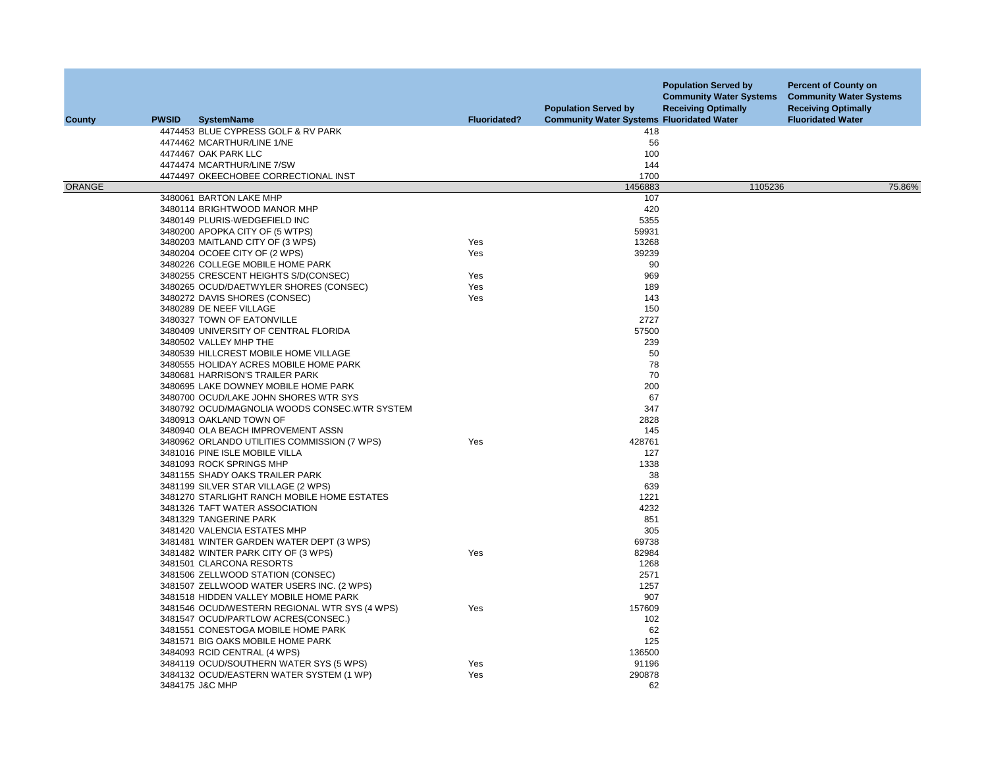| <b>County</b> | <b>PWSID</b> | <b>SystemName</b>                                                               | <b>Fluoridated?</b> | <b>Population Served by</b><br><b>Community Water Systems Fluoridated Water</b> | <b>Population Served by</b><br><b>Community Water Systems</b><br><b>Receiving Optimally</b> | <b>Percent of County on</b><br><b>Community Water Systems</b><br><b>Receiving Optimally</b><br><b>Fluoridated Water</b> |
|---------------|--------------|---------------------------------------------------------------------------------|---------------------|---------------------------------------------------------------------------------|---------------------------------------------------------------------------------------------|-------------------------------------------------------------------------------------------------------------------------|
|               |              | 4474453 BLUE CYPRESS GOLF & RV PARK                                             |                     | 418                                                                             |                                                                                             |                                                                                                                         |
|               |              | 4474462 MCARTHUR/LINE 1/NE                                                      |                     | 56                                                                              |                                                                                             |                                                                                                                         |
|               |              | 4474467 OAK PARK LLC                                                            |                     | 100                                                                             |                                                                                             |                                                                                                                         |
|               |              | 4474474 MCARTHUR/LINE 7/SW                                                      |                     | 144                                                                             |                                                                                             |                                                                                                                         |
|               |              | 4474497 OKEECHOBEE CORRECTIONAL INST                                            |                     | 1700                                                                            |                                                                                             |                                                                                                                         |
| <b>ORANGE</b> |              |                                                                                 |                     | 1456883                                                                         | 1105236                                                                                     | 75.86%                                                                                                                  |
|               |              | 3480061 BARTON LAKE MHP                                                         |                     | 107                                                                             |                                                                                             |                                                                                                                         |
|               |              | 3480114 BRIGHTWOOD MANOR MHP                                                    |                     | 420                                                                             |                                                                                             |                                                                                                                         |
|               |              | 3480149 PLURIS-WEDGEFIELD INC                                                   |                     | 5355                                                                            |                                                                                             |                                                                                                                         |
|               |              | 3480200 APOPKA CITY OF (5 WTPS)                                                 |                     | 59931                                                                           |                                                                                             |                                                                                                                         |
|               |              | 3480203 MAITLAND CITY OF (3 WPS)                                                | Yes                 | 13268                                                                           |                                                                                             |                                                                                                                         |
|               |              | 3480204 OCOEE CITY OF (2 WPS)                                                   | Yes                 | 39239                                                                           |                                                                                             |                                                                                                                         |
|               |              | 3480226 COLLEGE MOBILE HOME PARK                                                |                     | 90                                                                              |                                                                                             |                                                                                                                         |
|               |              | 3480255 CRESCENT HEIGHTS S/D(CONSEC)                                            | Yes<br>Yes          | 969<br>189                                                                      |                                                                                             |                                                                                                                         |
|               |              | 3480265 OCUD/DAETWYLER SHORES (CONSEC)<br>3480272 DAVIS SHORES (CONSEC)         | Yes                 | 143                                                                             |                                                                                             |                                                                                                                         |
|               |              | 3480289 DE NEEF VILLAGE                                                         |                     | 150                                                                             |                                                                                             |                                                                                                                         |
|               |              | 3480327 TOWN OF EATONVILLE                                                      |                     | 2727                                                                            |                                                                                             |                                                                                                                         |
|               |              | 3480409 UNIVERSITY OF CENTRAL FLORIDA                                           |                     | 57500                                                                           |                                                                                             |                                                                                                                         |
|               |              | 3480502 VALLEY MHP THE                                                          |                     | 239                                                                             |                                                                                             |                                                                                                                         |
|               |              | 3480539 HILLCREST MOBILE HOME VILLAGE                                           |                     | 50                                                                              |                                                                                             |                                                                                                                         |
|               |              | 3480555 HOLIDAY ACRES MOBILE HOME PARK                                          |                     | 78                                                                              |                                                                                             |                                                                                                                         |
|               |              | 3480681 HARRISON'S TRAILER PARK                                                 |                     | 70                                                                              |                                                                                             |                                                                                                                         |
|               |              | 3480695 LAKE DOWNEY MOBILE HOME PARK                                            |                     | 200                                                                             |                                                                                             |                                                                                                                         |
|               |              | 3480700 OCUD/LAKE JOHN SHORES WTR SYS                                           |                     | 67                                                                              |                                                                                             |                                                                                                                         |
|               |              | 3480792 OCUD/MAGNOLIA WOODS CONSEC.WTR SYSTEM                                   |                     | 347                                                                             |                                                                                             |                                                                                                                         |
|               |              | 3480913 OAKLAND TOWN OF                                                         |                     | 2828                                                                            |                                                                                             |                                                                                                                         |
|               |              | 3480940 OLA BEACH IMPROVEMENT ASSN                                              |                     | 145                                                                             |                                                                                             |                                                                                                                         |
|               |              | 3480962 ORLANDO UTILITIES COMMISSION (7 WPS)                                    | Yes                 | 428761                                                                          |                                                                                             |                                                                                                                         |
|               |              | 3481016 PINE ISLE MOBILE VILLA                                                  |                     | 127                                                                             |                                                                                             |                                                                                                                         |
|               |              | 3481093 ROCK SPRINGS MHP                                                        |                     | 1338                                                                            |                                                                                             |                                                                                                                         |
|               |              | 3481155 SHADY OAKS TRAILER PARK                                                 |                     | 38                                                                              |                                                                                             |                                                                                                                         |
|               |              | 3481199 SILVER STAR VILLAGE (2 WPS)                                             |                     | 639                                                                             |                                                                                             |                                                                                                                         |
|               |              | 3481270 STARLIGHT RANCH MOBILE HOME ESTATES                                     |                     | 1221                                                                            |                                                                                             |                                                                                                                         |
|               |              | 3481326 TAFT WATER ASSOCIATION                                                  |                     | 4232                                                                            |                                                                                             |                                                                                                                         |
|               |              | 3481329 TANGERINE PARK                                                          |                     | 851<br>305                                                                      |                                                                                             |                                                                                                                         |
|               |              | 3481420 VALENCIA ESTATES MHP                                                    |                     | 69738                                                                           |                                                                                             |                                                                                                                         |
|               |              | 3481481 WINTER GARDEN WATER DEPT (3 WPS)<br>3481482 WINTER PARK CITY OF (3 WPS) | Yes                 | 82984                                                                           |                                                                                             |                                                                                                                         |
|               |              | 3481501 CLARCONA RESORTS                                                        |                     | 1268                                                                            |                                                                                             |                                                                                                                         |
|               |              | 3481506 ZELLWOOD STATION (CONSEC)                                               |                     | 2571                                                                            |                                                                                             |                                                                                                                         |
|               |              | 3481507 ZELLWOOD WATER USERS INC. (2 WPS)                                       |                     | 1257                                                                            |                                                                                             |                                                                                                                         |
|               |              | 3481518 HIDDEN VALLEY MOBILE HOME PARK                                          |                     | 907                                                                             |                                                                                             |                                                                                                                         |
|               |              | 3481546 OCUD/WESTERN REGIONAL WTR SYS (4 WPS)                                   | Yes                 | 157609                                                                          |                                                                                             |                                                                                                                         |
|               |              | 3481547 OCUD/PARTLOW ACRES(CONSEC.)                                             |                     | 102                                                                             |                                                                                             |                                                                                                                         |
|               |              | 3481551 CONESTOGA MOBILE HOME PARK                                              |                     | 62                                                                              |                                                                                             |                                                                                                                         |
|               |              | 3481571 BIG OAKS MOBILE HOME PARK                                               |                     | 125                                                                             |                                                                                             |                                                                                                                         |
|               |              | 3484093 RCID CENTRAL (4 WPS)                                                    |                     | 136500                                                                          |                                                                                             |                                                                                                                         |
|               |              | 3484119 OCUD/SOUTHERN WATER SYS (5 WPS)                                         | Yes                 | 91196                                                                           |                                                                                             |                                                                                                                         |
|               |              | 3484132 OCUD/EASTERN WATER SYSTEM (1 WP)                                        | Yes                 | 290878                                                                          |                                                                                             |                                                                                                                         |
|               |              | 3484175 J&C MHP                                                                 |                     | 62                                                                              |                                                                                             |                                                                                                                         |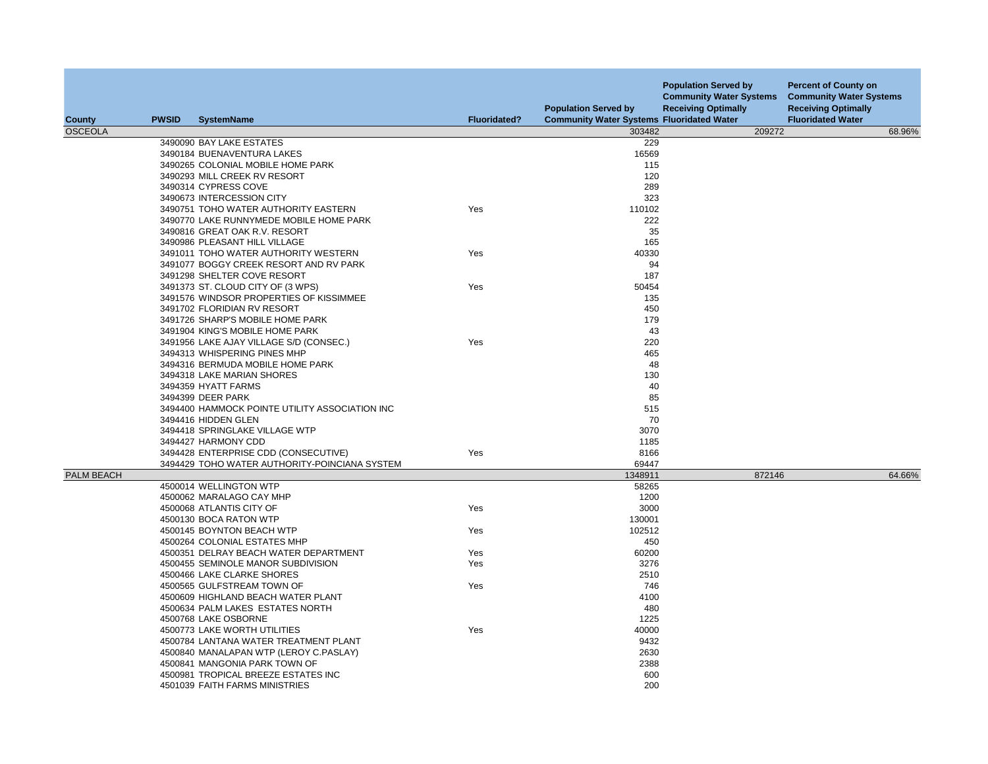| County         | <b>PWSID</b> | <b>SystemName</b>                                              | <b>Fluoridated?</b> | <b>Population Served by</b><br><b>Community Water Systems Fluoridated Water</b> | <b>Population Served by</b><br><b>Community Water Systems</b><br><b>Receiving Optimally</b> | <b>Percent of County on</b><br><b>Community Water Systems</b><br><b>Receiving Optimally</b><br><b>Fluoridated Water</b> |
|----------------|--------------|----------------------------------------------------------------|---------------------|---------------------------------------------------------------------------------|---------------------------------------------------------------------------------------------|-------------------------------------------------------------------------------------------------------------------------|
| <b>OSCEOLA</b> |              |                                                                |                     | 303482                                                                          | 209272                                                                                      | 68.96%                                                                                                                  |
|                |              | 3490090 BAY LAKE ESTATES                                       |                     | 229                                                                             |                                                                                             |                                                                                                                         |
|                |              | 3490184 BUENAVENTURA LAKES                                     |                     | 16569                                                                           |                                                                                             |                                                                                                                         |
|                |              | 3490265 COLONIAL MOBILE HOME PARK                              |                     | 115                                                                             |                                                                                             |                                                                                                                         |
|                |              | 3490293 MILL CREEK RV RESORT                                   |                     | 120                                                                             |                                                                                             |                                                                                                                         |
|                |              | 3490314 CYPRESS COVE                                           |                     | 289                                                                             |                                                                                             |                                                                                                                         |
|                |              | 3490673 INTERCESSION CITY                                      |                     | 323                                                                             |                                                                                             |                                                                                                                         |
|                |              | 3490751 TOHO WATER AUTHORITY EASTERN                           | Yes                 | 110102                                                                          |                                                                                             |                                                                                                                         |
|                |              | 3490770 LAKE RUNNYMEDE MOBILE HOME PARK                        |                     | 222                                                                             |                                                                                             |                                                                                                                         |
|                |              | 3490816 GREAT OAK R.V. RESORT                                  |                     | 35                                                                              |                                                                                             |                                                                                                                         |
|                |              | 3490986 PLEASANT HILL VILLAGE                                  |                     | 165                                                                             |                                                                                             |                                                                                                                         |
|                |              | 3491011 TOHO WATER AUTHORITY WESTERN                           | Yes                 | 40330                                                                           |                                                                                             |                                                                                                                         |
|                |              | 3491077 BOGGY CREEK RESORT AND RV PARK                         |                     | 94                                                                              |                                                                                             |                                                                                                                         |
|                |              | 3491298 SHELTER COVE RESORT                                    |                     | 187                                                                             |                                                                                             |                                                                                                                         |
|                |              | 3491373 ST. CLOUD CITY OF (3 WPS)                              | Yes                 | 50454                                                                           |                                                                                             |                                                                                                                         |
|                |              | 3491576 WINDSOR PROPERTIES OF KISSIMMEE                        |                     | 135                                                                             |                                                                                             |                                                                                                                         |
|                |              | 3491702 FLORIDIAN RV RESORT                                    |                     | 450                                                                             |                                                                                             |                                                                                                                         |
|                |              | 3491726 SHARP'S MOBILE HOME PARK                               |                     | 179                                                                             |                                                                                             |                                                                                                                         |
|                |              | 3491904 KING'S MOBILE HOME PARK                                |                     | 43                                                                              |                                                                                             |                                                                                                                         |
|                |              | 3491956 LAKE AJAY VILLAGE S/D (CONSEC.)                        | Yes                 | 220                                                                             |                                                                                             |                                                                                                                         |
|                |              | 3494313 WHISPERING PINES MHP                                   |                     | 465                                                                             |                                                                                             |                                                                                                                         |
|                |              | 3494316 BERMUDA MOBILE HOME PARK<br>3494318 LAKE MARIAN SHORES |                     | 48<br>130                                                                       |                                                                                             |                                                                                                                         |
|                |              | 3494359 HYATT FARMS                                            |                     | 40                                                                              |                                                                                             |                                                                                                                         |
|                |              | 3494399 DEER PARK                                              |                     | 85                                                                              |                                                                                             |                                                                                                                         |
|                |              | 3494400 HAMMOCK POINTE UTILITY ASSOCIATION INC                 |                     | 515                                                                             |                                                                                             |                                                                                                                         |
|                |              | 3494416 HIDDEN GLEN                                            |                     | 70                                                                              |                                                                                             |                                                                                                                         |
|                |              | 3494418 SPRINGLAKE VILLAGE WTP                                 |                     | 3070                                                                            |                                                                                             |                                                                                                                         |
|                |              | 3494427 HARMONY CDD                                            |                     | 1185                                                                            |                                                                                             |                                                                                                                         |
|                |              | 3494428 ENTERPRISE CDD (CONSECUTIVE)                           | Yes                 | 8166                                                                            |                                                                                             |                                                                                                                         |
|                |              | 3494429 TOHO WATER AUTHORITY-POINCIANA SYSTEM                  |                     | 69447                                                                           |                                                                                             |                                                                                                                         |
| PALM BEACH     |              |                                                                |                     | 1348911                                                                         | 872146                                                                                      | 64.66%                                                                                                                  |
|                |              | 4500014 WELLINGTON WTP                                         |                     | 58265                                                                           |                                                                                             |                                                                                                                         |
|                |              | 4500062 MARALAGO CAY MHP                                       |                     | 1200                                                                            |                                                                                             |                                                                                                                         |
|                |              | 4500068 ATLANTIS CITY OF                                       | Yes                 | 3000                                                                            |                                                                                             |                                                                                                                         |
|                |              | 4500130 BOCA RATON WTP                                         |                     | 130001                                                                          |                                                                                             |                                                                                                                         |
|                |              | 4500145 BOYNTON BEACH WTP                                      | Yes                 | 102512                                                                          |                                                                                             |                                                                                                                         |
|                |              | 4500264 COLONIAL ESTATES MHP                                   |                     | 450                                                                             |                                                                                             |                                                                                                                         |
|                |              | 4500351 DELRAY BEACH WATER DEPARTMENT                          | Yes                 | 60200                                                                           |                                                                                             |                                                                                                                         |
|                |              | 4500455 SEMINOLE MANOR SUBDIVISION                             | Yes                 | 3276                                                                            |                                                                                             |                                                                                                                         |
|                |              | 4500466 LAKE CLARKE SHORES                                     |                     | 2510                                                                            |                                                                                             |                                                                                                                         |
|                |              | 4500565 GULFSTREAM TOWN OF                                     | Yes                 | 746                                                                             |                                                                                             |                                                                                                                         |
|                |              | 4500609 HIGHLAND BEACH WATER PLANT                             |                     | 4100                                                                            |                                                                                             |                                                                                                                         |
|                |              | 4500634 PALM LAKES ESTATES NORTH                               |                     | 480                                                                             |                                                                                             |                                                                                                                         |
|                |              | 4500768 LAKE OSBORNE                                           |                     | 1225                                                                            |                                                                                             |                                                                                                                         |
|                |              | 4500773 LAKE WORTH UTILITIES                                   | Yes                 | 40000                                                                           |                                                                                             |                                                                                                                         |
|                |              | 4500784 LANTANA WATER TREATMENT PLANT                          |                     | 9432                                                                            |                                                                                             |                                                                                                                         |
|                |              | 4500840 MANALAPAN WTP (LEROY C.PASLAY)                         |                     | 2630                                                                            |                                                                                             |                                                                                                                         |
|                |              | 4500841 MANGONIA PARK TOWN OF                                  |                     | 2388                                                                            |                                                                                             |                                                                                                                         |
|                |              | 4500981 TROPICAL BREEZE ESTATES INC                            |                     | 600                                                                             |                                                                                             |                                                                                                                         |
|                |              | 4501039 FAITH FARMS MINISTRIES                                 |                     | 200                                                                             |                                                                                             |                                                                                                                         |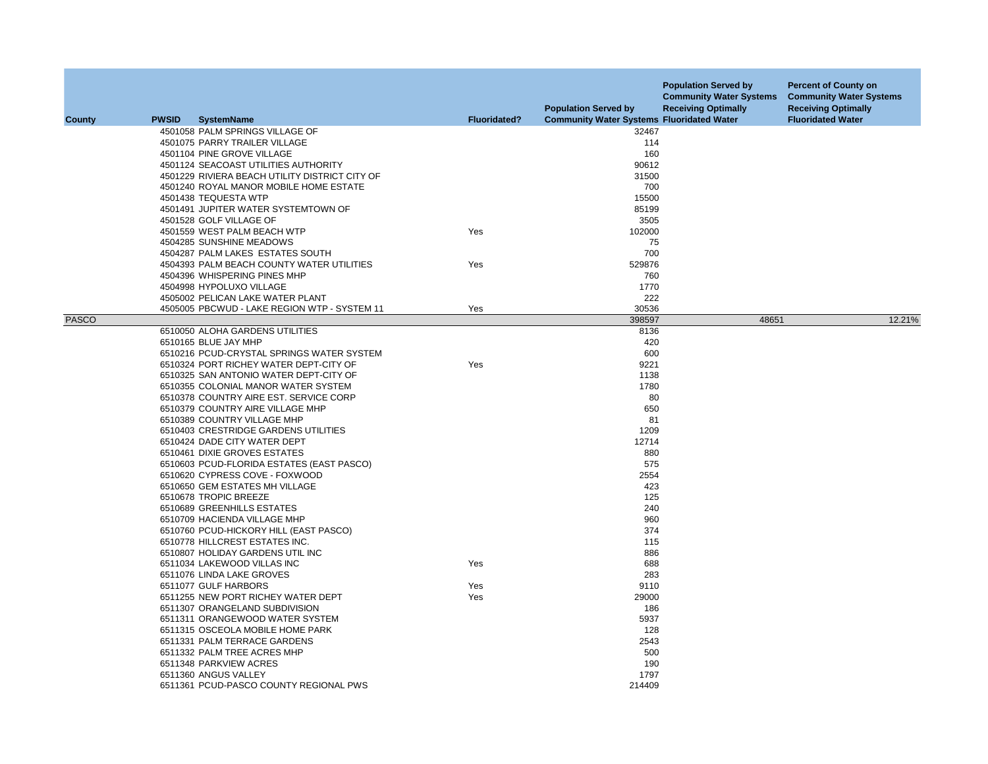| <b>County</b> | <b>PWSID</b> | <b>SystemName</b>                              | <b>Fluoridated?</b> | <b>Population Served by</b><br><b>Community Water Systems Fluoridated Water</b> | <b>Population Served by</b><br><b>Community Water Systems</b><br><b>Receiving Optimally</b> | <b>Percent of County on</b><br><b>Community Water Systems</b><br><b>Receiving Optimally</b><br><b>Fluoridated Water</b> |
|---------------|--------------|------------------------------------------------|---------------------|---------------------------------------------------------------------------------|---------------------------------------------------------------------------------------------|-------------------------------------------------------------------------------------------------------------------------|
|               |              | 4501058 PALM SPRINGS VILLAGE OF                |                     | 32467                                                                           |                                                                                             |                                                                                                                         |
|               |              | 4501075 PARRY TRAILER VILLAGE                  |                     | 114                                                                             |                                                                                             |                                                                                                                         |
|               |              | 4501104 PINE GROVE VILLAGE                     |                     | 160                                                                             |                                                                                             |                                                                                                                         |
|               |              | 4501124 SEACOAST UTILITIES AUTHORITY           |                     | 90612                                                                           |                                                                                             |                                                                                                                         |
|               |              | 4501229 RIVIERA BEACH UTILITY DISTRICT CITY OF |                     | 31500                                                                           |                                                                                             |                                                                                                                         |
|               |              | 4501240 ROYAL MANOR MOBILE HOME ESTATE         |                     | 700                                                                             |                                                                                             |                                                                                                                         |
|               |              | 4501438 TEQUESTA WTP                           |                     | 15500                                                                           |                                                                                             |                                                                                                                         |
|               |              | 4501491 JUPITER WATER SYSTEMTOWN OF            |                     | 85199                                                                           |                                                                                             |                                                                                                                         |
|               |              | 4501528 GOLF VILLAGE OF                        |                     | 3505                                                                            |                                                                                             |                                                                                                                         |
|               |              | 4501559 WEST PALM BEACH WTP                    | Yes                 | 102000                                                                          |                                                                                             |                                                                                                                         |
|               |              | 4504285 SUNSHINE MEADOWS                       |                     | 75                                                                              |                                                                                             |                                                                                                                         |
|               |              | 4504287 PALM LAKES ESTATES SOUTH               |                     | 700                                                                             |                                                                                             |                                                                                                                         |
|               |              | 4504393 PALM BEACH COUNTY WATER UTILITIES      | Yes                 | 529876                                                                          |                                                                                             |                                                                                                                         |
|               |              | 4504396 WHISPERING PINES MHP                   |                     | 760                                                                             |                                                                                             |                                                                                                                         |
|               |              | 4504998 HYPOLUXO VILLAGE                       |                     | 1770                                                                            |                                                                                             |                                                                                                                         |
|               |              | 4505002 PELICAN LAKE WATER PLANT               |                     | 222                                                                             |                                                                                             |                                                                                                                         |
|               |              | 4505005 PBCWUD - LAKE REGION WTP - SYSTEM 11   | Yes                 | 30536                                                                           |                                                                                             |                                                                                                                         |
| <b>PASCO</b>  |              |                                                |                     | 398597                                                                          | 48651                                                                                       | 12.21%                                                                                                                  |
|               |              | 6510050 ALOHA GARDENS UTILITIES                |                     | 8136                                                                            |                                                                                             |                                                                                                                         |
|               |              | 6510165 BLUE JAY MHP                           |                     | 420                                                                             |                                                                                             |                                                                                                                         |
|               |              | 6510216 PCUD-CRYSTAL SPRINGS WATER SYSTEM      |                     | 600                                                                             |                                                                                             |                                                                                                                         |
|               |              | 6510324 PORT RICHEY WATER DEPT-CITY OF         | Yes                 | 9221                                                                            |                                                                                             |                                                                                                                         |
|               |              | 6510325 SAN ANTONIO WATER DEPT-CITY OF         |                     | 1138                                                                            |                                                                                             |                                                                                                                         |
|               |              | 6510355 COLONIAL MANOR WATER SYSTEM            |                     | 1780                                                                            |                                                                                             |                                                                                                                         |
|               |              | 6510378 COUNTRY AIRE EST. SERVICE CORP         |                     | 80                                                                              |                                                                                             |                                                                                                                         |
|               |              | 6510379 COUNTRY AIRE VILLAGE MHP               |                     | 650                                                                             |                                                                                             |                                                                                                                         |
|               |              | 6510389 COUNTRY VILLAGE MHP                    |                     | 81                                                                              |                                                                                             |                                                                                                                         |
|               |              | 6510403 CRESTRIDGE GARDENS UTILITIES           |                     | 1209                                                                            |                                                                                             |                                                                                                                         |
|               |              | 6510424 DADE CITY WATER DEPT                   |                     | 12714                                                                           |                                                                                             |                                                                                                                         |
|               |              | 6510461 DIXIE GROVES ESTATES                   |                     | 880                                                                             |                                                                                             |                                                                                                                         |
|               |              | 6510603 PCUD-FLORIDA ESTATES (EAST PASCO)      |                     | 575                                                                             |                                                                                             |                                                                                                                         |
|               |              | 6510620 CYPRESS COVE - FOXWOOD                 |                     | 2554                                                                            |                                                                                             |                                                                                                                         |
|               |              | 6510650 GEM ESTATES MH VILLAGE                 |                     | 423                                                                             |                                                                                             |                                                                                                                         |
|               |              | 6510678 TROPIC BREEZE                          |                     | 125                                                                             |                                                                                             |                                                                                                                         |
|               |              | 6510689 GREENHILLS ESTATES                     |                     | 240                                                                             |                                                                                             |                                                                                                                         |
|               |              | 6510709 HACIENDA VILLAGE MHP                   |                     | 960                                                                             |                                                                                             |                                                                                                                         |
|               |              | 6510760 PCUD-HICKORY HILL (EAST PASCO)         |                     | 374                                                                             |                                                                                             |                                                                                                                         |
|               |              | 6510778 HILLCREST ESTATES INC.                 |                     | 115                                                                             |                                                                                             |                                                                                                                         |
|               |              | 6510807 HOLIDAY GARDENS UTIL INC               |                     | 886                                                                             |                                                                                             |                                                                                                                         |
|               |              | 6511034 LAKEWOOD VILLAS INC                    | Yes                 | 688                                                                             |                                                                                             |                                                                                                                         |
|               |              | 6511076 LINDA LAKE GROVES                      |                     | 283                                                                             |                                                                                             |                                                                                                                         |
|               |              | 6511077 GULF HARBORS                           | Yes                 | 9110                                                                            |                                                                                             |                                                                                                                         |
|               |              | 6511255 NEW PORT RICHEY WATER DEPT             | Yes                 | 29000                                                                           |                                                                                             |                                                                                                                         |
|               |              | 6511307 ORANGELAND SUBDIVISION                 |                     | 186                                                                             |                                                                                             |                                                                                                                         |
|               |              | 6511311 ORANGEWOOD WATER SYSTEM                |                     | 5937                                                                            |                                                                                             |                                                                                                                         |
|               |              | 6511315 OSCEOLA MOBILE HOME PARK               |                     | 128                                                                             |                                                                                             |                                                                                                                         |
|               |              | 6511331 PALM TERRACE GARDENS                   |                     | 2543                                                                            |                                                                                             |                                                                                                                         |
|               |              | 6511332 PALM TREE ACRES MHP                    |                     | 500                                                                             |                                                                                             |                                                                                                                         |
|               |              | 6511348 PARKVIEW ACRES                         |                     | 190                                                                             |                                                                                             |                                                                                                                         |
|               |              | 6511360 ANGUS VALLEY                           |                     | 1797                                                                            |                                                                                             |                                                                                                                         |
|               |              | 6511361 PCUD-PASCO COUNTY REGIONAL PWS         |                     | 214409                                                                          |                                                                                             |                                                                                                                         |
|               |              |                                                |                     |                                                                                 |                                                                                             |                                                                                                                         |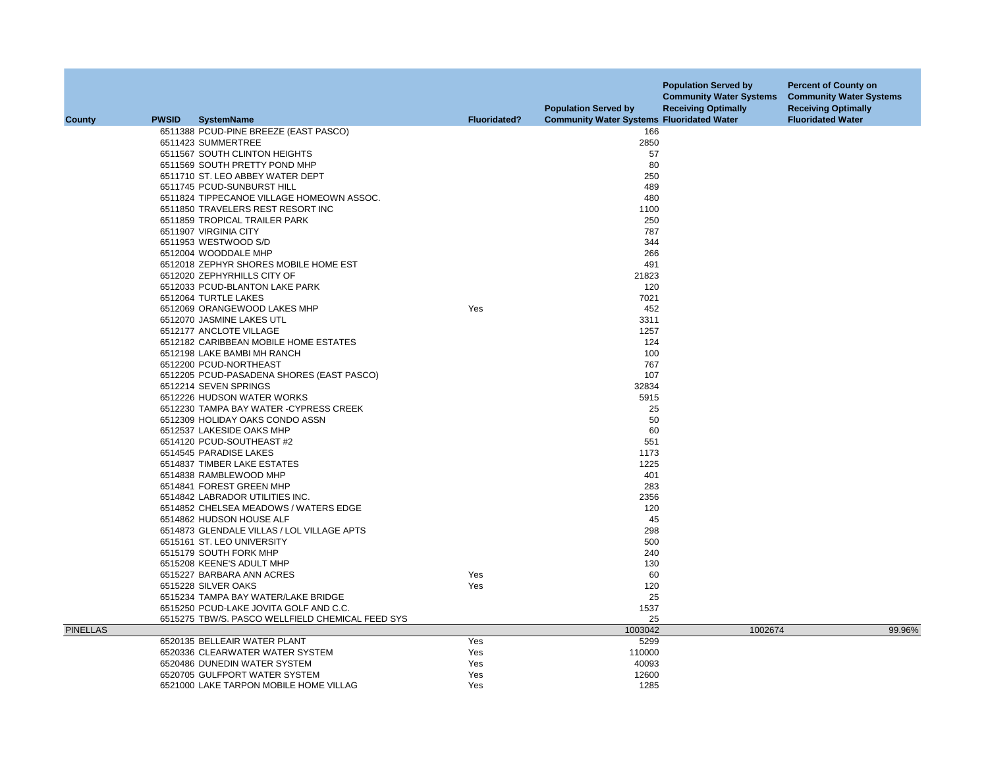|                 |              |                                                  |                     | <b>Population Served by</b>                      | <b>Population Served by</b><br><b>Community Water Systems</b><br><b>Receiving Optimally</b> | <b>Percent of County on</b><br><b>Community Water Systems</b><br><b>Receiving Optimally</b> |
|-----------------|--------------|--------------------------------------------------|---------------------|--------------------------------------------------|---------------------------------------------------------------------------------------------|---------------------------------------------------------------------------------------------|
| <b>County</b>   | <b>PWSID</b> | <b>SystemName</b>                                | <b>Fluoridated?</b> | <b>Community Water Systems Fluoridated Water</b> |                                                                                             | <b>Fluoridated Water</b>                                                                    |
|                 |              | 6511388 PCUD-PINE BREEZE (EAST PASCO)            |                     | 166                                              |                                                                                             |                                                                                             |
|                 |              | 6511423 SUMMERTREE                               |                     | 2850                                             |                                                                                             |                                                                                             |
|                 |              | 6511567 SOUTH CLINTON HEIGHTS                    |                     | 57                                               |                                                                                             |                                                                                             |
|                 |              | 6511569 SOUTH PRETTY POND MHP                    |                     | 80                                               |                                                                                             |                                                                                             |
|                 |              | 6511710 ST. LEO ABBEY WATER DEPT                 |                     | 250                                              |                                                                                             |                                                                                             |
|                 |              | 6511745 PCUD-SUNBURST HILL                       |                     | 489                                              |                                                                                             |                                                                                             |
|                 |              | 6511824 TIPPECANOE VILLAGE HOMEOWN ASSOC.        |                     | 480                                              |                                                                                             |                                                                                             |
|                 |              | 6511850 TRAVELERS REST RESORT INC                |                     | 1100                                             |                                                                                             |                                                                                             |
|                 |              | 6511859 TROPICAL TRAILER PARK                    |                     | 250                                              |                                                                                             |                                                                                             |
|                 |              | 6511907 VIRGINIA CITY                            |                     | 787                                              |                                                                                             |                                                                                             |
|                 |              | 6511953 WESTWOOD S/D                             |                     | 344                                              |                                                                                             |                                                                                             |
|                 |              | 6512004 WOODDALE MHP                             |                     | 266                                              |                                                                                             |                                                                                             |
|                 |              | 6512018 ZEPHYR SHORES MOBILE HOME EST            |                     | 491                                              |                                                                                             |                                                                                             |
|                 |              | 6512020 ZEPHYRHILLS CITY OF                      |                     | 21823                                            |                                                                                             |                                                                                             |
|                 |              | 6512033 PCUD-BLANTON LAKE PARK                   |                     | 120                                              |                                                                                             |                                                                                             |
|                 |              | 6512064 TURTLE LAKES                             |                     | 7021                                             |                                                                                             |                                                                                             |
|                 |              | 6512069 ORANGEWOOD LAKES MHP                     | Yes                 | 452                                              |                                                                                             |                                                                                             |
|                 |              | 6512070 JASMINE LAKES UTL                        |                     | 3311                                             |                                                                                             |                                                                                             |
|                 |              | 6512177 ANCLOTE VILLAGE                          |                     | 1257                                             |                                                                                             |                                                                                             |
|                 |              | 6512182 CARIBBEAN MOBILE HOME ESTATES            |                     | 124                                              |                                                                                             |                                                                                             |
|                 |              | 6512198 LAKE BAMBI MH RANCH                      |                     | 100                                              |                                                                                             |                                                                                             |
|                 |              | 6512200 PCUD-NORTHEAST                           |                     | 767                                              |                                                                                             |                                                                                             |
|                 |              | 6512205 PCUD-PASADENA SHORES (EAST PASCO)        |                     | 107                                              |                                                                                             |                                                                                             |
|                 |              | 6512214 SEVEN SPRINGS                            |                     | 32834                                            |                                                                                             |                                                                                             |
|                 |              | 6512226 HUDSON WATER WORKS                       |                     | 5915                                             |                                                                                             |                                                                                             |
|                 |              | 6512230 TAMPA BAY WATER -CYPRESS CREEK           |                     | 25                                               |                                                                                             |                                                                                             |
|                 |              | 6512309 HOLIDAY OAKS CONDO ASSN                  |                     | 50                                               |                                                                                             |                                                                                             |
|                 |              | 6512537 LAKESIDE OAKS MHP                        |                     | 60                                               |                                                                                             |                                                                                             |
|                 |              | 6514120 PCUD-SOUTHEAST #2                        |                     | 551                                              |                                                                                             |                                                                                             |
|                 |              | 6514545 PARADISE LAKES                           |                     | 1173                                             |                                                                                             |                                                                                             |
|                 |              | 6514837 TIMBER LAKE ESTATES                      |                     | 1225                                             |                                                                                             |                                                                                             |
|                 |              | 6514838 RAMBLEWOOD MHP                           |                     | 401                                              |                                                                                             |                                                                                             |
|                 |              | 6514841 FOREST GREEN MHP                         |                     | 283                                              |                                                                                             |                                                                                             |
|                 |              | 6514842 LABRADOR UTILITIES INC.                  |                     | 2356                                             |                                                                                             |                                                                                             |
|                 |              | 6514852 CHELSEA MEADOWS / WATERS EDGE            |                     | 120                                              |                                                                                             |                                                                                             |
|                 |              | 6514862 HUDSON HOUSE ALF                         |                     | 45                                               |                                                                                             |                                                                                             |
|                 |              | 6514873 GLENDALE VILLAS / LOL VILLAGE APTS       |                     | 298                                              |                                                                                             |                                                                                             |
|                 |              | 6515161 ST. LEO UNIVERSITY                       |                     | 500                                              |                                                                                             |                                                                                             |
|                 |              | 6515179 SOUTH FORK MHP                           |                     | 240                                              |                                                                                             |                                                                                             |
|                 |              | 6515208 KEENE'S ADULT MHP                        |                     | 130                                              |                                                                                             |                                                                                             |
|                 |              | 6515227 BARBARA ANN ACRES                        | Yes                 | 60                                               |                                                                                             |                                                                                             |
|                 |              | 6515228 SILVER OAKS                              | Yes                 | 120                                              |                                                                                             |                                                                                             |
|                 |              | 6515234 TAMPA BAY WATER/LAKE BRIDGE              |                     | 25                                               |                                                                                             |                                                                                             |
|                 |              | 6515250 PCUD-LAKE JOVITA GOLF AND C.C.           |                     | 1537                                             |                                                                                             |                                                                                             |
|                 |              | 6515275 TBW/S. PASCO WELLFIELD CHEMICAL FEED SYS |                     | 25                                               |                                                                                             |                                                                                             |
| <b>PINELLAS</b> |              |                                                  |                     | 1003042                                          | 1002674                                                                                     | 99.96%                                                                                      |
|                 |              | 6520135 BELLEAIR WATER PLANT                     | Yes                 | 5299                                             |                                                                                             |                                                                                             |
|                 |              | 6520336 CLEARWATER WATER SYSTEM                  | Yes                 | 110000                                           |                                                                                             |                                                                                             |
|                 |              | 6520486 DUNEDIN WATER SYSTEM                     | Yes                 | 40093                                            |                                                                                             |                                                                                             |
|                 |              | 6520705 GULFPORT WATER SYSTEM                    | Yes                 | 12600                                            |                                                                                             |                                                                                             |
|                 |              | 6521000 LAKE TARPON MOBILE HOME VILLAG           | Yes                 | 1285                                             |                                                                                             |                                                                                             |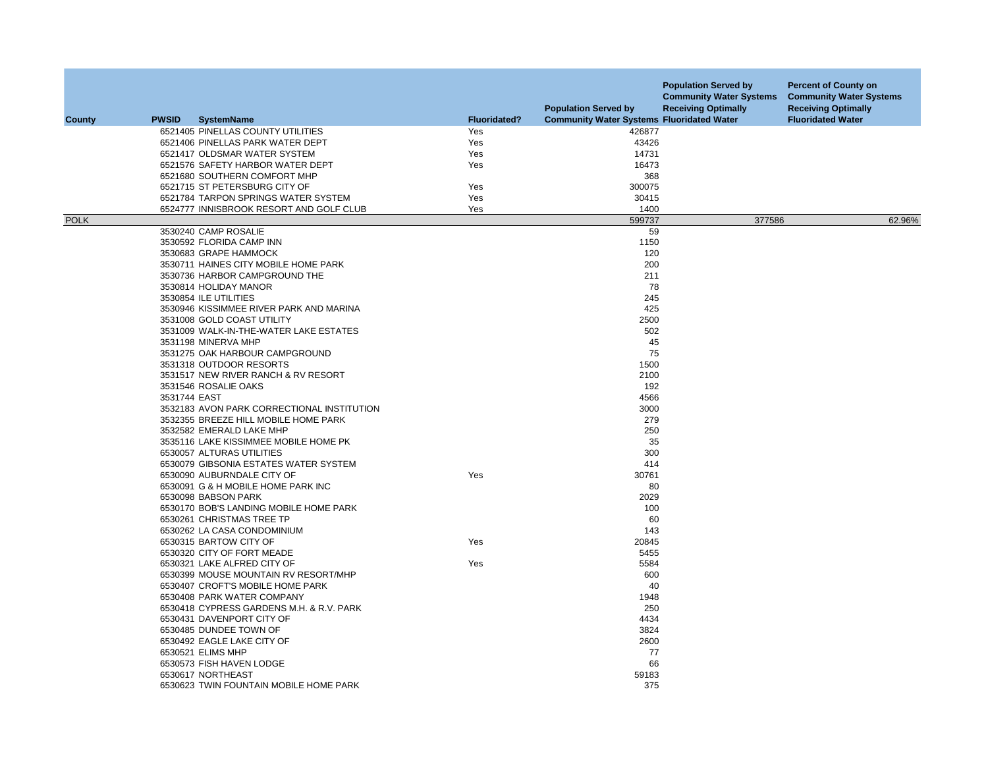| County      | <b>PWSID</b> | <b>SystemName</b>                          | <b>Fluoridated?</b> | <b>Population Served by</b><br><b>Community Water Systems Fluoridated Water</b> | <b>Population Served by</b><br><b>Community Water Systems</b><br><b>Receiving Optimally</b> | <b>Percent of County on</b><br><b>Community Water Systems</b><br><b>Receiving Optimally</b><br><b>Fluoridated Water</b> |
|-------------|--------------|--------------------------------------------|---------------------|---------------------------------------------------------------------------------|---------------------------------------------------------------------------------------------|-------------------------------------------------------------------------------------------------------------------------|
|             |              | 6521405 PINELLAS COUNTY UTILITIES          | Yes                 | 426877                                                                          |                                                                                             |                                                                                                                         |
|             |              | 6521406 PINELLAS PARK WATER DEPT           | Yes                 | 43426                                                                           |                                                                                             |                                                                                                                         |
|             |              | 6521417 OLDSMAR WATER SYSTEM               | Yes                 | 14731                                                                           |                                                                                             |                                                                                                                         |
|             |              | 6521576 SAFETY HARBOR WATER DEPT           | Yes                 | 16473                                                                           |                                                                                             |                                                                                                                         |
|             |              | 6521680 SOUTHERN COMFORT MHP               |                     | 368                                                                             |                                                                                             |                                                                                                                         |
|             |              | 6521715 ST PETERSBURG CITY OF              | Yes                 | 300075                                                                          |                                                                                             |                                                                                                                         |
|             |              | 6521784 TARPON SPRINGS WATER SYSTEM        | Yes                 | 30415                                                                           |                                                                                             |                                                                                                                         |
|             |              | 6524777 INNISBROOK RESORT AND GOLF CLUB    | Yes                 | 1400                                                                            |                                                                                             |                                                                                                                         |
| <b>POLK</b> |              |                                            |                     | 599737                                                                          | 377586                                                                                      | 62.96%                                                                                                                  |
|             |              | 3530240 CAMP ROSALIE                       |                     | 59                                                                              |                                                                                             |                                                                                                                         |
|             |              | 3530592 FLORIDA CAMP INN                   |                     | 1150                                                                            |                                                                                             |                                                                                                                         |
|             |              | 3530683 GRAPE HAMMOCK                      |                     | 120                                                                             |                                                                                             |                                                                                                                         |
|             |              | 3530711 HAINES CITY MOBILE HOME PARK       |                     | 200                                                                             |                                                                                             |                                                                                                                         |
|             |              | 3530736 HARBOR CAMPGROUND THE              |                     | 211                                                                             |                                                                                             |                                                                                                                         |
|             |              | 3530814 HOLIDAY MANOR                      |                     | 78                                                                              |                                                                                             |                                                                                                                         |
|             |              | 3530854 ILE UTILITIES                      |                     | 245                                                                             |                                                                                             |                                                                                                                         |
|             |              | 3530946 KISSIMMEE RIVER PARK AND MARINA    |                     | 425                                                                             |                                                                                             |                                                                                                                         |
|             |              | 3531008 GOLD COAST UTILITY                 |                     | 2500                                                                            |                                                                                             |                                                                                                                         |
|             |              | 3531009 WALK-IN-THE-WATER LAKE ESTATES     |                     | 502                                                                             |                                                                                             |                                                                                                                         |
|             |              | 3531198 MINERVA MHP                        |                     | 45                                                                              |                                                                                             |                                                                                                                         |
|             |              | 3531275 OAK HARBOUR CAMPGROUND             |                     | 75                                                                              |                                                                                             |                                                                                                                         |
|             |              | 3531318 OUTDOOR RESORTS                    |                     | 1500                                                                            |                                                                                             |                                                                                                                         |
|             |              | 3531517 NEW RIVER RANCH & RV RESORT        |                     | 2100                                                                            |                                                                                             |                                                                                                                         |
|             |              | 3531546 ROSALIE OAKS                       |                     | 192                                                                             |                                                                                             |                                                                                                                         |
|             |              | 3531744 EAST                               |                     | 4566                                                                            |                                                                                             |                                                                                                                         |
|             |              | 3532183 AVON PARK CORRECTIONAL INSTITUTION |                     | 3000                                                                            |                                                                                             |                                                                                                                         |
|             |              | 3532355 BREEZE HILL MOBILE HOME PARK       |                     | 279                                                                             |                                                                                             |                                                                                                                         |
|             |              | 3532582 EMERALD LAKE MHP                   |                     | 250                                                                             |                                                                                             |                                                                                                                         |
|             |              | 3535116 LAKE KISSIMMEE MOBILE HOME PK      |                     | 35                                                                              |                                                                                             |                                                                                                                         |
|             |              | 6530057 ALTURAS UTILITIES                  |                     | 300                                                                             |                                                                                             |                                                                                                                         |
|             |              | 6530079 GIBSONIA ESTATES WATER SYSTEM      |                     | 414                                                                             |                                                                                             |                                                                                                                         |
|             |              | 6530090 AUBURNDALE CITY OF                 | Yes                 | 30761                                                                           |                                                                                             |                                                                                                                         |
|             |              | 6530091 G & H MOBILE HOME PARK INC         |                     | 80                                                                              |                                                                                             |                                                                                                                         |
|             |              | 6530098 BABSON PARK                        |                     | 2029                                                                            |                                                                                             |                                                                                                                         |
|             |              | 6530170 BOB'S LANDING MOBILE HOME PARK     |                     | 100                                                                             |                                                                                             |                                                                                                                         |
|             |              | 6530261 CHRISTMAS TREE TP                  |                     | 60                                                                              |                                                                                             |                                                                                                                         |
|             |              | 6530262 LA CASA CONDOMINIUM                |                     | 143                                                                             |                                                                                             |                                                                                                                         |
|             |              | 6530315 BARTOW CITY OF                     | Yes                 | 20845                                                                           |                                                                                             |                                                                                                                         |
|             |              | 6530320 CITY OF FORT MEADE                 |                     | 5455                                                                            |                                                                                             |                                                                                                                         |
|             |              | 6530321 LAKE ALFRED CITY OF                | Yes                 | 5584                                                                            |                                                                                             |                                                                                                                         |
|             |              | 6530399 MOUSE MOUNTAIN RV RESORT/MHP       |                     | 600                                                                             |                                                                                             |                                                                                                                         |
|             |              | 6530407 CROFT'S MOBILE HOME PARK           |                     | 40                                                                              |                                                                                             |                                                                                                                         |
|             |              | 6530408 PARK WATER COMPANY                 |                     | 1948                                                                            |                                                                                             |                                                                                                                         |
|             |              | 6530418 CYPRESS GARDENS M.H. & R.V. PARK   |                     | 250                                                                             |                                                                                             |                                                                                                                         |
|             |              | 6530431 DAVENPORT CITY OF                  |                     | 4434                                                                            |                                                                                             |                                                                                                                         |
|             |              | 6530485 DUNDEE TOWN OF                     |                     | 3824                                                                            |                                                                                             |                                                                                                                         |
|             |              | 6530492 EAGLE LAKE CITY OF                 |                     | 2600                                                                            |                                                                                             |                                                                                                                         |
|             |              | 6530521 ELIMS MHP                          |                     | 77                                                                              |                                                                                             |                                                                                                                         |
|             |              | 6530573 FISH HAVEN LODGE                   |                     | 66                                                                              |                                                                                             |                                                                                                                         |
|             |              | 6530617 NORTHEAST                          |                     | 59183                                                                           |                                                                                             |                                                                                                                         |
|             |              | 6530623 TWIN FOUNTAIN MOBILE HOME PARK     |                     | 375                                                                             |                                                                                             |                                                                                                                         |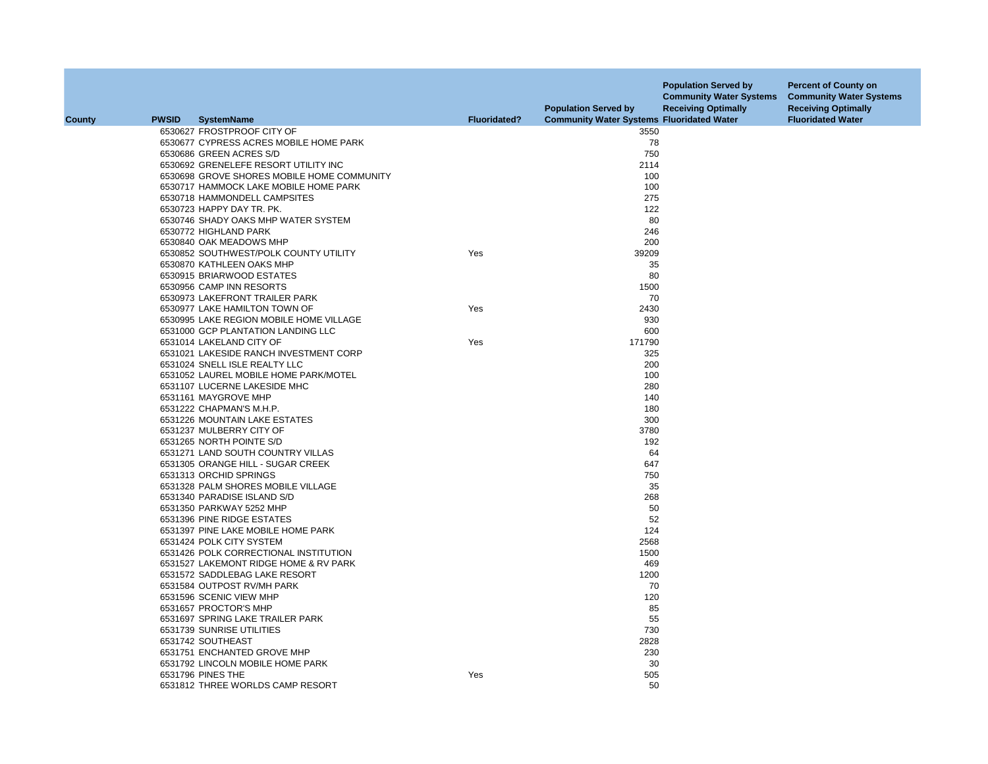|               |              |                                            |                     | <b>Population Served by</b>                      | <b>Population Served by</b><br><b>Community Water Systems</b><br><b>Receiving Optimally</b> | <b>Percent of County on</b><br><b>Community Water Systems</b><br><b>Receiving Optimally</b> |
|---------------|--------------|--------------------------------------------|---------------------|--------------------------------------------------|---------------------------------------------------------------------------------------------|---------------------------------------------------------------------------------------------|
| <b>County</b> | <b>PWSID</b> | <b>SystemName</b>                          | <b>Fluoridated?</b> | <b>Community Water Systems Fluoridated Water</b> |                                                                                             | <b>Fluoridated Water</b>                                                                    |
|               |              | 6530627 FROSTPROOF CITY OF                 |                     | 3550                                             |                                                                                             |                                                                                             |
|               |              | 6530677 CYPRESS ACRES MOBILE HOME PARK     |                     | 78                                               |                                                                                             |                                                                                             |
|               |              | 6530686 GREEN ACRES S/D                    |                     | 750                                              |                                                                                             |                                                                                             |
|               |              | 6530692 GRENELEFE RESORT UTILITY INC       |                     | 2114                                             |                                                                                             |                                                                                             |
|               |              | 6530698 GROVE SHORES MOBILE HOME COMMUNITY |                     | 100                                              |                                                                                             |                                                                                             |
|               |              | 6530717 HAMMOCK LAKE MOBILE HOME PARK      |                     | 100                                              |                                                                                             |                                                                                             |
|               |              | 6530718 HAMMONDELL CAMPSITES               |                     | 275                                              |                                                                                             |                                                                                             |
|               |              | 6530723 HAPPY DAY TR. PK.                  |                     | 122                                              |                                                                                             |                                                                                             |
|               |              | 6530746 SHADY OAKS MHP WATER SYSTEM        |                     | 80                                               |                                                                                             |                                                                                             |
|               |              | 6530772 HIGHLAND PARK                      |                     | 246                                              |                                                                                             |                                                                                             |
|               |              | 6530840 OAK MEADOWS MHP                    |                     | 200                                              |                                                                                             |                                                                                             |
|               |              | 6530852 SOUTHWEST/POLK COUNTY UTILITY      | Yes                 | 39209                                            |                                                                                             |                                                                                             |
|               |              | 6530870 KATHLEEN OAKS MHP                  |                     | 35                                               |                                                                                             |                                                                                             |
|               |              | 6530915 BRIARWOOD ESTATES                  |                     | 80                                               |                                                                                             |                                                                                             |
|               |              | 6530956 CAMP INN RESORTS                   |                     | 1500                                             |                                                                                             |                                                                                             |
|               |              | 6530973 LAKEFRONT TRAILER PARK             |                     | 70                                               |                                                                                             |                                                                                             |
|               |              | 6530977 LAKE HAMILTON TOWN OF              | Yes                 | 2430                                             |                                                                                             |                                                                                             |
|               |              | 6530995 LAKE REGION MOBILE HOME VILLAGE    |                     | 930                                              |                                                                                             |                                                                                             |
|               |              | 6531000 GCP PLANTATION LANDING LLC         |                     | 600                                              |                                                                                             |                                                                                             |
|               |              | 6531014 LAKELAND CITY OF                   | Yes                 | 171790                                           |                                                                                             |                                                                                             |
|               |              | 6531021 LAKESIDE RANCH INVESTMENT CORP     |                     | 325                                              |                                                                                             |                                                                                             |
|               |              | 6531024 SNELL ISLE REALTY LLC              |                     | 200                                              |                                                                                             |                                                                                             |
|               |              | 6531052 LAUREL MOBILE HOME PARK/MOTEL      |                     | 100                                              |                                                                                             |                                                                                             |
|               |              | 6531107 LUCERNE LAKESIDE MHC               |                     | 280                                              |                                                                                             |                                                                                             |
|               |              | 6531161 MAYGROVE MHP                       |                     | 140                                              |                                                                                             |                                                                                             |
|               |              | 6531222 CHAPMAN'S M.H.P.                   |                     | 180                                              |                                                                                             |                                                                                             |
|               |              | 6531226 MOUNTAIN LAKE ESTATES              |                     | 300                                              |                                                                                             |                                                                                             |
|               |              | 6531237 MULBERRY CITY OF                   |                     | 3780                                             |                                                                                             |                                                                                             |
|               |              | 6531265 NORTH POINTE S/D                   |                     | 192                                              |                                                                                             |                                                                                             |
|               |              | 6531271 LAND SOUTH COUNTRY VILLAS          |                     | 64                                               |                                                                                             |                                                                                             |
|               |              | 6531305 ORANGE HILL - SUGAR CREEK          |                     | 647                                              |                                                                                             |                                                                                             |
|               |              | 6531313 ORCHID SPRINGS                     |                     | 750                                              |                                                                                             |                                                                                             |
|               |              | 6531328 PALM SHORES MOBILE VILLAGE         |                     | 35                                               |                                                                                             |                                                                                             |
|               |              | 6531340 PARADISE ISLAND S/D                |                     | 268                                              |                                                                                             |                                                                                             |
|               |              | 6531350 PARKWAY 5252 MHP                   |                     | 50                                               |                                                                                             |                                                                                             |
|               |              | 6531396 PINE RIDGE ESTATES                 |                     | 52                                               |                                                                                             |                                                                                             |
|               |              | 6531397 PINE LAKE MOBILE HOME PARK         |                     | 124                                              |                                                                                             |                                                                                             |
|               |              | 6531424 POLK CITY SYSTEM                   |                     | 2568                                             |                                                                                             |                                                                                             |
|               |              | 6531426 POLK CORRECTIONAL INSTITUTION      |                     | 1500                                             |                                                                                             |                                                                                             |
|               |              | 6531527 LAKEMONT RIDGE HOME & RV PARK      |                     | 469                                              |                                                                                             |                                                                                             |
|               |              | 6531572 SADDLEBAG LAKE RESORT              |                     | 1200                                             |                                                                                             |                                                                                             |
|               |              | 6531584 OUTPOST RV/MH PARK                 |                     | 70                                               |                                                                                             |                                                                                             |
|               |              | 6531596 SCENIC VIEW MHP                    |                     | 120                                              |                                                                                             |                                                                                             |
|               |              | 6531657 PROCTOR'S MHP                      |                     | 85                                               |                                                                                             |                                                                                             |
|               |              |                                            |                     |                                                  |                                                                                             |                                                                                             |
|               |              | 6531697 SPRING LAKE TRAILER PARK           |                     | 55                                               |                                                                                             |                                                                                             |
|               |              | 6531739 SUNRISE UTILITIES                  |                     | 730                                              |                                                                                             |                                                                                             |
|               |              | 6531742 SOUTHEAST                          |                     | 2828                                             |                                                                                             |                                                                                             |
|               |              | 6531751 ENCHANTED GROVE MHP                |                     | 230                                              |                                                                                             |                                                                                             |
|               |              | 6531792 LINCOLN MOBILE HOME PARK           |                     | 30                                               |                                                                                             |                                                                                             |
|               |              | 6531796 PINES THE                          | Yes                 | 505                                              |                                                                                             |                                                                                             |
|               |              | 6531812 THREE WORLDS CAMP RESORT           |                     | 50                                               |                                                                                             |                                                                                             |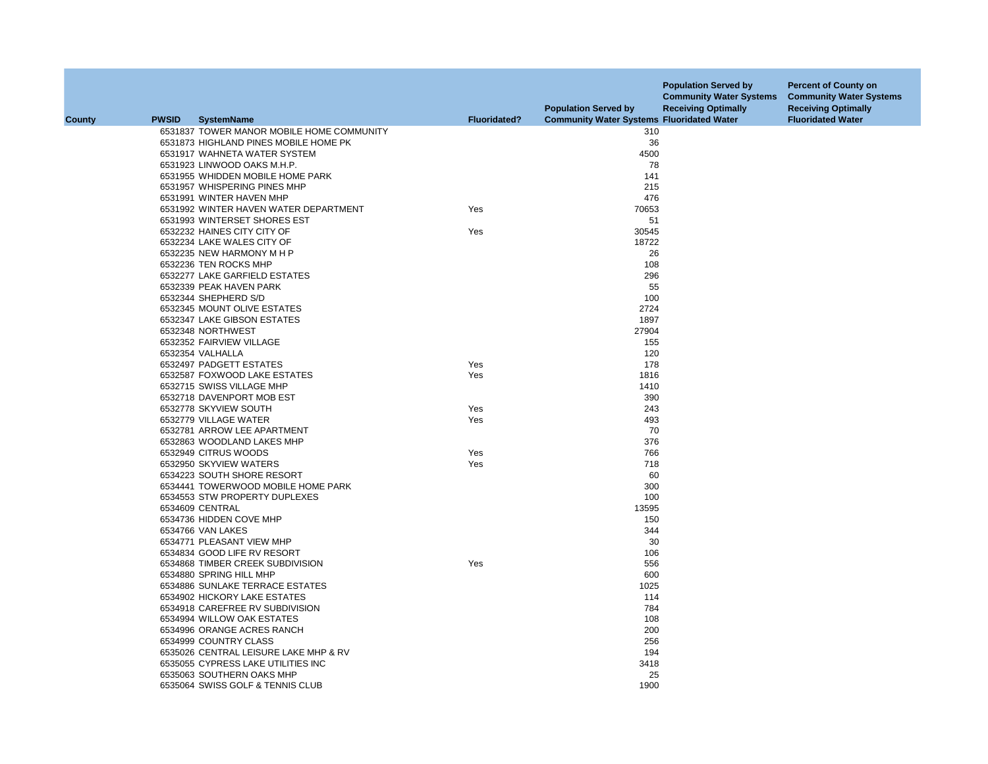|        |              |                                           |                     | <b>Population Served by</b>                      | <b>Population Served by</b><br><b>Community Water Systems</b><br><b>Receiving Optimally</b> | <b>Percent of County on</b><br><b>Community Water Systems</b><br><b>Receiving Optimally</b> |
|--------|--------------|-------------------------------------------|---------------------|--------------------------------------------------|---------------------------------------------------------------------------------------------|---------------------------------------------------------------------------------------------|
| County | <b>PWSID</b> | <b>SystemName</b>                         | <b>Fluoridated?</b> | <b>Community Water Systems Fluoridated Water</b> |                                                                                             | <b>Fluoridated Water</b>                                                                    |
|        |              | 6531837 TOWER MANOR MOBILE HOME COMMUNITY |                     | 310                                              |                                                                                             |                                                                                             |
|        |              | 6531873 HIGHLAND PINES MOBILE HOME PK     |                     | 36                                               |                                                                                             |                                                                                             |
|        |              | 6531917 WAHNETA WATER SYSTEM              |                     | 4500                                             |                                                                                             |                                                                                             |
|        |              | 6531923 LINWOOD OAKS M.H.P.               |                     | 78                                               |                                                                                             |                                                                                             |
|        |              | 6531955 WHIDDEN MOBILE HOME PARK          |                     | 141                                              |                                                                                             |                                                                                             |
|        |              | 6531957 WHISPERING PINES MHP              |                     | 215                                              |                                                                                             |                                                                                             |
|        |              | 6531991 WINTER HAVEN MHP                  |                     | 476                                              |                                                                                             |                                                                                             |
|        |              | 6531992 WINTER HAVEN WATER DEPARTMENT     | Yes                 | 70653                                            |                                                                                             |                                                                                             |
|        |              | 6531993 WINTERSET SHORES EST              |                     | 51                                               |                                                                                             |                                                                                             |
|        |              | 6532232 HAINES CITY CITY OF               | Yes                 | 30545                                            |                                                                                             |                                                                                             |
|        |              | 6532234 LAKE WALES CITY OF                |                     | 18722                                            |                                                                                             |                                                                                             |
|        |              | 6532235 NEW HARMONY M H P                 |                     | 26                                               |                                                                                             |                                                                                             |
|        |              | 6532236 TEN ROCKS MHP                     |                     | 108                                              |                                                                                             |                                                                                             |
|        |              | 6532277 LAKE GARFIELD ESTATES             |                     | 296                                              |                                                                                             |                                                                                             |
|        |              | 6532339 PEAK HAVEN PARK                   |                     | 55                                               |                                                                                             |                                                                                             |
|        |              | 6532344 SHEPHERD S/D                      |                     | 100                                              |                                                                                             |                                                                                             |
|        |              | 6532345 MOUNT OLIVE ESTATES               |                     | 2724                                             |                                                                                             |                                                                                             |
|        |              | 6532347 LAKE GIBSON ESTATES               |                     | 1897                                             |                                                                                             |                                                                                             |
|        |              | 6532348 NORTHWEST                         |                     | 27904                                            |                                                                                             |                                                                                             |
|        |              | 6532352 FAIRVIEW VILLAGE                  |                     | 155                                              |                                                                                             |                                                                                             |
|        |              | 6532354 VALHALLA                          |                     | 120                                              |                                                                                             |                                                                                             |
|        |              | 6532497 PADGETT ESTATES                   | Yes                 | 178                                              |                                                                                             |                                                                                             |
|        |              | 6532587 FOXWOOD LAKE ESTATES              | Yes                 | 1816                                             |                                                                                             |                                                                                             |
|        |              | 6532715 SWISS VILLAGE MHP                 |                     | 1410                                             |                                                                                             |                                                                                             |
|        |              | 6532718 DAVENPORT MOB EST                 |                     | 390                                              |                                                                                             |                                                                                             |
|        |              | 6532778 SKYVIEW SOUTH                     | Yes                 | 243                                              |                                                                                             |                                                                                             |
|        |              | 6532779 VILLAGE WATER                     | Yes                 | 493                                              |                                                                                             |                                                                                             |
|        |              | 6532781 ARROW LEE APARTMENT               |                     | 70                                               |                                                                                             |                                                                                             |
|        |              | 6532863 WOODLAND LAKES MHP                |                     | 376                                              |                                                                                             |                                                                                             |
|        |              | 6532949 CITRUS WOODS                      | Yes                 | 766                                              |                                                                                             |                                                                                             |
|        |              | 6532950 SKYVIEW WATERS                    | Yes                 | 718                                              |                                                                                             |                                                                                             |
|        |              | 6534223 SOUTH SHORE RESORT                |                     | 60                                               |                                                                                             |                                                                                             |
|        |              | 6534441 TOWERWOOD MOBILE HOME PARK        |                     | 300                                              |                                                                                             |                                                                                             |
|        |              | 6534553 STW PROPERTY DUPLEXES             |                     | 100                                              |                                                                                             |                                                                                             |
|        |              | 6534609 CENTRAL                           |                     | 13595                                            |                                                                                             |                                                                                             |
|        |              | 6534736 HIDDEN COVE MHP                   |                     | 150                                              |                                                                                             |                                                                                             |
|        |              | 6534766 VAN LAKES                         |                     | 344                                              |                                                                                             |                                                                                             |
|        |              | 6534771 PLEASANT VIEW MHP                 |                     | 30                                               |                                                                                             |                                                                                             |
|        |              | 6534834 GOOD LIFE RV RESORT               |                     | 106                                              |                                                                                             |                                                                                             |
|        |              | 6534868 TIMBER CREEK SUBDIVISION          | Yes                 | 556                                              |                                                                                             |                                                                                             |
|        |              | 6534880 SPRING HILL MHP                   |                     | 600                                              |                                                                                             |                                                                                             |
|        |              | 6534886 SUNLAKE TERRACE ESTATES           |                     | 1025                                             |                                                                                             |                                                                                             |
|        |              | 6534902 HICKORY LAKE ESTATES              |                     | 114                                              |                                                                                             |                                                                                             |
|        |              | 6534918 CAREFREE RV SUBDIVISION           |                     | 784                                              |                                                                                             |                                                                                             |
|        |              | 6534994 WILLOW OAK ESTATES                |                     | 108                                              |                                                                                             |                                                                                             |
|        |              | 6534996 ORANGE ACRES RANCH                |                     | 200                                              |                                                                                             |                                                                                             |
|        |              | 6534999 COUNTRY CLASS                     |                     | 256                                              |                                                                                             |                                                                                             |
|        |              | 6535026 CENTRAL LEISURE LAKE MHP & RV     |                     | 194                                              |                                                                                             |                                                                                             |
|        |              | 6535055 CYPRESS LAKE UTILITIES INC        |                     | 3418                                             |                                                                                             |                                                                                             |
|        |              | 6535063 SOUTHERN OAKS MHP                 |                     | 25                                               |                                                                                             |                                                                                             |
|        |              | 6535064 SWISS GOLF & TENNIS CLUB          |                     | 1900                                             |                                                                                             |                                                                                             |
|        |              |                                           |                     |                                                  |                                                                                             |                                                                                             |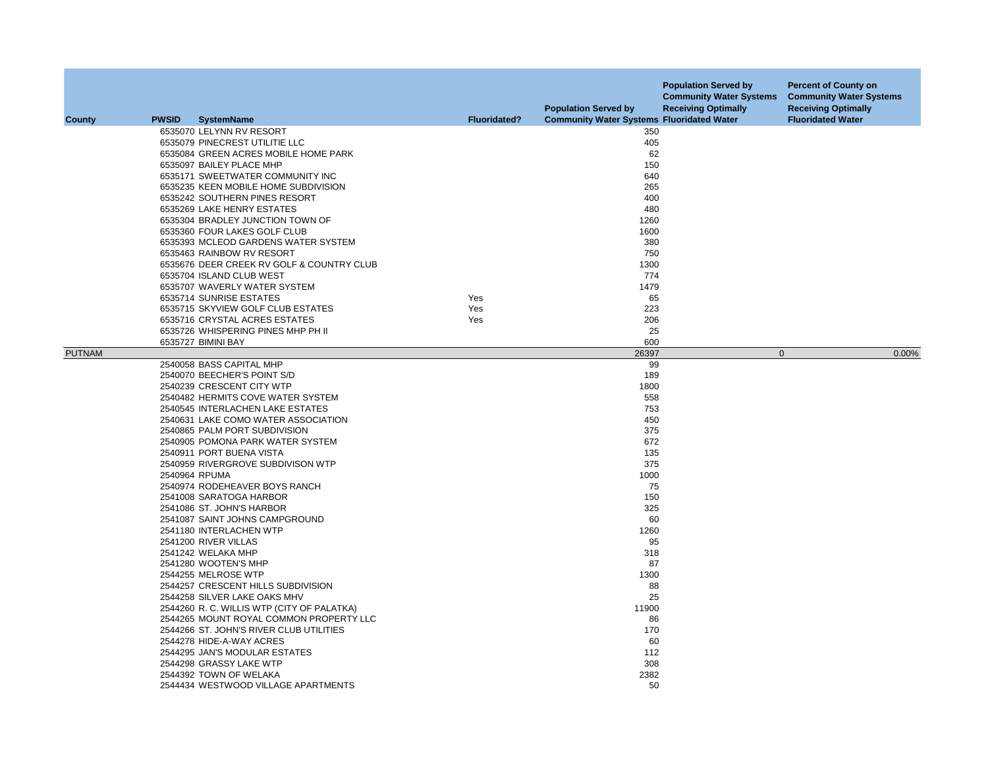| <b>County</b> | <b>PWSID</b> | <b>SystemName</b>                          | <b>Fluoridated?</b> | <b>Population Served by</b><br><b>Community Water Systems Fluoridated Water</b> | <b>Population Served by</b><br><b>Community Water Systems</b><br><b>Receiving Optimally</b> | <b>Percent of County on</b><br><b>Community Water Systems</b><br><b>Receiving Optimally</b><br><b>Fluoridated Water</b> |
|---------------|--------------|--------------------------------------------|---------------------|---------------------------------------------------------------------------------|---------------------------------------------------------------------------------------------|-------------------------------------------------------------------------------------------------------------------------|
|               |              |                                            |                     |                                                                                 |                                                                                             |                                                                                                                         |
|               |              | 6535070 LELYNN RV RESORT                   |                     | 350                                                                             |                                                                                             |                                                                                                                         |
|               |              | 6535079 PINECREST UTILITIE LLC             |                     | 405                                                                             |                                                                                             |                                                                                                                         |
|               |              | 6535084 GREEN ACRES MOBILE HOME PARK       |                     | 62                                                                              |                                                                                             |                                                                                                                         |
|               |              | 6535097 BAILEY PLACE MHP                   |                     | 150                                                                             |                                                                                             |                                                                                                                         |
|               |              | 6535171 SWEETWATER COMMUNITY INC           |                     | 640                                                                             |                                                                                             |                                                                                                                         |
|               |              | 6535235 KEEN MOBILE HOME SUBDIVISION       |                     | 265                                                                             |                                                                                             |                                                                                                                         |
|               |              | 6535242 SOUTHERN PINES RESORT              |                     | 400                                                                             |                                                                                             |                                                                                                                         |
|               |              | 6535269 LAKE HENRY ESTATES                 |                     | 480                                                                             |                                                                                             |                                                                                                                         |
|               |              | 6535304 BRADLEY JUNCTION TOWN OF           |                     | 1260                                                                            |                                                                                             |                                                                                                                         |
|               |              | 6535360 FOUR LAKES GOLF CLUB               |                     | 1600                                                                            |                                                                                             |                                                                                                                         |
|               |              | 6535393 MCLEOD GARDENS WATER SYSTEM        |                     | 380                                                                             |                                                                                             |                                                                                                                         |
|               |              | 6535463 RAINBOW RV RESORT                  |                     | 750                                                                             |                                                                                             |                                                                                                                         |
|               |              | 6535676 DEER CREEK RV GOLF & COUNTRY CLUB  |                     | 1300                                                                            |                                                                                             |                                                                                                                         |
|               |              | 6535704 ISLAND CLUB WEST                   |                     | 774                                                                             |                                                                                             |                                                                                                                         |
|               |              | 6535707 WAVERLY WATER SYSTEM               |                     | 1479                                                                            |                                                                                             |                                                                                                                         |
|               |              | 6535714 SUNRISE ESTATES                    | Yes                 | 65                                                                              |                                                                                             |                                                                                                                         |
|               |              | 6535715 SKYVIEW GOLF CLUB ESTATES          | Yes                 | 223                                                                             |                                                                                             |                                                                                                                         |
|               |              | 6535716 CRYSTAL ACRES ESTATES              | Yes                 | 206                                                                             |                                                                                             |                                                                                                                         |
|               |              | 6535726 WHISPERING PINES MHP PH II         |                     | 25                                                                              |                                                                                             |                                                                                                                         |
|               |              | 6535727 BIMINI BAY                         |                     | 600                                                                             |                                                                                             |                                                                                                                         |
| <b>PUTNAM</b> |              |                                            |                     | 26397                                                                           | $\mathbf 0$                                                                                 | 0.00%                                                                                                                   |
|               |              | 2540058 BASS CAPITAL MHP                   |                     | 99                                                                              |                                                                                             |                                                                                                                         |
|               |              | 2540070 BEECHER'S POINT S/D                |                     | 189                                                                             |                                                                                             |                                                                                                                         |
|               |              | 2540239 CRESCENT CITY WTP                  |                     | 1800                                                                            |                                                                                             |                                                                                                                         |
|               |              | 2540482 HERMITS COVE WATER SYSTEM          |                     | 558                                                                             |                                                                                             |                                                                                                                         |
|               |              |                                            |                     |                                                                                 |                                                                                             |                                                                                                                         |
|               |              | 2540545 INTERLACHEN LAKE ESTATES           |                     | 753<br>450                                                                      |                                                                                             |                                                                                                                         |
|               |              | 2540631 LAKE COMO WATER ASSOCIATION        |                     |                                                                                 |                                                                                             |                                                                                                                         |
|               |              | 2540865 PALM PORT SUBDIVISION              |                     | 375                                                                             |                                                                                             |                                                                                                                         |
|               |              | 2540905 POMONA PARK WATER SYSTEM           |                     | 672                                                                             |                                                                                             |                                                                                                                         |
|               |              | 2540911 PORT BUENA VISTA                   |                     | 135                                                                             |                                                                                             |                                                                                                                         |
|               |              | 2540959 RIVERGROVE SUBDIVISON WTP          |                     | 375                                                                             |                                                                                             |                                                                                                                         |
|               |              | 2540964 RPUMA                              |                     | 1000                                                                            |                                                                                             |                                                                                                                         |
|               |              | 2540974 RODEHEAVER BOYS RANCH              |                     | 75                                                                              |                                                                                             |                                                                                                                         |
|               |              | 2541008 SARATOGA HARBOR                    |                     | 150                                                                             |                                                                                             |                                                                                                                         |
|               |              | 2541086 ST. JOHN'S HARBOR                  |                     | 325                                                                             |                                                                                             |                                                                                                                         |
|               |              | 2541087 SAINT JOHNS CAMPGROUND             |                     | 60                                                                              |                                                                                             |                                                                                                                         |
|               |              | 2541180 INTERLACHEN WTP                    |                     | 1260                                                                            |                                                                                             |                                                                                                                         |
|               |              | 2541200 RIVER VILLAS                       |                     | 95                                                                              |                                                                                             |                                                                                                                         |
|               |              | 2541242 WELAKA MHP                         |                     | 318                                                                             |                                                                                             |                                                                                                                         |
|               |              | 2541280 WOOTEN'S MHP                       |                     | 87                                                                              |                                                                                             |                                                                                                                         |
|               |              | 2544255 MELROSE WTP                        |                     | 1300                                                                            |                                                                                             |                                                                                                                         |
|               |              | 2544257 CRESCENT HILLS SUBDIVISION         |                     | 88                                                                              |                                                                                             |                                                                                                                         |
|               |              | 2544258 SILVER LAKE OAKS MHV               |                     | 25                                                                              |                                                                                             |                                                                                                                         |
|               |              | 2544260 R. C. WILLIS WTP (CITY OF PALATKA) |                     | 11900                                                                           |                                                                                             |                                                                                                                         |
|               |              | 2544265 MOUNT ROYAL COMMON PROPERTY LLC    |                     | 86                                                                              |                                                                                             |                                                                                                                         |
|               |              | 2544266 ST. JOHN'S RIVER CLUB UTILITIES    |                     | 170                                                                             |                                                                                             |                                                                                                                         |
|               |              | 2544278 HIDE-A-WAY ACRES                   |                     | 60                                                                              |                                                                                             |                                                                                                                         |
|               |              | 2544295 JAN'S MODULAR ESTATES              |                     | 112                                                                             |                                                                                             |                                                                                                                         |
|               |              | 2544298 GRASSY LAKE WTP                    |                     | 308                                                                             |                                                                                             |                                                                                                                         |
|               |              | 2544392 TOWN OF WELAKA                     |                     | 2382                                                                            |                                                                                             |                                                                                                                         |
|               |              |                                            |                     |                                                                                 |                                                                                             |                                                                                                                         |
|               |              | 2544434 WESTWOOD VILLAGE APARTMENTS        |                     | 50                                                                              |                                                                                             |                                                                                                                         |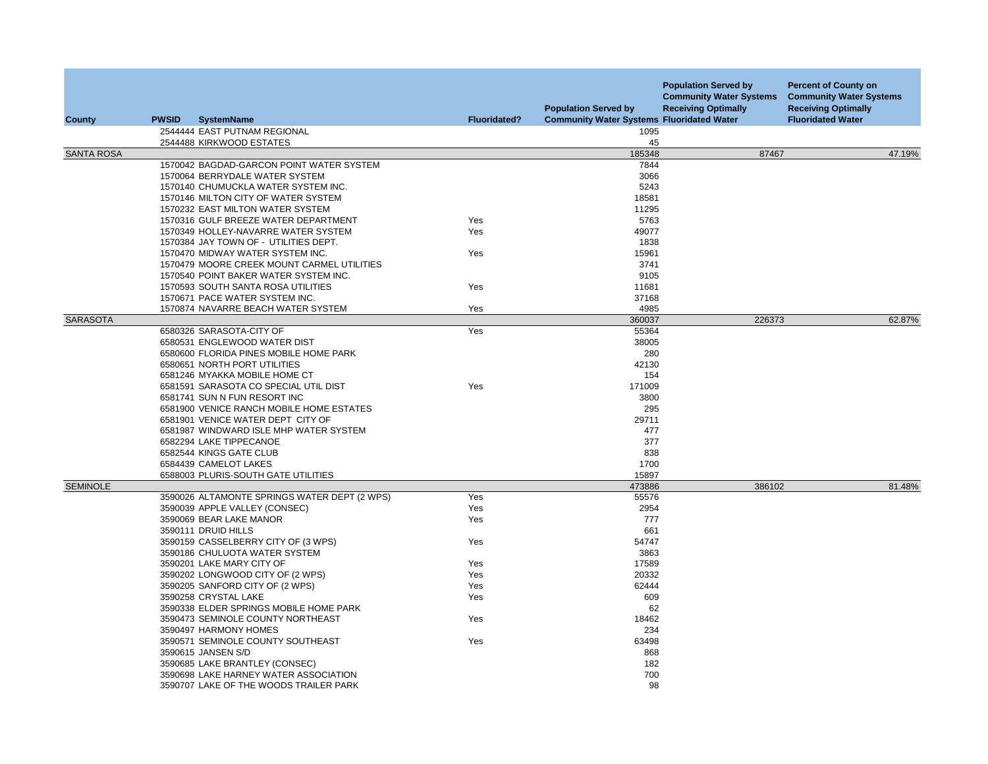|                   |              |                                                  |                     | <b>Population Served by</b>                      | <b>Population Served by</b><br><b>Community Water Systems</b><br><b>Receiving Optimally</b> | <b>Percent of County on</b><br><b>Community Water Systems</b><br><b>Receiving Optimally</b> |
|-------------------|--------------|--------------------------------------------------|---------------------|--------------------------------------------------|---------------------------------------------------------------------------------------------|---------------------------------------------------------------------------------------------|
| County            | <b>PWSID</b> | <b>SystemName</b>                                | <b>Fluoridated?</b> | <b>Community Water Systems Fluoridated Water</b> |                                                                                             | <b>Fluoridated Water</b>                                                                    |
|                   |              | 2544444 EAST PUTNAM REGIONAL                     |                     | 1095                                             |                                                                                             |                                                                                             |
|                   |              | 2544488 KIRKWOOD ESTATES                         |                     | 45                                               |                                                                                             |                                                                                             |
| <b>SANTA ROSA</b> |              | 1570042 BAGDAD-GARCON POINT WATER SYSTEM         |                     | 185348<br>7844                                   | 87467                                                                                       | 47.19%                                                                                      |
|                   |              | 1570064 BERRYDALE WATER SYSTEM                   |                     | 3066                                             |                                                                                             |                                                                                             |
|                   |              | 1570140 CHUMUCKLA WATER SYSTEM INC.              |                     | 5243                                             |                                                                                             |                                                                                             |
|                   |              | 1570146 MILTON CITY OF WATER SYSTEM              |                     | 18581                                            |                                                                                             |                                                                                             |
|                   |              | 1570232 EAST MILTON WATER SYSTEM                 |                     | 11295                                            |                                                                                             |                                                                                             |
|                   |              | 1570316 GULF BREEZE WATER DEPARTMENT             | Yes                 | 5763                                             |                                                                                             |                                                                                             |
|                   |              | 1570349 HOLLEY-NAVARRE WATER SYSTEM              | Yes                 | 49077                                            |                                                                                             |                                                                                             |
|                   |              | 1570384 JAY TOWN OF - UTILITIES DEPT.            |                     | 1838                                             |                                                                                             |                                                                                             |
|                   |              | 1570470 MIDWAY WATER SYSTEM INC.                 | Yes                 | 15961                                            |                                                                                             |                                                                                             |
|                   |              | 1570479 MOORE CREEK MOUNT CARMEL UTILITIES       |                     | 3741                                             |                                                                                             |                                                                                             |
|                   |              | 1570540 POINT BAKER WATER SYSTEM INC.            |                     | 9105                                             |                                                                                             |                                                                                             |
|                   |              | 1570593 SOUTH SANTA ROSA UTILITIES               | Yes                 | 11681                                            |                                                                                             |                                                                                             |
|                   |              | 1570671 PACE WATER SYSTEM INC.                   |                     | 37168                                            |                                                                                             |                                                                                             |
|                   |              | 1570874 NAVARRE BEACH WATER SYSTEM               | Yes                 | 4985                                             |                                                                                             |                                                                                             |
| <b>SARASOTA</b>   |              |                                                  |                     | 360037                                           | 226373                                                                                      | 62.87%                                                                                      |
|                   |              | 6580326 SARASOTA-CITY OF                         | Yes                 | 55364                                            |                                                                                             |                                                                                             |
|                   |              | 6580531 ENGLEWOOD WATER DIST                     |                     | 38005                                            |                                                                                             |                                                                                             |
|                   |              | 6580600 FLORIDA PINES MOBILE HOME PARK           |                     | 280                                              |                                                                                             |                                                                                             |
|                   |              | 6580651 NORTH PORT UTILITIES                     |                     | 42130                                            |                                                                                             |                                                                                             |
|                   |              | 6581246 MYAKKA MOBILE HOME CT                    |                     | 154                                              |                                                                                             |                                                                                             |
|                   |              | 6581591 SARASOTA CO SPECIAL UTIL DIST            | Yes                 | 171009                                           |                                                                                             |                                                                                             |
|                   |              | 6581741 SUN N FUN RESORT INC                     |                     | 3800                                             |                                                                                             |                                                                                             |
|                   |              | 6581900 VENICE RANCH MOBILE HOME ESTATES         |                     | 295                                              |                                                                                             |                                                                                             |
|                   |              | 6581901 VENICE WATER DEPT CITY OF                |                     | 29711                                            |                                                                                             |                                                                                             |
|                   |              | 6581987 WINDWARD ISLE MHP WATER SYSTEM           |                     | 477                                              |                                                                                             |                                                                                             |
|                   |              | 6582294 LAKE TIPPECANOE                          |                     | 377<br>838                                       |                                                                                             |                                                                                             |
|                   |              | 6582544 KINGS GATE CLUB<br>6584439 CAMELOT LAKES |                     | 1700                                             |                                                                                             |                                                                                             |
|                   |              | 6588003 PLURIS-SOUTH GATE UTILITIES              |                     | 15897                                            |                                                                                             |                                                                                             |
| <b>SEMINOLE</b>   |              |                                                  |                     | 473886                                           | 386102                                                                                      | 81.48%                                                                                      |
|                   |              | 3590026 ALTAMONTE SPRINGS WATER DEPT (2 WPS)     | Yes                 | 55576                                            |                                                                                             |                                                                                             |
|                   |              | 3590039 APPLE VALLEY (CONSEC)                    | Yes                 | 2954                                             |                                                                                             |                                                                                             |
|                   |              | 3590069 BEAR LAKE MANOR                          | Yes                 | 777                                              |                                                                                             |                                                                                             |
|                   |              | 3590111 DRUID HILLS                              |                     | 661                                              |                                                                                             |                                                                                             |
|                   |              | 3590159 CASSELBERRY CITY OF (3 WPS)              | Yes                 | 54747                                            |                                                                                             |                                                                                             |
|                   |              | 3590186 CHULUOTA WATER SYSTEM                    |                     | 3863                                             |                                                                                             |                                                                                             |
|                   |              | 3590201 LAKE MARY CITY OF                        | Yes                 | 17589                                            |                                                                                             |                                                                                             |
|                   |              | 3590202 LONGWOOD CITY OF (2 WPS)                 | Yes                 | 20332                                            |                                                                                             |                                                                                             |
|                   |              | 3590205 SANFORD CITY OF (2 WPS)                  | Yes                 | 62444                                            |                                                                                             |                                                                                             |
|                   |              | 3590258 CRYSTAL LAKE                             | Yes                 | 609                                              |                                                                                             |                                                                                             |
|                   |              | 3590338 ELDER SPRINGS MOBILE HOME PARK           |                     | 62                                               |                                                                                             |                                                                                             |
|                   |              | 3590473 SEMINOLE COUNTY NORTHEAST                | Yes                 | 18462                                            |                                                                                             |                                                                                             |
|                   |              | 3590497 HARMONY HOMES                            |                     | 234                                              |                                                                                             |                                                                                             |
|                   |              | 3590571 SEMINOLE COUNTY SOUTHEAST                | Yes                 | 63498                                            |                                                                                             |                                                                                             |
|                   |              | 3590615 JANSEN S/D                               |                     | 868                                              |                                                                                             |                                                                                             |
|                   |              | 3590685 LAKE BRANTLEY (CONSEC)                   |                     | 182                                              |                                                                                             |                                                                                             |
|                   |              | 3590698 LAKE HARNEY WATER ASSOCIATION            |                     | 700                                              |                                                                                             |                                                                                             |
|                   |              | 3590707 LAKE OF THE WOODS TRAILER PARK           |                     | 98                                               |                                                                                             |                                                                                             |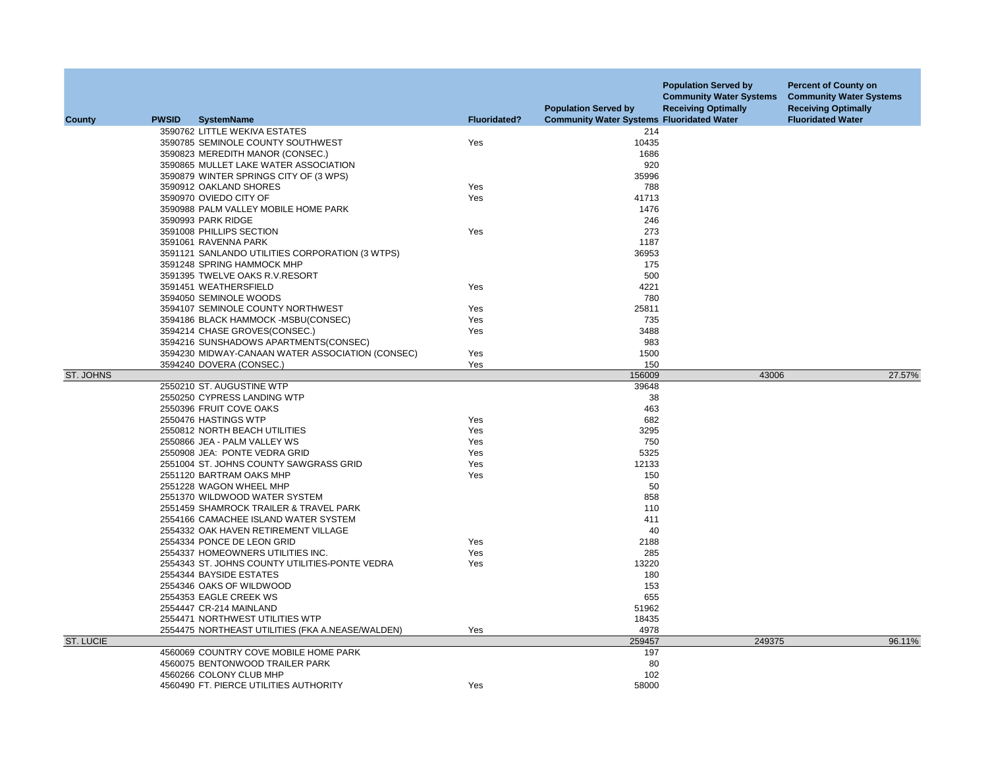| <b>County</b>    | <b>PWSID</b> | <b>SystemName</b>                                | <b>Fluoridated?</b> | <b>Population Served by</b><br><b>Community Water Systems Fluoridated Water</b> | <b>Population Served by</b><br><b>Community Water Systems</b><br><b>Receiving Optimally</b> | <b>Percent of County on</b><br><b>Community Water Systems</b><br><b>Receiving Optimally</b><br><b>Fluoridated Water</b> |
|------------------|--------------|--------------------------------------------------|---------------------|---------------------------------------------------------------------------------|---------------------------------------------------------------------------------------------|-------------------------------------------------------------------------------------------------------------------------|
|                  |              | 3590762 LITTLE WEKIVA ESTATES                    |                     | 214                                                                             |                                                                                             |                                                                                                                         |
|                  |              | 3590785 SEMINOLE COUNTY SOUTHWEST                | Yes                 | 10435                                                                           |                                                                                             |                                                                                                                         |
|                  |              | 3590823 MEREDITH MANOR (CONSEC.)                 |                     | 1686                                                                            |                                                                                             |                                                                                                                         |
|                  |              | 3590865 MULLET LAKE WATER ASSOCIATION            |                     | 920                                                                             |                                                                                             |                                                                                                                         |
|                  |              | 3590879 WINTER SPRINGS CITY OF (3 WPS)           |                     | 35996                                                                           |                                                                                             |                                                                                                                         |
|                  |              | 3590912 OAKLAND SHORES                           | Yes                 | 788                                                                             |                                                                                             |                                                                                                                         |
|                  |              | 3590970 OVIEDO CITY OF                           | Yes                 | 41713                                                                           |                                                                                             |                                                                                                                         |
|                  |              | 3590988 PALM VALLEY MOBILE HOME PARK             |                     | 1476                                                                            |                                                                                             |                                                                                                                         |
|                  |              | 3590993 PARK RIDGE                               |                     | 246                                                                             |                                                                                             |                                                                                                                         |
|                  |              | 3591008 PHILLIPS SECTION                         | Yes                 | 273                                                                             |                                                                                             |                                                                                                                         |
|                  |              | 3591061 RAVENNA PARK                             |                     | 1187                                                                            |                                                                                             |                                                                                                                         |
|                  |              | 3591121 SANLANDO UTILITIES CORPORATION (3 WTPS)  |                     | 36953                                                                           |                                                                                             |                                                                                                                         |
|                  |              | 3591248 SPRING HAMMOCK MHP                       |                     | 175                                                                             |                                                                                             |                                                                                                                         |
|                  |              | 3591395 TWELVE OAKS R.V.RESORT                   |                     | 500                                                                             |                                                                                             |                                                                                                                         |
|                  |              | 3591451 WEATHERSFIELD                            | Yes                 | 4221                                                                            |                                                                                             |                                                                                                                         |
|                  |              | 3594050 SEMINOLE WOODS                           |                     | 780                                                                             |                                                                                             |                                                                                                                         |
|                  |              | 3594107 SEMINOLE COUNTY NORTHWEST                | Yes                 | 25811                                                                           |                                                                                             |                                                                                                                         |
|                  |              | 3594186 BLACK HAMMOCK -MSBU(CONSEC)              | Yes                 | 735                                                                             |                                                                                             |                                                                                                                         |
|                  |              | 3594214 CHASE GROVES(CONSEC.)                    | Yes                 | 3488                                                                            |                                                                                             |                                                                                                                         |
|                  |              | 3594216 SUNSHADOWS APARTMENTS(CONSEC)            |                     | 983                                                                             |                                                                                             |                                                                                                                         |
|                  |              | 3594230 MIDWAY-CANAAN WATER ASSOCIATION (CONSEC) | Yes                 | 1500                                                                            |                                                                                             |                                                                                                                         |
|                  |              | 3594240 DOVERA (CONSEC.)                         | Yes                 | 150                                                                             |                                                                                             |                                                                                                                         |
| ST. JOHNS        |              |                                                  |                     | 156009                                                                          | 43006                                                                                       | 27.57%                                                                                                                  |
|                  |              | 2550210 ST. AUGUSTINE WTP                        |                     | 39648                                                                           |                                                                                             |                                                                                                                         |
|                  |              | 2550250 CYPRESS LANDING WTP                      |                     | 38                                                                              |                                                                                             |                                                                                                                         |
|                  |              | 2550396 FRUIT COVE OAKS                          |                     | 463                                                                             |                                                                                             |                                                                                                                         |
|                  |              | 2550476 HASTINGS WTP                             | Yes                 | 682                                                                             |                                                                                             |                                                                                                                         |
|                  |              | 2550812 NORTH BEACH UTILITIES                    | Yes                 | 3295                                                                            |                                                                                             |                                                                                                                         |
|                  |              | 2550866 JEA - PALM VALLEY WS                     | Yes                 | 750                                                                             |                                                                                             |                                                                                                                         |
|                  |              | 2550908 JEA: PONTE VEDRA GRID                    | Yes                 | 5325                                                                            |                                                                                             |                                                                                                                         |
|                  |              | 2551004 ST. JOHNS COUNTY SAWGRASS GRID           | Yes                 | 12133                                                                           |                                                                                             |                                                                                                                         |
|                  |              | 2551120 BARTRAM OAKS MHP                         | Yes                 | 150                                                                             |                                                                                             |                                                                                                                         |
|                  |              | 2551228 WAGON WHEEL MHP                          |                     | 50                                                                              |                                                                                             |                                                                                                                         |
|                  |              | 2551370 WILDWOOD WATER SYSTEM                    |                     | 858                                                                             |                                                                                             |                                                                                                                         |
|                  |              | 2551459 SHAMROCK TRAILER & TRAVEL PARK           |                     | 110                                                                             |                                                                                             |                                                                                                                         |
|                  |              | 2554166 CAMACHEE ISLAND WATER SYSTEM             |                     | 411                                                                             |                                                                                             |                                                                                                                         |
|                  |              | 2554332 OAK HAVEN RETIREMENT VILLAGE             |                     | 40                                                                              |                                                                                             |                                                                                                                         |
|                  |              | 2554334 PONCE DE LEON GRID                       | Yes                 | 2188                                                                            |                                                                                             |                                                                                                                         |
|                  |              | 2554337 HOMEOWNERS UTILITIES INC.                | Yes                 | 285                                                                             |                                                                                             |                                                                                                                         |
|                  |              | 2554343 ST. JOHNS COUNTY UTILITIES-PONTE VEDRA   | Yes                 | 13220                                                                           |                                                                                             |                                                                                                                         |
|                  |              | 2554344 BAYSIDE ESTATES                          |                     | 180                                                                             |                                                                                             |                                                                                                                         |
|                  |              | 2554346 OAKS OF WILDWOOD                         |                     | 153                                                                             |                                                                                             |                                                                                                                         |
|                  |              | 2554353 EAGLE CREEK WS                           |                     | 655                                                                             |                                                                                             |                                                                                                                         |
|                  |              | 2554447 CR-214 MAINLAND                          |                     | 51962                                                                           |                                                                                             |                                                                                                                         |
|                  |              | 2554471 NORTHWEST UTILITIES WTP                  |                     | 18435                                                                           |                                                                                             |                                                                                                                         |
|                  |              | 2554475 NORTHEAST UTILITIES (FKA A.NEASE/WALDEN) | Yes                 | 4978                                                                            |                                                                                             |                                                                                                                         |
| <b>ST. LUCIE</b> |              |                                                  |                     | 259457                                                                          | 249375                                                                                      | 96.11%                                                                                                                  |
|                  |              | 4560069 COUNTRY COVE MOBILE HOME PARK            |                     | 197                                                                             |                                                                                             |                                                                                                                         |
|                  |              | 4560075 BENTONWOOD TRAILER PARK                  |                     | 80                                                                              |                                                                                             |                                                                                                                         |
|                  |              | 4560266 COLONY CLUB MHP                          |                     | 102                                                                             |                                                                                             |                                                                                                                         |
|                  |              | 4560490 FT. PIERCE UTILITIES AUTHORITY           | Yes                 | 58000                                                                           |                                                                                             |                                                                                                                         |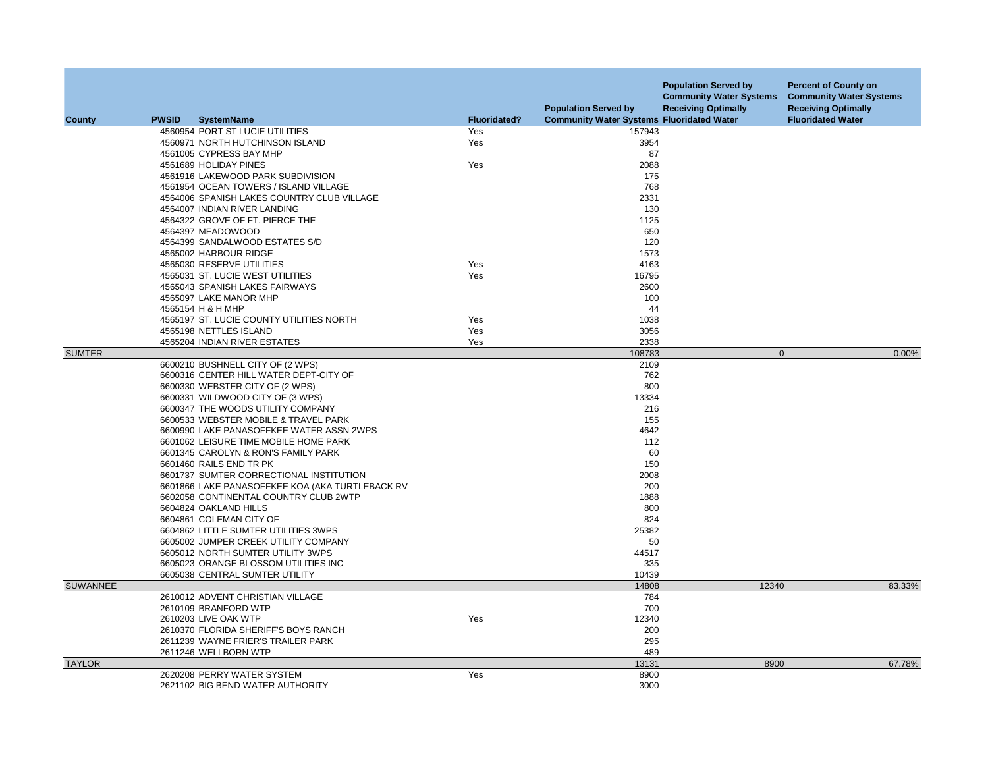| County          | <b>PWSID</b> | <b>SystemName</b>                               | <b>Fluoridated?</b> | <b>Population Served by</b><br><b>Community Water Systems Fluoridated Water</b> | <b>Population Served by</b><br><b>Community Water Systems</b><br><b>Receiving Optimally</b> | <b>Percent of County on</b><br><b>Community Water Systems</b><br><b>Receiving Optimally</b><br><b>Fluoridated Water</b> |
|-----------------|--------------|-------------------------------------------------|---------------------|---------------------------------------------------------------------------------|---------------------------------------------------------------------------------------------|-------------------------------------------------------------------------------------------------------------------------|
|                 |              | 4560954 PORT ST LUCIE UTILITIES                 | Yes                 | 157943                                                                          |                                                                                             |                                                                                                                         |
|                 |              | 4560971 NORTH HUTCHINSON ISLAND                 | Yes                 | 3954                                                                            |                                                                                             |                                                                                                                         |
|                 |              | 4561005 CYPRESS BAY MHP                         |                     | 87                                                                              |                                                                                             |                                                                                                                         |
|                 |              | 4561689 HOLIDAY PINES                           | Yes                 | 2088                                                                            |                                                                                             |                                                                                                                         |
|                 |              | 4561916 LAKEWOOD PARK SUBDIVISION               |                     | 175                                                                             |                                                                                             |                                                                                                                         |
|                 |              | 4561954 OCEAN TOWERS / ISLAND VILLAGE           |                     | 768                                                                             |                                                                                             |                                                                                                                         |
|                 |              | 4564006 SPANISH LAKES COUNTRY CLUB VILLAGE      |                     | 2331                                                                            |                                                                                             |                                                                                                                         |
|                 |              | 4564007 INDIAN RIVER LANDING                    |                     | 130                                                                             |                                                                                             |                                                                                                                         |
|                 |              | 4564322 GROVE OF FT. PIERCE THE                 |                     | 1125                                                                            |                                                                                             |                                                                                                                         |
|                 |              | 4564397 MEADOWOOD                               |                     | 650                                                                             |                                                                                             |                                                                                                                         |
|                 |              | 4564399 SANDALWOOD ESTATES S/D                  |                     | 120                                                                             |                                                                                             |                                                                                                                         |
|                 |              | 4565002 HARBOUR RIDGE                           |                     | 1573                                                                            |                                                                                             |                                                                                                                         |
|                 |              | 4565030 RESERVE UTILITIES                       | Yes                 | 4163                                                                            |                                                                                             |                                                                                                                         |
|                 |              | 4565031 ST. LUCIE WEST UTILITIES                | Yes                 | 16795                                                                           |                                                                                             |                                                                                                                         |
|                 |              | 4565043 SPANISH LAKES FAIRWAYS                  |                     | 2600                                                                            |                                                                                             |                                                                                                                         |
|                 |              | 4565097 LAKE MANOR MHP                          |                     | 100                                                                             |                                                                                             |                                                                                                                         |
|                 |              | 4565154 H & H MHP                               |                     | 44                                                                              |                                                                                             |                                                                                                                         |
|                 |              | 4565197 ST. LUCIE COUNTY UTILITIES NORTH        | Yes                 | 1038                                                                            |                                                                                             |                                                                                                                         |
|                 |              | 4565198 NETTLES ISLAND                          | Yes                 | 3056                                                                            |                                                                                             |                                                                                                                         |
|                 |              | 4565204 INDIAN RIVER ESTATES                    | Yes                 | 2338                                                                            |                                                                                             |                                                                                                                         |
| <b>SUMTER</b>   |              |                                                 |                     | 108783                                                                          | $\mathbf 0$                                                                                 | 0.00%                                                                                                                   |
|                 |              | 6600210 BUSHNELL CITY OF (2 WPS)                |                     | 2109                                                                            |                                                                                             |                                                                                                                         |
|                 |              | 6600316 CENTER HILL WATER DEPT-CITY OF          |                     | 762                                                                             |                                                                                             |                                                                                                                         |
|                 |              | 6600330 WEBSTER CITY OF (2 WPS)                 |                     | 800                                                                             |                                                                                             |                                                                                                                         |
|                 |              | 6600331 WILDWOOD CITY OF (3 WPS)                |                     | 13334                                                                           |                                                                                             |                                                                                                                         |
|                 |              | 6600347 THE WOODS UTILITY COMPANY               |                     | 216                                                                             |                                                                                             |                                                                                                                         |
|                 |              | 6600533 WEBSTER MOBILE & TRAVEL PARK            |                     | 155                                                                             |                                                                                             |                                                                                                                         |
|                 |              | 6600990 LAKE PANASOFFKEE WATER ASSN 2WPS        |                     | 4642                                                                            |                                                                                             |                                                                                                                         |
|                 |              | 6601062 LEISURE TIME MOBILE HOME PARK           |                     | 112                                                                             |                                                                                             |                                                                                                                         |
|                 |              | 6601345 CAROLYN & RON'S FAMILY PARK             |                     | 60                                                                              |                                                                                             |                                                                                                                         |
|                 |              | 6601460 RAILS END TR PK                         |                     | 150                                                                             |                                                                                             |                                                                                                                         |
|                 |              | 6601737 SUMTER CORRECTIONAL INSTITUTION         |                     | 2008                                                                            |                                                                                             |                                                                                                                         |
|                 |              | 6601866 LAKE PANASOFFKEE KOA (AKA TURTLEBACK RV |                     | 200                                                                             |                                                                                             |                                                                                                                         |
|                 |              | 6602058 CONTINENTAL COUNTRY CLUB 2WTP           |                     | 1888                                                                            |                                                                                             |                                                                                                                         |
|                 |              | 6604824 OAKLAND HILLS                           |                     | 800                                                                             |                                                                                             |                                                                                                                         |
|                 |              | 6604861 COLEMAN CITY OF                         |                     | 824                                                                             |                                                                                             |                                                                                                                         |
|                 |              | 6604862 LITTLE SUMTER UTILITIES 3WPS            |                     | 25382                                                                           |                                                                                             |                                                                                                                         |
|                 |              | 6605002 JUMPER CREEK UTILITY COMPANY            |                     | 50                                                                              |                                                                                             |                                                                                                                         |
|                 |              | 6605012 NORTH SUMTER UTILITY 3WPS               |                     | 44517                                                                           |                                                                                             |                                                                                                                         |
|                 |              | 6605023 ORANGE BLOSSOM UTILITIES INC            |                     | 335                                                                             |                                                                                             |                                                                                                                         |
|                 |              | 6605038 CENTRAL SUMTER UTILITY                  |                     | 10439                                                                           |                                                                                             |                                                                                                                         |
| <b>SUWANNEE</b> |              |                                                 |                     | 14808                                                                           | 12340                                                                                       | 83.33%                                                                                                                  |
|                 |              | 2610012 ADVENT CHRISTIAN VILLAGE                |                     | 784                                                                             |                                                                                             |                                                                                                                         |
|                 |              | 2610109 BRANFORD WTP                            |                     | 700                                                                             |                                                                                             |                                                                                                                         |
|                 |              | 2610203 LIVE OAK WTP                            | Yes                 | 12340                                                                           |                                                                                             |                                                                                                                         |
|                 |              | 2610370 FLORIDA SHERIFF'S BOYS RANCH            |                     | 200                                                                             |                                                                                             |                                                                                                                         |
|                 |              | 2611239 WAYNE FRIER'S TRAILER PARK              |                     | 295                                                                             |                                                                                             |                                                                                                                         |
|                 |              | 2611246 WELLBORN WTP                            |                     | 489                                                                             |                                                                                             |                                                                                                                         |
| <b>TAYLOR</b>   |              |                                                 |                     | 13131                                                                           | 8900                                                                                        | 67.78%                                                                                                                  |
|                 |              | 2620208 PERRY WATER SYSTEM                      | Yes                 | 8900                                                                            |                                                                                             |                                                                                                                         |
|                 |              | 2621102 BIG BEND WATER AUTHORITY                |                     | 3000                                                                            |                                                                                             |                                                                                                                         |
|                 |              |                                                 |                     |                                                                                 |                                                                                             |                                                                                                                         |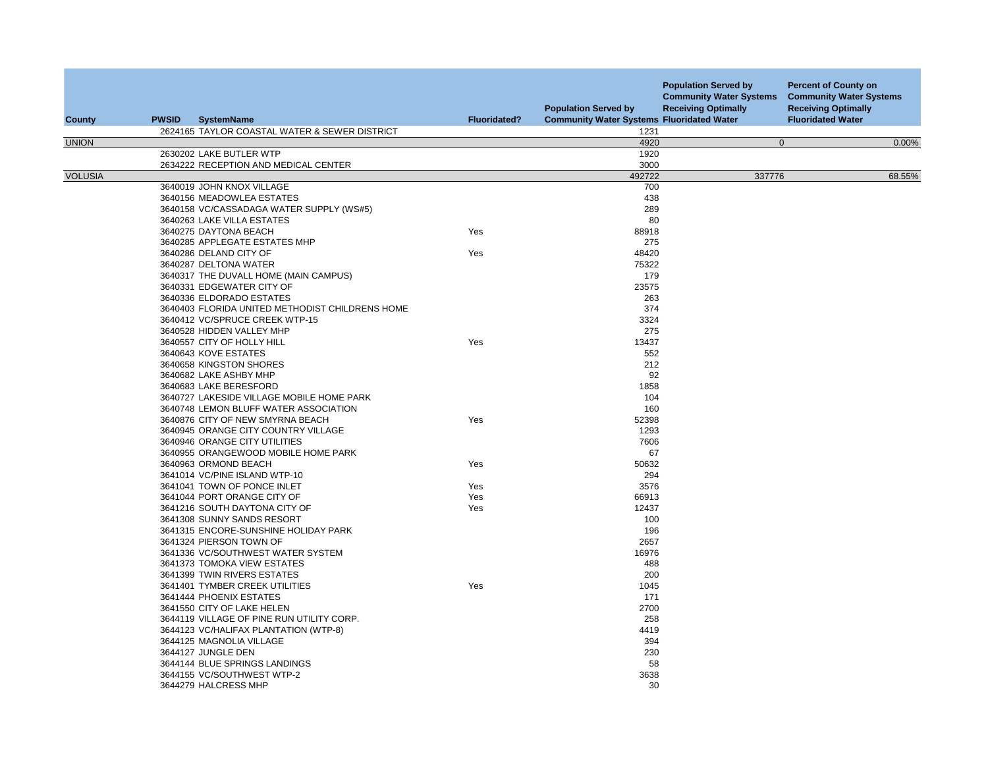| County         | <b>PWSID</b><br><b>SystemName</b>                   | <b>Fluoridated?</b> | <b>Population Served by</b><br><b>Community Water Systems Fluoridated Water</b> | <b>Population Served by</b><br><b>Community Water Systems</b><br><b>Receiving Optimally</b> | <b>Percent of County on</b><br><b>Community Water Systems</b><br><b>Receiving Optimally</b><br><b>Fluoridated Water</b> |
|----------------|-----------------------------------------------------|---------------------|---------------------------------------------------------------------------------|---------------------------------------------------------------------------------------------|-------------------------------------------------------------------------------------------------------------------------|
|                | 2624165 TAYLOR COASTAL WATER & SEWER DISTRICT       |                     | 1231                                                                            |                                                                                             |                                                                                                                         |
| <b>UNION</b>   |                                                     |                     | 4920                                                                            | $\mathbf 0$                                                                                 | 0.00%                                                                                                                   |
|                | 2630202 LAKE BUTLER WTP                             |                     | 1920                                                                            |                                                                                             |                                                                                                                         |
|                | 2634222 RECEPTION AND MEDICAL CENTER                |                     | 3000                                                                            |                                                                                             |                                                                                                                         |
| <b>VOLUSIA</b> |                                                     |                     | 492722                                                                          | 337776                                                                                      | 68.55%                                                                                                                  |
|                | 3640019 JOHN KNOX VILLAGE                           |                     | 700                                                                             |                                                                                             |                                                                                                                         |
|                | 3640156 MEADOWLEA ESTATES                           |                     | 438<br>289                                                                      |                                                                                             |                                                                                                                         |
|                | 3640158 VC/CASSADAGA WATER SUPPLY (WS#5)            |                     |                                                                                 |                                                                                             |                                                                                                                         |
|                | 3640263 LAKE VILLA ESTATES<br>3640275 DAYTONA BEACH | Yes                 | 80<br>88918                                                                     |                                                                                             |                                                                                                                         |
|                | 3640285 APPLEGATE ESTATES MHP                       |                     | 275                                                                             |                                                                                             |                                                                                                                         |
|                |                                                     | Yes                 | 48420                                                                           |                                                                                             |                                                                                                                         |
|                | 3640286 DELAND CITY OF<br>3640287 DELTONA WATER     |                     | 75322                                                                           |                                                                                             |                                                                                                                         |
|                | 3640317 THE DUVALL HOME (MAIN CAMPUS)               |                     | 179                                                                             |                                                                                             |                                                                                                                         |
|                | 3640331 EDGEWATER CITY OF                           |                     | 23575                                                                           |                                                                                             |                                                                                                                         |
|                | 3640336 ELDORADO ESTATES                            |                     | 263                                                                             |                                                                                             |                                                                                                                         |
|                | 3640403 FLORIDA UNITED METHODIST CHILDRENS HOME     |                     | 374                                                                             |                                                                                             |                                                                                                                         |
|                | 3640412 VC/SPRUCE CREEK WTP-15                      |                     | 3324                                                                            |                                                                                             |                                                                                                                         |
|                | 3640528 HIDDEN VALLEY MHP                           |                     | 275                                                                             |                                                                                             |                                                                                                                         |
|                | 3640557 CITY OF HOLLY HILL                          | Yes                 | 13437                                                                           |                                                                                             |                                                                                                                         |
|                | 3640643 KOVE ESTATES                                |                     | 552                                                                             |                                                                                             |                                                                                                                         |
|                | 3640658 KINGSTON SHORES                             |                     | 212                                                                             |                                                                                             |                                                                                                                         |
|                | 3640682 LAKE ASHBY MHP                              |                     | 92                                                                              |                                                                                             |                                                                                                                         |
|                | 3640683 LAKE BERESFORD                              |                     | 1858                                                                            |                                                                                             |                                                                                                                         |
|                | 3640727 LAKESIDE VILLAGE MOBILE HOME PARK           |                     | 104                                                                             |                                                                                             |                                                                                                                         |
|                | 3640748 LEMON BLUFF WATER ASSOCIATION               |                     | 160                                                                             |                                                                                             |                                                                                                                         |
|                | 3640876 CITY OF NEW SMYRNA BEACH                    | Yes                 | 52398                                                                           |                                                                                             |                                                                                                                         |
|                | 3640945 ORANGE CITY COUNTRY VILLAGE                 |                     | 1293                                                                            |                                                                                             |                                                                                                                         |
|                | 3640946 ORANGE CITY UTILITIES                       |                     | 7606                                                                            |                                                                                             |                                                                                                                         |
|                | 3640955 ORANGEWOOD MOBILE HOME PARK                 |                     | 67                                                                              |                                                                                             |                                                                                                                         |
|                | 3640963 ORMOND BEACH                                | Yes                 | 50632                                                                           |                                                                                             |                                                                                                                         |
|                | 3641014 VC/PINE ISLAND WTP-10                       |                     | 294                                                                             |                                                                                             |                                                                                                                         |
|                | 3641041 TOWN OF PONCE INLET                         | Yes                 | 3576                                                                            |                                                                                             |                                                                                                                         |
|                | 3641044 PORT ORANGE CITY OF                         | Yes                 | 66913                                                                           |                                                                                             |                                                                                                                         |
|                | 3641216 SOUTH DAYTONA CITY OF                       | Yes                 | 12437                                                                           |                                                                                             |                                                                                                                         |
|                | 3641308 SUNNY SANDS RESORT                          |                     | 100                                                                             |                                                                                             |                                                                                                                         |
|                | 3641315 ENCORE-SUNSHINE HOLIDAY PARK                |                     | 196                                                                             |                                                                                             |                                                                                                                         |
|                | 3641324 PIERSON TOWN OF                             |                     | 2657                                                                            |                                                                                             |                                                                                                                         |
|                | 3641336 VC/SOUTHWEST WATER SYSTEM                   |                     | 16976                                                                           |                                                                                             |                                                                                                                         |
|                | 3641373 TOMOKA VIEW ESTATES                         |                     | 488                                                                             |                                                                                             |                                                                                                                         |
|                | 3641399 TWIN RIVERS ESTATES                         |                     | 200                                                                             |                                                                                             |                                                                                                                         |
|                | 3641401 TYMBER CREEK UTILITIES                      | Yes                 | 1045                                                                            |                                                                                             |                                                                                                                         |
|                | 3641444 PHOENIX ESTATES                             |                     | 171                                                                             |                                                                                             |                                                                                                                         |
|                | 3641550 CITY OF LAKE HELEN                          |                     | 2700                                                                            |                                                                                             |                                                                                                                         |
|                | 3644119 VILLAGE OF PINE RUN UTILITY CORP.           |                     | 258                                                                             |                                                                                             |                                                                                                                         |
|                | 3644123 VC/HALIFAX PLANTATION (WTP-8)               |                     | 4419                                                                            |                                                                                             |                                                                                                                         |
|                | 3644125 MAGNOLIA VILLAGE                            |                     | 394                                                                             |                                                                                             |                                                                                                                         |
|                | 3644127 JUNGLE DEN                                  |                     | 230                                                                             |                                                                                             |                                                                                                                         |
|                | 3644144 BLUE SPRINGS LANDINGS                       |                     | 58                                                                              |                                                                                             |                                                                                                                         |
|                | 3644155 VC/SOUTHWEST WTP-2                          |                     | 3638                                                                            |                                                                                             |                                                                                                                         |
|                | 3644279 HALCRESS MHP                                |                     | 30                                                                              |                                                                                             |                                                                                                                         |